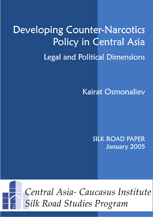# Developing Counter-Narcotics Policy in Central Asia Legal and Political Dimensions

**Kairat Osmonaliev** 

SILK ROAD PAPER January 2005

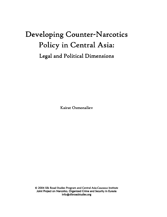## Developing Counter-Narcotics Policy in Central Asia:

Legal and Political Dimensions

Kairat Osmonaliev

© 2004 Silk Road Studies Program and Central Asia-Caucasus Institute Joint Project on Narcotics, Organized Crime and Security in Eurasia info@silkroadstudies.org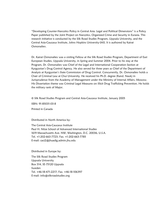"Developing Counter-Narcotics Policy in Central Asia: Legal and Political Dimensions" is a Policy Paper published by the Joint Project on Narcotics, Organized Crime and Security in Eurasia. This research initiative is conducted by the Silk Road Studies Program, Uppsala University, and the Central Asia-Caucasus Institute, Johns Hopkins University-SAIS. It is authored by Kairat Osmonaliev.

Dr. Kairat Osmonaliev was a visiting Fellow at the Silk Road Studies Program, Department of East European Studies, Uppsala University, in Spring and Summer 2004. Prior to his stay at the Program, Dr. Osmonaliev was Chief of the Legal and International Cooperation Section at Kyrgyzstan's Drug Control Agency. He also served for three years as Chief of the Department of Analysis at Kyrgyzstan's State Commission of Drug Control. Concurrently, Dr. Osmonaliev holds a Chair of Criminal Law at Chui University. He received his Ph.D. degree (Kand. Nauk) in Jurisprudence from the Academy of Management under the Ministry of Internal Affairs, Moscow. His Dissertation theme was Criminal Legal Measures on Illicit Drug Trafficking Prevention. He holds the military rank of Major.

© Silk Road Studies Program and Central Asia-Caucasus Institute, January 2005

ISBN: 91-85031-03-8

Printed in Canada

Distributed in North America by:

The Central Asia-Caucasus Institute Paul H. Nitze School of Advanced International Studies 1619 Massachusetts Ave. NW, Washington, D.C. 20036, U.S.A. Tel. +1-202-663-7723; Fax. +1-202-663-7785 E-mail: caci2@jhuadig.admin.jhu.edu

Distributed in Europe by:

The Silk Road Studies Program Uppsala University Box 514, SE-75120 Uppsala Sweden Tel. +46-18-471-2217; Fax. +46-18-106397 E-mail: info@silkroadstudies.org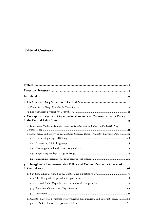### Table of Contents

| 2. Conceptual, Legal and Organizational Aspects of Counter-narcotics Policy               |
|-------------------------------------------------------------------------------------------|
|                                                                                           |
| 2.1 Conceptual Models of Counter-narcotics Combat and its Impact on the CAR Drug          |
| 2.2 Legal Issues and the Organizational and Resource Basis of Counter-Narcotics Policy 45 |
|                                                                                           |
|                                                                                           |
|                                                                                           |
|                                                                                           |
| 3. Sub-regional Counter-narcotics Policy and Counter-Narcotics Cooperation                |
|                                                                                           |
|                                                                                           |
|                                                                                           |
|                                                                                           |
|                                                                                           |
|                                                                                           |
| 3.2 Counter-Narcotics Strategies of International Organizations and External Powers  64   |
|                                                                                           |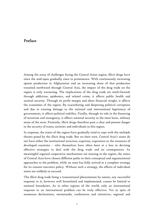#### Preface

Among the array of challenges facing the Central Asian region, illicit drugs have since the mid-1990s gradually risen to prominence. With continuously increasing opium production in Afghanistan and an increasing share of that production transited northward through Central Asia, the impact of the drug trade on the region is only worsening. The implications of the drug trade are multi-faceted: through addiction, epidemics, and related crime, it affects public health and societal security. Through its profit margin and sheer financial weight, it affects the economies of the region. By exacerbating and deepening political corruption and due to ensuing damage to the national and international legitimacy of governments, it affects political stability. Finally, through its role in the financing of terrorism and insurgency, it affects national security in the most basic, military sense of the term. Presently, illicit drugs therefore pose a clear and present danger to the security of states, societies and individuals in this region.

In response, the states of the region have gradually tried to cope with the multiple threats posed by the illicit drug trade. But on their own, Central Asia's states do not have either the institutional structure, expertise, experience or the resources of developed countries – who themselves have often been at a loss in devising effective strategies to deal with the drug trade and its consequences. As meaningful regional cooperative mechanisms are missing in the region, the states of Central Asia have chosen different paths in their conceptual and organizational approaches to the problem, while no state has fully arrived at a complete strategy for its counter-narcotics policy. Without such a strategy, the efforts of individual states are unlikely to succeed.

The illicit drug trade being a transnational phenomenon by nature, any successful response to it, however well formulated and implemented, cannot be limited to national boundaries. As in other regions of the world, only an international response to an international problem can be truly effective. Yet in spite of numerous declarations, memoranda, conferences and initiatives, regional and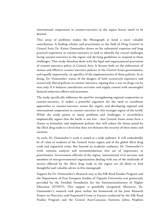international cooperation in counter-narcotics in the region leaves much to be desired.

This array of problems makes the Monograph at hand a most valuable contribution. A leading scholar and practitioner in the field of Drug Control in Central Asia, Dr. Kairat Osmonaliev draws on his substantial expertise and long practical experience in counter-narcotics to seek to identify the crucial challenges facing counter-narcotics in the region and devising guidelines to respond to these challenges. This study therefore deals with the legal and organizational provisions of counter-narcotics policy in Central Asia. It focuses both on the elaboration of serious and effective counter-narcotics policies in the Central Asian governments, and equally importantly, on specifics of the implementation of these policies. In so doing, Dr. Osmonaliev warns of the dangers of both excessively repressive and excessively liberal policies in counter-narcotics, arguing that a war on drugs can be won only if it balances interdiction activities and supply control with meaningful demand reduction efforts and treatment.

The study specifically addresses the need for strengthening regional cooperation in counter-narcotics. It makes a powerful argument for the need to coordinate approaches to counter-narcotics across the region, and developing regional and international cooperation in counter-narcotics in this strategic region of the world. While the study points to many problems and challenges, it nevertheless emphatically argues that the battle is not lost – that Central Asian states have a chance to formulate and implement policies that will reduce the threat posed by the illicit drug trade to a level that does not threaten the security of their states and societies.

As such, Dr. Osmonaliev's work is aimed at a wide audience. It will undoubtedly be of value to students of the Central Asian region and of the global illicit drug trade and organized crime. But beyond an academic audience, Dr. Osmonaliev's work contains analysis and recommendations that are of importance to practitioners. Government officials of the region, international civil servants and members of non-governmental organizations dealing with any of the multitude of sectors affected by the illicit drug trade in the region are all likely to find thoughtful and valuable advice in this monograph.

Support for Dr. Osmonaliev's Research stay at the Silk Road Studies Program and the Department of East European Studies of Uppsala University was generously provided by the Swedish Foundation for the Internationalization of Higher Education (STINT). This support is gratefully recognized. Moreover, Dr. Osmonaliev's research took place within the framework of the Joint Research Project on Narcotics and Organized Crime in Eurasia conducted by the Silk Road Studies Program and the Central Asia-Caucasus Institute, Johns Hopkins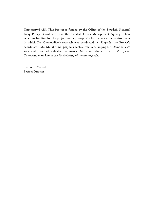University-SAIS. This Project is funded by the Office of the Swedish National Drug Policy Coordinator and the Swedish Crisis Management Agency. Their generous funding for the project was a prerequisite for the academic environment in which Dr. Osmonaliev's research was conducted. At Uppsala, the Project's coordinator, Ms. Maral Madi, played a central role in arranging Dr. Osmonaliev's stay and provided valuable comments. Moreover, the efforts of Mr. Jacob Townsend were key in the final editing of the monograph.

Svante E. Cornell Project Director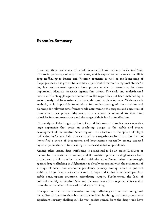#### Executive Summary Executive

Since 1993, there has been a thirty-fold increase in heroin seizures in Central Asia. The social pathology of organized crime, which supervises and carries out illicit drug trafficking to Russia and Western countries as well as the laundering of illegal proceeds, has grown to become a significant threat to the regional states. So far, law enforcement agencies have proven unable to formulate, let alone implement, adequate measures against this threat. The scale and multi-faceted nature of the struggle against narcotics in the region has not been matched by a serious analytical forecasting effort to understand its development. Without such analysis, it is impossible to obtain a full understanding of the situation and planning for relevant time frames while determining the purpose and objectives of counter-narcotics policy. Moreover, this analysis is required to determine priorities in counter-narcotics and the range of their institutionalization.

This analysis of the drug situation in Central Asia over the last few years reveals a large expansion that poses an escalating danger to the stable and secure development of the Central Asian region. The situation in the sphere of illegal trafficking in Central Asia is exacerbated by a negative societal situation that has intensified a sense of desperation and hopelessness especially among exposed layers of population, in turn leading to increased addiction problems.

Among other issues, drug trafficking is considered to be an essential source of income for international terrorism, and the coalition powers in Afghanistan have so far been unable to effectively deal with the issue. Nevertheless, the struggle against drug trafficking in Afghanistan is closely associated with the settlement of a range of social and economic problems, primary among which is political stability. Huge drug markets in Russia, Europe and China have developed into stable consumption countries, stimulating supply. Furthermore, the lack of political stability in Central Asia and the weakness of the regional states makes countries vulnerable to international drug trafficking.

It is apparent that the forces involved in drug trafficking are interested in regional instability that permits their business to continue, implying that these groups pose significant security challenges. The vast profits gained from the drug trade have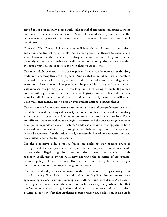served to support militant forces with links to global terrorism, indicating a threat not only to the countries in Central Asia but beyond the region. In sum, the deteriorating drug situation increases the risk of the region becoming a cauldron of instability.

That said, The Central Asian countries still have the possibility to contain drug addiction and trafficking at levels that do not pose vital threats to society and state. However, if the tendencies in drug addiction and trafficking continue as presently without a reasonable and well-directed state policy, the chances of seeing the drug situation stabilized over the next three years are low.

The most likely scenario is that the region will see a steady increase in the drug trade in the coming three to five years. Drug related criminal activity is therefore expected to rise at a level of  $4$ -5%. As a result, the social systems will degenerate even more. Less law-conscious people will be pushed into drug trafficking, which will increase the poverty level in the long run. Trafficking through ill-guarded borders will significantly increase. Lacking logistical support, law enforcement agencies will in general remain poorly trained and partly criminally infiltrated. This will consequently rise to pose an ever greater national security threat.

The main task of state counter-narcotics policy as a part of comprehensive security could be termed narcological security, a social condition achieved when drug addiction and drug-related crime do not present a threat to state and society. There are different ways to achieve narcological security, and the success of government drug policy depends on several factors. Sweden is a country that appears to have achieved narcological security, through a well-balanced approach to supply and demand reduction. On the other hand, excessively liberal or repressive policies have failed to generate desired results.

On the repressive side, a policy based on declaring war against drugs is distinguished by the prevalence of punitive and repressive measures while counteracting illegal drug circulation and drug abuse. The fallacies of this approach is illustrated by the U.S. now changing the priorities of its counternarcotics policy. Likewise, Chinese efforts in their war on drugs focus increasingly on the prevention of drug usage among young people.

On the liberal side, policies focusing on the legalization of drugs convey great costs for society. The Netherlands and Switzerland legalized drug use many years ago, causing a close to unlimited supply of both soft and hard drugs. As a result, the drug situation is beyond the control of authorities, especially when noted that the Netherlands attracts drug dealers and addicts from countries with stricter drug policies. Despite the fact that legalizing reduces hidden drug addiction, it also leads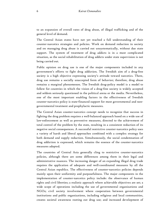to an expansion of overall rates of drug abuse, of illegal trafficking and of the general level of demand.

The Central Asian states have not yet reached a full understanding of their counter-narcotics strategies and policies. Work on demand reduction in society and on managing drug abuse is carried out unsystematically, without due state support. The system of treatment of drug addicts is in a most complicated situation, as the social rehabilitation of drug addicts under state supervision is not being carried out.

Public opinion on drug use is one of the major components included in any government's efforts to fight drug addiction. The Swedish aim of a drug-free society is a high objective expressing society's attitude toward narcotics. There, drug use remains a socially unaccepted form of behavior; therefore, drug abuse remains a marginal phenomenon. The Swedish drug-policy model is a model to follow for countries in which the vision of a drug-free society is widely accepted and seldom seriously questioned in the political arena or the media. Nevertheless, one of the most important enabling factors in the effectiveness of Swedish counter-narcotics policy is state-financed support for most governmental and nongovernmental treatment and prophylactic measures.

The Central Asian counter-narcotics concept needs to recognize that success in fighting the drug problem requires a well-balanced approach based on a wide use of law-enforcement as well as preventive measures, directed to the achievement of total control of the problem by the state, resulting in a consistent reduction of its negative social consequences. A successful restrictive counter-narcotics policy uses a variety of harsh and liberal approaches combined with a complex strategy for both demand and supply reduction. Simultaneously, the social condemnation of drug addiction is expressed, which remains the essence of the counter-narcotics measures adopted.

The countries of Central Asia generally cling to restrictive counter-narcotics policies, although there are some differences among them in their legal and administrative nuances. The increasing danger of an expanding illegal drug trade requires the application of adequate and well-coordinated measures by all the Central Asian republics. The effectiveness of counter-narcotics policies depends mainly upon their uniformity and purposefulness. The major components in the implementation of counter-narcotics policy include: the observance of human rights and civil liberties; a realistic approach where achievable objectives are set; a wide scope of operations including the use of governmental organizations and NGOs; civil society involvement where cooperation between governmental institutions and public organizations, including religious and local communities, creates societal awareness rooting out drug use; and increased development of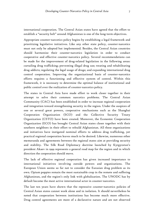international cooperation. The Central Asian states have agreed that the effort to establish a "security belt" around Afghanistan is one of the long-term objectives.

Appropriate counter-narcotics policy begins by establishing a legal framework and prioritizing legislative initiatives. Like any other state policy, counter-narcotics must not only be adopted but implemented. Besides, the Central Asian countries should harmonize their counter-narcotics legislation in order to conduct cooperative and effective counter-narcotics policy. Several recommendations can be made for the improvement of drug-related legislation in the following areas: curtailing drug trafficking; preventing illegal drug use; treating and rehabilitating drug addicts; regulating the legal usage of drugs; and expanding international drug control cooperation. Improving the organizational basis of counter-narcotics efforts requires a functioning and effective system of control. Within this framework, it is necessary to determine the optimal balance of institutional and public control over the realization of counter-narcotics policy.

The states in Central Asia have made effort to work closer together in their attempt to solve their common narcotics problems. The Central Asian Community (CAC) has been established in order to increase regional cooperation and integration toward strengthening security in the region. Under the auspices of one or several great powers, cooperative mechanisms such as the Shanghai Cooperation Organization (SCO) and the Collective Security Treaty Organization (CSTO) have been created. Moreover, the Economic Cooperation Organization (ECO) has brought Central Asian states closer together with their southern neighbors in their effort to rebuild Afghanistan. All these organizations and initiatives have instigated nominal efforts to address drug trafficking, yet practical regional cooperation leaves much to be desired. Likewise, numerous other memoranda and agreements between the regional states aim at providing security and stability. The Silk Road Diplomacy doctrine launched by Kyrgyzstan's president Akaev in 1999 represents a general road map for the region and in which direction the cooperation should move.

The lack of effective regional cooperation has given increased importance to international initiatives involving outside powers and organizations. The European Union seems so far not to consider the Eurasian drug problem as its own. Opium poppies remain the most sustainable crop in the remote and suffering Afghanistan, and the region's only link with globalization. The UNODC has by default become the most active international actor in counter-narcotics.

The last ten years have shown that the repressive counter-narcotics policies of Central Asian states cannot work alone and in isolation. It should nevertheless be noted that cooperation between institutions has become much more effective. Drug control agreements are more of a declarative nature and are not observed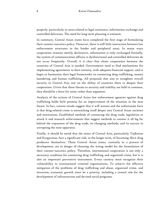properly, particularly in areas related to legal assistance, information exchange and controlled deliveries. The need for long-term planning is eminent.

In summary, Central Asian states have completed the first stage of formulating their counter-narcotics policy. However, there is still little interaction between law enforcement structures in the border and peripheral areas. In many ways cooperation remains merely declarative, information is only exchanged formally, the system of communication officers is dysfunctional and controlled deliveries do not occur frequently. Overall, it is clear that closer cooperation between the countries of Central Asia is needed. Governments need to find mechanisms for implementing agreements in their entirety, with adequate financial support, and to begin to harmonize their legal frameworks on countering drug trafficking, money laundering and human trafficking. All proposals that aim to straighten overall security in Central Asia rest on the ability of countries there to deepen their cooperation. Given that these threats to security and stability are held in common, they should be a force for unity rather than argument.

Analysis of the actions of Central Asian law enforcement agencies against drug trafficking holds little promise for an improvement of the situation in the near future. In fact, current trends suggest that it will worsen and the unfortunate facts is that drug-related crime is entrenching itself deeper into Central Asian societies and institutions. Established methods of countering the drug trade, legislation to attack it and research achievements that suggest methods to counter it all lag far behind the expansion of the drug trade, its changing methods, and its success in corrupting the state apparatus.

Finally, it should be noted that the states of Central Asia, particularly Tajikistan and Kyrgyzstan, face a significant risk, in the longer term, of becoming illicit drug producers themselves. These Central Asian states, currently in a process of development, are in danger of choosing the wrong model for the formulation of their counter-narcotics policy. Therefore, international cooperation is not only a necessary condition for countering drug trafficking and organized crime, but it is also an important preventive instrument. Every country must recognize their vulnerability to transnational criminal organizations. To achieve the effective mitigation of the problems of drug trafficking and abuse, organized crime, and terrorism, economic growth must be a priority, including a central role for the development of infrastructure and devised social programs.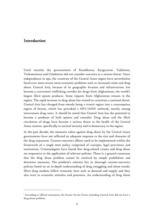#### Introduction

 $\overline{a}$ 

Until recently the governments of Kazakhstan, Kyrgyzstan, Tajikistan, Turkmenistan and Uzbekistan did not consider narcotics as a serious threat. $^{\mathrm{I}}$  Since independence in 1991, the countries of the Central Asian region have nevertheless faced ever more severe socio-economic problems such as increased crime and drug abuse. Central Asia, because of its geographic location and infrastructure, has become a convenient trafficking corridor for drugs from Afghanistan, the world's largest illicit opium producer. Some imports from Afghanistan remain in the region. The rapid increase in drug abuse has started to constitute a national threat. Central Asia has changed from merely being a transit region into a consumption region of heroin, which has provoked a HIV/AIDS outbreak, mostly among intravenous drug users. It should be noted that Central Asia has the potential to become a producer of both opiates and cannabis. Drug abuse and the illicit circulation of drugs have become a serious threat to the health of the Central Asian nations, specifically to societal security and to democracy in the region.

In the past decade, the measures taken against drug abuse by the Central Asian governments have not reflected an adequate response to the size and character of the drug expansion. Counter-narcotics efforts need to be implemented within the framework of a single state policy comprised of concepts, legal provisions and institutions. Criminologists have found that drug-related crimes and drug abuse are responsive to the application of relevant policies. There is a general consensus that the drug abuse problem cannot be resolved by simple prohibition and detention measures. The problem's solution lies in thorough counter-narcotics policies based on an in-depth understanding of drug smuggling and abuse trends. Illicit drug markets follow economic laws such as demand and supply and they also react to economic stimulus and pressures. An understanding of drug abuse

 $^{\text{\tiny{\text{I}}}}$  According to official statements, the former Soviet Union including Central Asia did not have a drug abuse problem.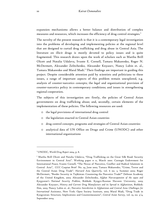expansion mechanisms allows a better balance and distribution of complex measures and resources, which increases the efficiency of drug control strategies.<sup>2</sup>

The novelty of the present research is that it is a contemporary legal investigation into the problems of developing and implementing policies at the regional level that are designed to curtail drug trafficking and drug abuse in Central Asia. The literature on illicit drugs is mostly devoted to policy issues and is quite fragmented. This research draws upon the work of scholars such as Martha Brill Olcott and Natalia Udalova, Svante E. Cornell, Тamara Makarenko, Roger N. McDermott, Alexander Zelitchenko, Alexander Knyazev, Nancy Lubin et. al., Tamara Makarenko and Maral Madi.<sup>3</sup> Their findings are important in guiding this project. Despite considerable attention paid by scientists and politicians to these issues, a range of important aspects of this problem remain unexplored, e.g. analysis of counter-narcotics concepts; the legal and organizational provision of counter-narcotics policy in contemporary conditions; and issues in strengthening regional cooperation.

The subjects of this investigation are: firstly, the policies of Central Asian governments on drug trafficking abuse; and, secondly, certain elements of the implementation of these policies. The following resources are used:

- o the legal provisions of international drug control
- o the legislation enacted in Central Asian countries
- o drug control concepts, programs and strategies of Central Asian countries
- o analytical data of UN Office on Drugs and Crime (UNODC) and other international organizations

<sup>2</sup> UNODC, *World Drug Report 2004*, p. 8.

<sup>&</sup>lt;sup>3</sup> Martha Brill Olcott and Natalia Udalova, "Drug Trafficking on the Great Silk Road: Security Environment in Central Asia". Working paper # 11, March 2000. Carnegie Endowment for International Peace; Svante Cornell, "The Nexus of Narcotics, Conflict and Radical Islamism in Central Asia", CCC Caspian Brief No. 24, June 2002; Tamara Makarenko, "Crime, Terror and the Central Asian Drug Trade". *Harvard Asia Quarterly*, vol. 6 no. 3, Summer 2002; Roger McDermott, "Border Security in Tajikistan: Countering the Narcotics Trade?" Defense Academy of the United Kingdom, 2002; Alexander Zelitchenko, *Afghan Narcoexpansion of the 1990s and Kyrgyzstan's National Security Problem*, Bishkek: Kyrgyz-Russian Slavonic University, 2003; Alexander Knyazev, *History and Current Drug Manufacture and its Spread in Afghanistan*, Bishkek: Ilim, 2003; Nancy Lubin et. al., *Narcotics Interdiction in Afghanistan and Central Asia: Challenges for International Assistance*, New York: Open Society Institute, 2002; Maral Madi, "Drug Trade in Kyrgyzstan: Structure, Implications and Countermeasures", *Central Asian Survey*, vol. 23, no. 3/4, September 2004.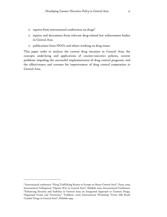- $\circ$  reports from international conferences on drugs<sup>4</sup>
- o reports and documents from relevant drug-related law enforcement bodies in Central Asia
- o publications from NGOs and others working on drug issues

This paper seeks to analyze the current drug situation in Central Asia, the concepts underlying and applications of counter-narcotics policies, current problems impeding the successful implementation of drug control programs, and the effectiveness and avenues for improvement of drug control cooperation in Central Asia.

<sup>4</sup> International conference "Drug Trafficking Routes to Europe en Route Central Asia", Paris, 2003; International Colloquium "Opium War in Central Asia", Bishkek 2000; International Conference "Enhancing Security and Stability in Central Asia: an Integrated Approach to Counter Drugs, Organized Crime and Terrorism," Tashkent, 2000; International Workshop "Great Silk Road: Combat Drugs in Central Asia", Bishkek 1999.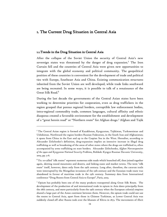#### I. The Current Drug Situation in Central Asia

#### 1.1. Trends in the Drug Situation in Central Asia

 $\ddot{\phantom{a}}$ 

After the collapse of the Soviet Union the security of Central Asia's new sovereign states was threatened by the danger of drug expansion. $^5$  The Iron Curtain fell and the countries of Central Asia were given new opportunities to integrate with the global economy and political community. The geopolitical position of these countries is convenient for the development of trade and political ties with Europe, Southeast Asia and China. Existing communication structures inherited from the Soviet Union are well developed, while trade links southward are being recreated. In some ways, it is possible to talk of a renaissance of the Great Silk Road.<sup>6</sup>

During the last decade the governments of the Central Asian states have been working to determine priorities for cooperation, even as drug traffickers in the region grasped that porous regional borders, corruptible law enforcement bodies, intra-regional commodity trade, common languages, cultural affinity and ethnic diasporas created a favorable environment for the establishment and development of a "great heroin road" or "Northern route" for Afghan drugs.7 Afghan and Tajik

 $5$  The Central Asian region is formed of Kazakhstan, Kyrgyzstan, Tajikistan, Turkmenistan and Uzbekistan. Northward the region borders Russian Federation, in the South Iran and Afghanistan; it spans from China in the East and up to the Caspian Sea in the West. Hereafter, according to Alexander Zelichenko's definition, drug-expansion implies an intensive increase in illegal drug trafficking as well as broadening of the areas of other states where the drugs are trafficked to, often accompanied by arms trafficking on state borders. Alexander Zelitchenko, *Afghan Narcoexpansion of the 1990s and Kyrgyzstan National Security Problem*s, Bishkek: Kyrgyz-Russian Slavonic University, 2003, pp. 5-6.

 $^6$ The so-called "silk routes" represent numerous side roads which branched off, then joined together again, skirting round mountains and deserts, and linking oases and market towns. The term "silk route" itself, however, dates only from the 19th century. Long after, therefore, the caravan trails were interrupted by the Mongolian invasions of the 13th century and the Eurasian trade route was abandoned in favour of maritime trade in the 15th century. Summary data from International conference "Drug Routes from Central Asia to Europe", Paris, 2003.

 $^7$  Opium has probably been one of the many products transported along Great Silk Route. The development of the production of and international trade in opium in Asia dates principally from the 18th century, and more particularly from the 19th century when the European colonial empires shared a large part of the Asian continent between them. However, the opium trade could not use the routes in Central Asia, apart from those in Chinese Turkistan, as Lower Central Asia was suddenly closed off after Russia took over the khanate of Khiva in 1873. The movements of illicit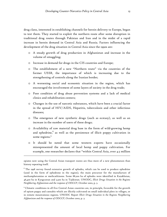drug clans, interested in establishing channels for heroin delivery to Europe, began to test them. They started to exploit the northern route after some disruption in traditional drug routes through Pakistan and Iran and in the midst of a rapid increase in heroin demand in Central Asia and Russia. Factors influencing the development of the drug situation in Central Asia since the 1990s are:

- o A steady growth of drug production in Afghanistan and increase in the volume of smuggling;
- o Increase in demand for drugs in the CIS countries and Europe;
- o The establishment of a new "Northern route" via the countries of the former USSR, the importance of which is increasing due to the strengthening of controls along the Iranian border;
- o A worsening social and economic situation in the region, which has encouraged the involvement of some layers of society in the drug trade;
- o Poor condition of drug abuse prevention systems and a lack of medical clinics and rehabilitation centers;
- o Changes in the use of narcotic substances, which have been a crucial factor in the spread of HIV/AIDS, Hepatitis, tuberculosis and other infectious diseases;
- o The emergence of new synthetic drugs (such as ecstasy), as well as an increase in the number of users of these drugs;
- o Availability of raw material drug base in the form of wild-growing hemp and ephedrine, $^8$  as well as the persistence of illicit poppy cultivation in some regions.<sup>9</sup>
- o It should be noted that some western experts have occasionally misrepresented the amount of local hemp and poppy cultivation. For example, one researcher declares that "within Central Asia, over 4.5 million

**-**

opiates now using the Central Asian transport routes are thus more of a new phenomenon than history repeating itself.

 $8$  The 1998 survey found extensive growth of ephedra, which can be used to produce ephedrine (used in the form of ephedrone in the region), the main precursor for the manufacture of methamphetamine or methcathinone. Some 88,200 ha of ephedra were identified in Kazakhstan, 46,400 ha in Kyrgyzstan and 3,500 ha in Tajikistan. UNODC, *Illicit Drugs Situation in the Regions Neighboring Afghanistan and the response of ODCCP*, October 2002, p. 3.

<sup>9</sup> Climatic conditions in all five Central Asian countries are, in principle, favorable for the growth of opium poppy and cannabis which are illicitly cultivated on small individual plots in villages, or in remote mountainous regions. UNODC Report *Illicit Drugs Situation in the Regions Neighboring Afghanistan and the response of ODCCP*, October 2002, p. 3.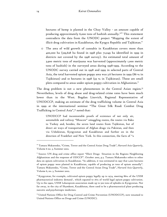hectares of hemp is planted in the Chuy Valley - an amount capable of producing approximately 6,000 tons of hashish annually."<sup>10</sup> This statement contradicts the data from the UNODC project "Mapping the extent of illicit drug cultivation in Kazakhstan, the Kyrgyz Republic and Tajikistan."

o The area of wild growth of cannabis in Kazakhstan covers more than 400,000 ha (329,628 ha found in 1998 plus 72,049 ha identified in 1999 in districts not covered by the 1998 survey). An estimated total amount of 3,900 metric tons of marijuana was harvested (approximately 1,000 metric tons of hashish) in the surveyed areas during 1998-1999. According to the UNODC survey carried out in 1998 and 1999 in selected parts of Central Asia, the total harvested opium poppy area was 3.6 hectares in 1999 (86 % in Tajikistan) and 10 hectares in 1998 (93 % in Tajikistan). These are small plots compared to areas under opium poppy cultivation in Afghanistan. $^{\mathrm{II}}$ 

The drug problem is not a new phenomenon in the Central Asian region.<sup>12</sup> Nevertheless, levels of drug abuse and drug-related crime rates have been much lower than in the West. Bogdan Lisovich, Regional Representative of UNODCCP, making an estimate of the drug trafficking volume in Central Asia in 1999 at the international seminar "The Great Silk Road: Combat Drug Trafficking in Central Asia",13 noted that:

UNODCCP had incontestable proofs of existence of not only air, automobile and railway "Moscow" smuggling routes, the routes via Baku to Turkey and, besides, the seven land routes from Tajikistan, but of direct air ways of transportation of Afghan drugs via Pakistan, and then via Uzbekistan, Kyrgyzstan and Kazakhstan and further on in the direction of Frankfurt and New York. In this connection, the facts of "a

<sup>10</sup> Tamara Makarenko, "Crime, Terror and the Central Asian Drug Trade", *Harvard Asia Quarterly*, Volume 6 no. 3, Summer 2002.

<sup>11</sup> Source: UN drug and crime office report "Illicit Drugs Situation in the Regions Neighboring Afghanistan and the response of ODCCP". October 2002, p.3. Tamara Makarenko refers to other data on opium cultivation in Kazakhstan. "In addition, it was estimated in 1997 that 2,000 hectares of opium poppy were planted in Kazakhstan, capable of producing 30 tons of opium annually". Tamara Makarenko, "Crime, Terror and the Central Asian Drug Trade", *Harvard Asia Quarterly*, Volume 6, no. 3, Summer 2002.

<sup>&</sup>lt;sup>12</sup> Kyrgyzstan, for example, cultivated opium poppy legally up to 1974, meeting 86% of the USSR pharmaceutical industry demand , which equated to 16% of world legal opium poppy cultivation. Up to the 1990s, USSR Lekarsprom association made up to 500 tons of ephedra in Kyrgyzstan. Not far away, in the city of Shymkent, Kazakhstan, there used to be a pharmaceutical plant producing narcotic and psychotropic medicines.

<sup>&</sup>lt;sup>13</sup> United Nations Office for Drug Control and Crime Prevention (UNODCCP), now renamed to United Nations Office on Drugs and Crime (UNODC).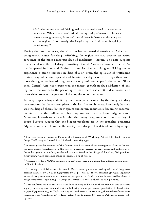kilo" seizures, usually well highlighted in mass media need to be seriously considered. While a seizure of insignificant quantity of narcotic substance causes a strong reaction, dozens of tons of drugs in heroin equivalent pass via the region. Unfortunately, the illegal drug traffic situation is quickly deteriorating.<sup>14</sup>

During the last five years, the situation has worsened dramatically. Aside from being transit zones for drug trafficking, the region has also become an active consumer of the most dangerous drug of modernity – heroin. The data suggests that around one third of drugs transiting Central Asia are consumed there.15 As has happened in Iran and Pakistan, countries that are along trafficking routes experience a strong increase in drug abuse.16 From the spillover of trafficking routes, drug addiction, especially of heroin, has skyrocketed. In 1990 there were more than 5,000 registered drug users out of 50 million people in the region. Since then, Central Asia has experienced the fastest growth in drug addiction of any region of the world. In the period up to 2002, there was an 18-fold increase, with users rising to over one percent of the population of the region.

In many respects drug addiction growth was predetermined by the changes in drug consumption that have taken place in the last five to six years. Previously hashish was the drug of choice, but now opium and heroin addiction is becoming endemic, facilitated by the inflow of cheap opium and heroin from Afghanistan.<sup>17</sup> Moreover, it needs to be kept in mind that many drug users consume a variety of drugs. Surveys suggest that the biggest problems are in the republics bordering Afghanistan, where heroin is the mostly used drug.18 The data obtained by a rapid

<sup>&</sup>lt;sup>14</sup> Lisovich, Bogdan. Presented Paper at the International Workshop "Great Silk Road: Combat Drugs Trafficking in Central Asia". Bishkek, 19-20 May 1999.

 $15$  In recent years the countries of the Central Asia have been likely turning into a kind of "sump" for drug traffic. Simultaneouyls this affects a general increase in drug crime and addiction. In December 1999 a cache of unprecedented size was found in the village of Tuleikan, Osh province, Kyrgyzstan, which contained 831 kg of opium, 2, 6 kg of heroin.

<sup>&</sup>lt;sup>16</sup> According to the UNODC estimation in 2003 there were 1, 2 million drug addicts in Iran and 0,5 million in Pakistan.

<sup>&</sup>lt;sup>17</sup> According to official sources, in 2002 in Kazakhstan opium was used by 66,5 % of drug users persons, cannabis by 23,3 %; in Kyrgyzstan by 41, 5 %, heroin - 21,8 %, cannabis 25,3 %; in Tajikistan 75,4 % of drug users persons used heroin, 14,2 % opium ; in Uzbekistan heroin was used by 58,9 % of drug users persons, opium 19,5 % - Drugs in Central Asia 2003, Bishkek: WHO, pp. 25-26.

 $18$  This conforms with WHO data - the level of drug addiction in these republics has decreased slightly in 2002 against 2001 and is at the following rate of per 100,000 population: in Kazakhstan, 70,6; in Kyrgyzstan 16,5; in Tajikistan 8,6; in Uzbekistan 12. In early 2003, the number of drug users registered was: Kazakhstan 49736; Kyrgyzstan 5600; Tajikistan 8813 and in Uzbekistan 21360. Ibid., pp. 27-31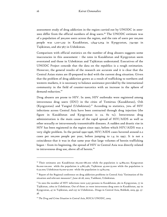assessment study of drug addiction in the region carried out by UNODC in 2000- 2002 differ from the official numbers of drug users.19 The UNODC estimate was of a population of 300,000 users across the region, and the rate of users per 100,000 people was 1,110-1,251 in Kazakhstan, 1,644-2,054 in Kyrgyzstan, 734-991 in Tajikistan, and 262-367 in Uzbekistan.

Comparison with official statistics on the number of drug abusers suggests some inaccuracies in this assessment – the rates in Kazakhstan and Kyrgyzstan seem overstated and those in Uzbekistan and Tajikistan understated. Executives of the UNODC Project concede that the data on the republics is a rough estimation. However, the general results of the research are accurate and it is clear that the Central Asian states are ill-prepared to deal with the current drug situation. Given that the problem of drug addiction grows as a result of trafficking to northern and western markets, it is necessary to balance assistance provided by the international community in the field of counter-narcotics with an increase in the sphere of demand reduction.<sup>20</sup>

Drug abusers are prone to HIV. In 2000, HIV outbreaks were registered among intravenous drug users (IDU) in the cities of Temirtau (Kazakhstan), Osh (Kyrgyzstan) and Yangiul (Uzbekistan).<sup>21</sup> According to statistics, 70% of HIV infections across Central Asia have been contracted through drug injection (the figure in Kazakhstan and Kyrgyzstan is ca. 82 %). Intravenous drug administration is the main cause of the rapid spread of HIV/AIDS as well as other sexually or intravenously transmittable diseases. A sudden and drastic rise in HIV has been registered in the region since 1997, before which HIV/AIDS was a very slight problem. In the period 1990-1996, HIV/AIDS cases hovered around 0.2 cases per 100,000 people per year, before jumping to 1.4 in 1997. It is not a coincidence that it was in that same year that large volumes of heroin trafficking began – from its beginning, the spread of HIV in Central Asia was directly related to intravenous drug use, above all of heroin.<sup>22</sup>

<sup>&</sup>lt;sup>19</sup> Their estimates are: Kazakhstan 165.000-186.000 while the population is 14.869.021; Kyrgyzstan 80.000-100.000 while the population is 4.867.481; Tajikistan 45.000-55.000 while the population is 6.131.000; Uzbekistan 65.000-91.000 while the population is 24.813.109.

<sup>&</sup>lt;sup>20</sup> Report of the Regional conference on drug addiction problems in Central Asia "Estimation of the situation and relevant measures", June 26-28, 2002, Tashkent, Uzbekistan.

 $21$  In 2002 the number of HIV infections were 3,257 persons in Kazakhstan, 362 in Kyrgyzstan, 77 in Tajikistan, 17602 in Uzbekistan. Out of these 711 were intravenous drug users in Kazakhstan, 297 in Kyrgyzstan, 47 in Tajikistan, and 1137 in Uzbekistan.. Drugs in Central Asia, Bishkek, 2003, pp. 37- 38.

<sup>&</sup>lt;sup>22</sup> The Drug and Crime Situation in Central Asia, ROCA UNODC, 2003.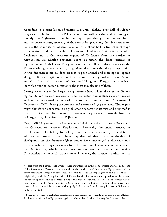According to a compilation of unofficial sources, slightly over half of Afghan drugs seem to be trafficked via Pakistan and Iran (with an estimated 15% smuggled directly into Afghanistan from Iran and up to 40% through Pakistan and Iran), and the overwhelming majority of the remainder goes along the Northern route, i.e. via the countries of Central Asia. Of this, about half is trafficked through Turkmenistan and half through Tajikistan and Uzbekistan. Opium is delivered to Dushanbe and to the northern regions of Tajikistan from the borders of Afghanistan via Khatlon province. From Tajikistan, the drugs continue to Kyrgyzstan and Uzbekistan. Ten years ago, the main flow of drugs was along the Khorog-Osh highway. Currently, drug seizure data shows that drug transportation in this direction is mostly done on foot or pack animal and crossings are spread along the Kyrgyz-Tajik border in the direction of the regional centers of Batken and Osh. Six main directions of drug trafficking into Kyrgyzstan have been identified and the Batken direction is the most troublesome of them.<sup>23</sup>

During recent years the largest drug seizures have taken place in the Batken region. Batken borders Uzbekistan and Tajikistan and includes several Uzbek enclaves that were used by international extremists from the Islamic Movement of Uzbekistan (IMU) during the summer and autumn of 1999 and 2000. This region might therefore be expected to be problematic as terrorist activity and drug mafias have led to its destabilization and it is precariously positioned across the frontiers of Kyrgyzstan, Uzbekistan and Tajikistan.

Drug trafficking routes from Uzbekistan wind through the territory of Russia and the Caucasus via western Kazakhstan.24 Practically the entire territory of Kazakhstan is affected by trafficking. Turkmenistan does not provide data on seizures but some analysts have hypothesized that the strengthening of checkpoints on the Iranian-Afghan border have encouraged a diversion into Turkmenistan of drugs previously trafficked via Iran. Turkmenistan has access to the Caspian Sea, which makes transportation faster and cheaper and makes Turkmenistan a favorable transit zone. However, the country's authorities are

<sup>&</sup>lt;sup>33</sup> Apart from the Batken route which covers mountainous paths from Jergetal and Garm districts of Tajikistan to the Batken province and the Kadamjai district, Osh province, Kyrgyzstan, and the above-mentioned Kyzyl-Art route, which covers the Osh-Khorog highway and adjacent areas, neighboring with the Murgab district of Gorny Badakhshan autonomous province of Tajikistan, the following routes should be fetched out: Altyn-Mazar route, which starts on the Rushan plateau then via gorges of the Zaalai range to the Chon-Alai valley, and, at last, the Leninobad route, which covers all the automobile roads from the Lyailyak district and neighboring districts of Uzbekistan to the city of Osh.

<sup>&</sup>lt;sup>24</sup> Since 2000, when Uzbekistan established a visa regime, automobile drug flows from Afghan-Tajik routes switched to Kyrgyzstan again, via Gorno-Badakhshan (Khorog-Osh) in particular.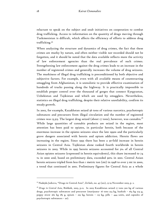reluctant to speak on the subject and snub initiatives on cooperation to combat drug trafficking. Access to information on the quantity of drugs moving through Turkmenistan is difficult, which affects the efficiency of efforts to address drug trafficking.<sup>25</sup>

When analyzing the structure and dynamics of drug crimes, the fact that these crimes are murky by nature, and often neither visible nor recorded should not be forgotten, and it should be noted that the data available reflects more the activity of law enforcement agencies than the real prevalence of such crimes. Strengthening law enforcement against the drug crimes leads to an increase in the number of registered crimes and generally increases the volume of drug seizures. The murkiness of illegal drug trafficking is preconditioned by both objective and subjective factors. For example, even with all available means of counteracting smuggling from Afghanistan, it is unrealistic to provide effective examination of hundreds of trucks passing along the highway. It is practically impossible to establish proper control over the thousand of gorges that connect Kyrgyzstan, Uzbekistan and Tajikistan and which are used by smugglers. Nevertheless, statistics on illegal drug trafficking, despite their relative unreliability, confirm its steady growth.

In 2002, for example, Kazakhstan seized 56 tons of various narcotics, psychotropic substances and precursors from illegal circulation and the number of registered crimes was 13,313. The largest drug seized (about 17 tons), however, was cannabis.<sup>26</sup> While large quantities of cannabis products are seized in the region, most attention has been paid to opiates, in particular heroin, both because of the enormous increase in the opiates seizures since the late 1990s and the particularly grave dangers associated with heroin and opium addiction. Heroin flows are increasing in the region. Since 1993 there has been a 30-fold increase in heroin seizures in Central Asia. Tajikistan alone ranked fourth worldwide in heroin seizures in 2003. While in 1995 heroin seizures accounted for 3% of all Central Asian opiates seizures (expressed in heroin equivalents), this share increased to 74 % in 2000 and, based on preliminary data, exceeded 90% in 2001. Central Asian heroin seizures tripled from less than 1 metric ton (mt) in 1998 to over 3 mt in 2000, a trend that continued in 2001. Preliminary figures for Central Asia as a whole

<sup>25</sup> Nadejda Jarkova, "Drugs in Central Asia", *Zerkalo*, no. 45 (201), 13-19 November 2003, p. 2.

<sup>26</sup> *Drugs in Central Asia*, Bishkek, 2003, p.12. In 2003 Kazakhstan seized 17 tons 300 kg of various drugs, psychotropic substances and precursor (marijuana- 16 tons 514 kg, hashish – 164 kg 274 g, poppy straw 262 kg 185 g, opium – 219 kg, heroin – 123 kg, pills – 444 units, and capsules of psychotropic substances – 20).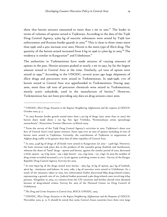show that heroin seizures amounted to more than  $5$  mt in 2001.<sup>27</sup> The leader in terms of volumes of opiates seized is Tajikistan. According to the data of the Tajik Drug Control Agency, 9,603 kg of narcotic substances were seized by Tajik law enforcement and Russian border guards in 2003.<sup>28</sup> This is close to three times more than 1996, and a 43% increase over 2002. Heroin is the main type of illicit drug. The quantity of the heroin seized increased from 6 kg in 1996 to 5,600 kg in 2003.<sup>29</sup> The tendency is similar in Kyrgyzstan<sup>30</sup> and Uzbekistan.<sup>31</sup>

The authorities in Turkmenistan have made seizures of varying amounts of opiates in the past. Heroin seizures peaked at nearly 2 mt in 1997, by far the largest amount seized in Central Asia at the time. Similarly, 4.6 tons of opium were seized in 1999.<sup>32</sup> According to the UNODC, several years ago large shipments of illicit drugs and precursors were seized in Turkmenistan. In 1996-1998, 77% of heroin seized in Central Asia was apprehended in Turkmenistan. During 1995- 2000, more than 198 tons of precursor chemicals were seized in Turkmenistan, mostly acetic anhydride, used in the manufacture of heroin.33 However, Turkmenistan has not been providing any data on drug seizures since 2000.

 $\ddot{\phantom{a}}$ 

<sup>29</sup> From the survey of the Tajik Drug Control Agency's activities in 2003. Tajikistan's share was 82% of Central Asia's total opiate seizures. Since 1999 over 30 tons of opiates including 16 tons of heroin were seized in Tajikistan. Certainly, the contribution of Tajikistan to suppression of Afghan drug traffic is far greater than that of other republics of Central Asia.

 $30$  In 2003, 3,548 kg of drugs of all kinds were seized in Kyrgyzstan (in 2002 – 2,906 kg). However, the basic increase took place due to the products of the cannabis group (hashish and marihuana), whereas the share of "hard" drugs - opium and heroin, against the similar period of 2002, decreased a little: opium - 45, 6 kg (2002 - 109, 2 kg); heroin - 104, 5 kg (2002 - 271, 2 kg). In 2003 the number of drug crimes revealed increased 2, 9 % (3.106 against 3.018 drug crimes in 2002 - Survey of the Kyrgyz Republic Drug Control Agency Activity for 2003.

 $31$  In 2002 839,6 kg of the drugs seized were heroin - 256,3 kg, 76 kg of opium, 44,7 kg of hashish, 462,6 kg - marijuana and koknar. In 2003, 1080, 5 kg of narcotics were seized in Uzbekistan. As a result of the measures taken in 2003, law enforcement bodies discovered 8893 drug-related crimes, representing a growth rate of 2%. Judicial bodies processed 5,460 drug-related cases involving 6,845 persons. Altogether in 2003, 177 citizens from the CIS countries and further abroad were detained because of drug-related crimes. Survey for 2003 of the National Center on Drug Control of Uzbekistan.

<sup>32</sup> The Drug and Crime Situation in Central Asia, ROCA UNODC, 2003.

<sup>33</sup> UNODC, *Illicit Drugs Situation in the Region Neighboring Afghanistan and the Response of ODCCP*, November 2002, p. 13. It should be noted that some Central Asian countries have their own large

<sup>27</sup> UNODC, *Illicit Drugs Situation in the Regions Neighboring Afghanistan and the response of ODCCP*, October 2002, p. 3.

 $^{28}$  In 2003 Russian border guards seized more than 5 320 kg of drugs (32% more than in 2002) the heroin share made about 2 750 kg. See: Igor Vitebsky, "Kriminalnaya armia spesialnogo naznachenia", *Nezavisimoe Voennoe Obozrenie*, 19 March 2004.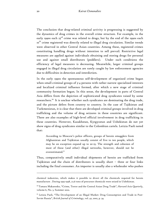The conclusion that drug-related criminal activity is progressing is suggested by the dynamics of drug crimes in the overall crime structure. For example, in the early 1990s each  $23^{\text{rd}}$  crime was related to drugs, but by the end of the 1990s each 10<sup>th</sup> crime registered was directly related to illegal drug circulation. Similar trends were observed in other Central Asian countries. Among these, registered crimes constituting handling drugs without intention to sell prevail. Restrictive legal measures are applied against individuals obtaining and storing drugs for personal use and against small distributors (peddlers). Under such conditions the efficiency of legal measures is decreasing. Meanwhile, larger criminal groups engaged in illegal drug circulation are rarely caught by law enforcement agencies due to difficulties in detection and interdiction.

In the early 1990s the spontaneous self-development of organized crime began when small criminal groups of 3-4 persons with rather narrow specialized interests and localized criminal influence formed, after which a new stage of criminal community formation began. In this sense, the development in parts of Central Asia differs from the depiction of sophisticated drug syndicates raised by some researchers.<sup>34</sup> It is unclear whether such syndicates are dominating the drug trade, and the picture defers from country to country. In the case of Tajikistan and Turkmenistan, it is clear that there are developed criminal groups involved in drug trafficking and the volume of drug seizures in these countries are significant. There are also examples of high-level official involvement in drug trafficking in these countries. However, Kazakhstan, Kyrgyzstan and Uzbekistan do not yet show signs of drug syndicates similar to the Colombian cartels. Letizia Paoli noted that:

According to Moscow's police officers, groups of heroin smugglers from Afghanistan and Tajikistan usually consist of five to ten people, which may be on exception expand up to 20-25. The strength and cohesion of most of these (and other) illegal networks, however, should not be overestimated.<sup>35</sup>

Thus, comparatively small individual shipments of heroin are trafficked from Tajikistan and the chain of distributors is usually short – three or four links including the final consumer. An importer is usually also a wholesaler who pushes

**-**

chemical industries, which makes it possible to divert all the chemicals required for heroin manufacture . During 1995-1998, 77,6 tons of precursor chemicals were seized in Uzbekistan.

<sup>34</sup> Tamara Makarenko, "Crime, Terror and the Central Asian Drug Trade", *Harvard Asia Quarterly*, volume 6, No. 3, Summer 2002.

<sup>&</sup>lt;sup>35</sup> Letizia Paoli, "The Development of an Illegal Market: Drug Consumption and Trade in Post-Soviet Russia", *British Journal of Criminology*, vol. 42, 2002, p. 34.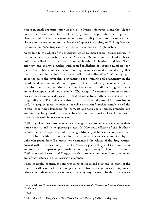heroin in small quantities after its arrival in Russia. However, along the Afghan borders all the indications of drug-syndicate organization are present, characterized by strategy, armament and sustainability. There are incessant armed clashes on the border and in two decades of opposition to drug trafficking Iran has lost more than 3000 drug control officers at its border with Afghanistan.

According to the Chief of the Headquarters of Russian Federal Border Service in the Republic of Tajikistan, General Alexander Baranov, in 2003 border checkpoints were fired at 12 times, both from neighboring Afghanistan and from Tajik territory, and 25 armed clashes with armed traffickers of superior numbers took place. The military units are confronted by an international criminal army that has a sharp and branching structure as well as strict discipline.<sup>36</sup> While trying to cross the river the smugglers demonstrate good training and consistency in the coordinated actions of different groups. Their leaders permanently try to misinform and side-track the border guard services. In addition, drug traffickers are well-equipped and quite mobile. The usage of scrambled communication devices has become widespread. In 2003 14 radio transmitters were seized from drug traffickers. The traffickers also carry arms potentially useful for terrorism as well. In 2003, seizures included 13 portable antiaircraft rocket complexes of the "Strela" type, three launchers for them, jet and tank shells, mines, grenades and ammunition for grenade launchers. In addition, over 100 kg of explosives were seized, a five-fold increase over 2002.<sup>37</sup>

Tajik organized drug groups openly challenge law enforcement agencies in their home country and in neighboring states. In May 2004 officers of the Southern counter-narcotics department of the Kyrgyz Ministry of Interior detained a citizen of Tajikistan with 3 kg of heroin. Later, these officers were attacked by an unknown group from Tajikistan, who demanded the release of the drug courier. Armed with three machine-guns and a Makarov pistol, they shot twice in the air and took their compatriot, presumably an accomplice, away.<sup>38</sup> There is a custom in Tajikistan and the south of Kyrgyzstan that property and even family members are left as hostages to drug lords as a guarantee.

These examples confirm the strengthening of organized drug-related crime at the micro (local) level, which is not properly controlled by authorities. Organized crime takes advantage of weak government by any means. The dramatic events

<sup>36</sup> Igor Vitebsky, "Kriminalnaya armia spesialnogo naznachenia", *Nezavisimoe Voennoe Obozrenie*, 19 March 2004.

<sup>37</sup> Ibid.

<sup>38</sup> Oibek Khamidov, "Drug Courier Was Taken Abroad", *Vecherny Bishkek*, 19 May 2004.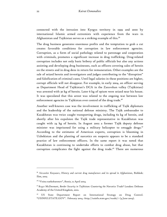connected with the intrusion into Kyrgyz territory in 1999 and 2000 by international Islamic armed extremists with experience from the wars in Afghanistan and Tajikistan serves as a striking example of this.<sup>39</sup>

The drug business generates enormous profits and the temptation to grab a cut creates favorable conditions for corruption in law enforcement agencies. Corruption, as a form of social pathology related to patronage and cooperation with criminals, promotes a significant increase in drug trafficking. Drug-related corruption includes not only basic bribery of public officials but also any actions assisting and developing drug businesses, such as officers covering sales of heroin on the streets and in drug dens in return for remuneration. Other examples are the sale of seized heroin and investigators and judges contributing to the "disruption" and falsification of criminal cases. Until legal salaries in these positions are higher, corrupt officials will not disappear. For example, in early 2004, an officer serving as Department Head of Tajikistan's DCA in the Zaravshan valley (Tajikistan) was arrested with 30 kg of heroin. Later 6 kg of opium were seized near his house. It was speculated that this arrest was related to the ongoing war between law enforcement agencies in Tajikistan over control of the drug trade.<sup>40</sup>

Another well-known case was the involvement in trafficking of Tajik diplomats and the leadership of the national defense ministry. The Tajik ambassador to Kazakhstan was twice caught transporting drugs, including 62 kg of heroin, and shortly after his expulsion the Tajik trade representative in Kazakhstan was caught with 24 kg of heroin. In August 2002 a former Tajik deputy defense minister was imprisoned for using a military helicopter to smuggle drugs.<sup>41</sup> According to the estimates of American experts, corruption is blooming in Uzbekistan and the planting of narcotics on suspects appears to be a standard practice of law enforcement officers. In the same report it was noted that Kazakhstan is continuing to undertake efforts to combat drug abuse, but that corruption complicates the fight against the drug trade.<sup>42</sup> There are numerous

<sup>39</sup> Alexander Knyazev, *History and current drug manufacture and its spread in Afghanistan*, Bishkek: Ilim, 2003.

<sup>40</sup> "Voina narkobaronov", *Rossia*, 12 April 2004.

<sup>41</sup> Roger McDermott, *Border Security in Tajikistan: Countering the Narcotics Trade?* London: Defense Academy of the United Kingdom, 2002.

<sup>42</sup> US State Department Report on International Strategy on Drug Control. "USINFO.STATE.GOV". February 2004, <http://usinfo.state.gov/russki/> (4 June 2004).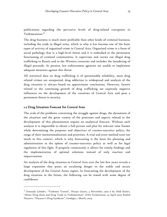publications regarding the pervasive levels of drug-related corruption in Turkmenistan.<sup>43</sup>

The drug business is much more profitable than other kinds of criminal business, including the trade in illegal arms, which is why it has become one of the basic types of activity of organized crime in Central Asia. Organized crime is a form of social pathology that is a high-level threat and it is embodied in the permanent functioning of criminal communities. It supervises and carries out illegal drug trafficking to Russia and to the Western countries and includes the laundering of illegal proceeds. At present, law enforcement agencies are unable to implement adequate measures against this threat.

All statistical data on drug trafficking is of questionable reliability, most drug related crimes are unreported, drug addiction is widespread and analysis of the drug situation is always based on approximate conclusions. However, factors related to the continuing growth of drug trafficking are expressly negative influences on the development of the countries of Central Asia and pose a permanent threat to security.

#### 1.2 Drug Situation Forecast for Central Asia

 $\ddot{\phantom{a}}$ 

The scale of the problems concerning the struggle against drugs, the dynamism of the situation and the great variety of the processes and aspects related to the development of this phenomenon require an analytical forecast. Without such analysis it is impossible to obtain a full picture and plan for relevant time frames while determining the purposes and objectives of counter-narcotics policy, the range of their institutionalization and priorities. A trial and error method costs too much in this context, which is why forecasting is the basis for planning and administration in the sphere of counter-narcotics policy as well as for legal regulation of this fight. If properly constructed, it allows for timely findings and the implementation of optimal solutions instead of only reaction and improvisation.

An analysis of the drug situation in Central Asia over the last few years reveals a large expansion that poses an escalating danger to the stable and secure development of the Central Asian region. In forecasting the development of the drug situation in the future, the following can be stated with some degree of confidence:

<sup>43</sup> Gennady Lebedev, "Turkmen Transit", *Novaya Gazeta*, 4 November, 2002 # 81; Abdi Kuliev, "About Drug abuse and Drug Trade in Turkmenistan", *Erkin Turkmenistan*, 24 April 2002; Rashid Nazarov, "Niyazov's Drug Syndicate", *Gundogar*, 1 March, 2004.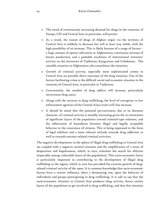- o The trend of continuously increasing demand for drugs in the countries of Europe, CIS and Central Asia in particular, will persist;
- o As a result, the transit of drugs of Afghan origin via the territory of Central Asia is unlikely to decrease but will at least stay stable, with the high possibility of an increase. This is likely because of a range of factors – a huge amount of opium cultivation in Afghanistan; continuous increase of heroin production; and a probable escalation of international terrorists' activity on the territories of Tajikistan, Kyrgyzstan and Uzbekistan. The unstable situation in Afghanistan also exacerbates the situation;
- o Growth of criminal activity, especially more sophisticated crimes in Central Asia are possible direct outcomes of the drug situation. One of the factors facilitating crime is the difficult social and economic situation in the countries of Central Asia, in particular in Tajikistan;
- o Concurrently, the number of drug addicts will increase, particularly intravenous drug users;
- o Along with the increase in drug trafficking, the level of corruption in law enforcement agencies of the Central Asian states will also increase.
- o It should be noted that the potential pervasiveness, due to its dormant character, of criminal activity is steadily increasing given the re-orientation of significant layers of the population toward criminal-type relations, and the obliteration of boundaries between illegal and legally acceptable behavior in the conscience of citizens. This is being expressed in the form of legal nihilism and a more tolerant attitude towards drug addiction as well as towards narcotic-related criminal activities.

The negative developments in the sphere of illegal drug trafficking in Central Asia are coupled with a negative societal situation and the amplification of a sense of desperation and hopelessness, which, in turn, stimulate the search for oblivion (especially among vulnerable layers of the population). This socio-economic factor is particularly important in contributing to the development of illegal drug trafficking in the region, which in turn has provoked the extreme growth of drugrelated criminal activity of the 1990s. It is common knowledge that socio-economic factors have a certain influence, often a dominating one, upon the behavior of individuals and groups participating in drug trafficking. It is safe to say that the socio-economic situation in Central Asia produces drug activity, forces certain layers of the population to get involved in drug trafficking, and that this situation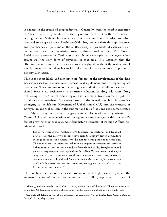is a factor in the spread of drug addiction.<sup>44</sup> Generally, with the notable exception of Kazakhstan, living standards in the region are the lowest in the CIS, and are getting worse. Vulnerable layers, such as pensioners and youths, are often involved in drug activities. Easily available drug crops, relatively high incomes, and the absence of pensions or the endless delay of payments of salaries are all factors that push the population towards drug-related activity. The Gorno-Badakhshan province of Tajikistan is an obvious example in the 1990s, when opium was the only form of payment in that area. It is apparent that the effectiveness of counter-narcotics measures is negligible without the realization of a wide range of comprehensive social and economic measures, most importantly poverty alleviation.

This is the most likely and disheartening forecast of the development of the drug situation, based on a continuous increase in drug demand and in Afghan opiate production. The combination of increasing drug addiction and religious extremism should force state authorities to prioritize solutions to drug addiction. Drug trafficking in the Central Asian region has become a direct source of political instability and terrorism. The events linked to the intrusion of Islamic terrorists belonging to the Islamic Movement of Uzbekistan (IMU) into the territory of Kyrgyzstan and Uzbekistan in the summer and fall of 1999 and 2000 demonstrated this. Afghan drug trafficking to a great extent influenced the drug situation in Central Asia and the populations of the region became hostages of this the world's fastest-growing drug producer. As Afghanistan's Minister of Foreign Affairs Mr. Abdullah stated:

Let us not forget that Afghanistan's historical misfortunes and troubled politics over the past two decades gave birth to a poppy-driven agriculture in large areas of our country. We did not face this problem 25 years ago. The root causes of increased reliance on poppy cultivation are directly linked to invasions, massive exodus of people and skills, drought, war and poverty. Afghanistan was agriculturally self-sufficient prior to the 1978 coup d'état, but as internal conditions worsened over time, narcotics became a means of livelihood for many inside the country, but also a very profitable business venture for producers, smugglers and criminal circles in our region and beyond.<sup>45</sup>

The combined effect of increased production and high prices explained the estimated value of 2003's production at \$1.2 billion, equivalent to 52% of

<sup>&</sup>lt;sup>44</sup> About 55 million people live in Central Asia, mainly in rural localities. There are nearly 100 ethnicities. Children and youths make up 30-45% of the population, about 50% are employable.

<sup>45</sup> Abdullah, Abdullah. Speech at the international conference "Drug Routes from Central Asia to Europe". Paris, May 22, 2003.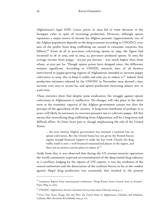Afghanistan's legal GDP. Lower prices in 2004 led to some decrease in the farmgate value in spite of increasing production. However, although opium represents a major source of income for Afghan peasants (approximately 10% of the Afghan population depends on the drug economy according to UNODC), over 90% of the profits from drug trafficking are earned in consumer countries (\$25 billion).<sup>46</sup> From 18 of 32 provinces cultivating opium in 1999, the figure had increased to 28 in 2003, and in 2004, a;; provinces produced opium. In 2003 the average income from poppy - \$12,700 per hectare - was much higher than from wheat, at \$222 per ha. Though opium prices have dropped since, the difference remains significant. According to UNODC research, 69% of all farmers interviewed in poppy-growing regions of Afghanistan intended to increase poppy cultivation in 2004, 16% to keep it stable and only 4% to reduce it.<sup>47</sup> Indeed, final production estimates released by the UNODC in November 2004 showed a 64% increase over 2003 to 131,000 ha, and opium production increasing almost 20% to 4,200 tons.

These statistics show that despite some eradication, the struggle against opium cultivation in Afghanistan is ineffective. No changes will take place in the short term as the economic capacity of the Afghan government cannot not alter the precepts of the agriculture of the country. A long-term timeframe of perhaps 10-15 years will likely be necessary to convince peasants not to cultivate poppy. All this means that neutralizing drug trafficking from Afghanistan will be a long-term and difficult effort. As Peter Scott puts it, though emphasizing the role of the United States:

… the new interim Afghan government has initiated a nominal ban on opium cultivation. But the United States has not given the Hamid Karzai regime enough financial support to make the ban work. Clearly the drug traffic itself is now a well-financed transnational player in the region, and there are no serious current plans to reduce it. $4^8$ 

Aside from this, it was observed that during the US counter-terrorist operations the world community expected an extermination of the deep-rooted drug industry as a corollary. Judging by the reports of UN experts, it was the weakness of the central authorities and the dissociation of the coalition forces, as far as the combat against illegal drug production was concerned, that resulted in the present

<sup>46</sup> Summary Report from international conference "Drug Routes from Central Asia to Europe". Paris, May 22, 2003.

<sup>47</sup> UNODC, *Afghanistan: Farmers Intentions Survey 2003/2004*, February 2004, p. 3.

<sup>48</sup> Peter Dale Scott, *Drugs, Oil, and War: the United States in Afghanistan, Colombia, and Indochina*, Lanham, Md.: Rowman &Litlefield, 2003, p. xii.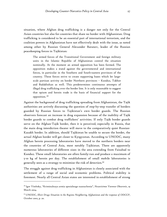situation, where Afghan drug trafficking is a danger not only for the Central Asian countries but also for countries that share no border with Afghanistan. Drug trafficking is considered to be an essential part of international terrorism, and the coalition powers in Afghanistan have not effectively dealt with the issue, as noted among other by Russian General Alexander Baranov, leader of the Russian peacekeeping forces in Tajikistan:

The armed forces of the Transitional Government and foreign military units in the Islamic Republic of Afghanistan control the situation nominally. At the moment an armed opposition has been formed. The opposition makes a stand against the governmental and international forces, in particular in the Southern and South-eastern provinces of the country. These forces strive to create supporting bases which let largescale partisan activity on border Northern provinces – Kunduz, Takhor and Badakhshan as well. This predetermines continuous attempts of illegal drug trafficking over the border line. It is only reasonable to suggest that opium and heroin trade is the basis of financial support for the opposition.<sup>49</sup>

Against the background of drug trafficking spreading from Afghanistan, the Tajik authorities are actively discussing the question of step-by-step transfer of borders guarded by Russian forces to Tajikistan's own border guards. The Russian observers forecast an increase in drug expansion because of the inability of Tajik border guards to combat drug traffickers' activities. If only Tajik border guards serve on the Afghan-Tajik border, then it is perceived, especially in Russia, that the main drug interdiction theater will move to the comparatively quiet Russian-Kazakh border. In addition, should Tajikistan be unable to secure the border, the actual Afghan border will get closer to Kyrgyzstan. According to UNODC, many Afghan heroin processing laboratories have moved to the northern borders near the countries of Central Asia, most notably Tajikistan. There are apparently numerous laboratories of different sizes in the area extending from Faizabad to Kunduz. These small laboratories are often family-run and produce a maximum of 5-10 kg of heroin per day. The establishment of small mobile laboratories is generally seen as a strategy to minimize the risk of detection.<sup>50</sup>

The struggle against drug trafficking in Afghanistan is closely associated with the settlement of a range of social and economic problems. Political stability is foremost. Nearly all Central Asian states are interested in establishment of strong

<sup>49</sup> Igor Vitebsky, "Kriminalnaya armia spesialnogo naznachenia", *Nezavisimoe Voennoe Obozrenie*, 19 March 2004.

<sup>50</sup> UNODC, *Illicit Drugs Situation in the Regions Neighboring Afghanistan and the response of ODCCP*, October 2002, p. 20.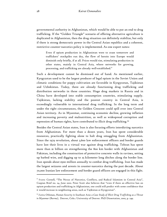governmental authority in Afghanistan, which would be able to put an end to drug trafficking. If the "Golden Triangle" scenario of offering alternative agriculture is duplicated in Afghanistan, then the drug situation can definitely stabilize, but only if there is strong democratic power in the Central Asian republics and a coherent, restrictive counter-narcotics policy is implemented. As one expert notes:

Even if opium production in Afghanistan were to cease tomorrow and traffickers' stockpiles run dry, the flow of heroin into Europe would diminish only briefly, if at all. Prices would rise, stimulating production in other states, mainly in Central Asia, where networks for growing, processing, and trafficking are already well-established. $5^{\rm I}$ 

Such a development cannot be dismissed out of hand. As mentioned earlier, Kyrgyzstan used to be the largest producer of legal opium in the Soviet Union and climatic conditions for poppy cultivation are favorable in Kyrgyzstan, Tajikistan and Uzbekistan. Today, there are already functioning drug trafficking and distribution networks in these countries. Huge drug markets in Russia and in China have developed into stable consumption countries, stimulating supply. Tajikistan, lacking stability and the poorest country in Central Asia, is exceedingly vulnerable to international drug trafficking. In the long term and under the right circumstances, the Golden Crescent could spill over into Central Asian territory. As in Myanmar, continuing economic decline, growing inflation and increasing poverty and malnutrition, as well as widespread corruption and repression of human rights, have contributed to illicit drug trafficking.<sup>52</sup>

Besides the Central Asian states, Iran is also focusing efforts interdicting narcotics from Afghanistan. For more than a dozen years, Iran has spent considerable resources, practically fighting alone to halt drug smuggling from Afghanistan. Since the 1979 revolution, about 3,600 law enforcement officers and border guards have lost their lives in a virtual war against drug trafficking. Tehran has spent more than \$1 billion on strengthening the 800 km border with Afghanistan and Pakistan, including the construction of protective concrete walls in ravines, setting up barbed wire, and digging up to 25 kilometer long ditches along the border line. Iran spends about \$500 million annually to combat drug trafficking. Iran has made the largest seizures and arrests in counter-narcotics during the past decade. About 70,000 Iranian law enforcement and border guard officers are engaged in this fight.

<sup>51</sup> Svante Cornell, "The Nexus of Narcotics, Conflicts, and Radical Islamism in Central Asia", Caspian Brief no. 24, June 2002. Peter Scott also believes that "even if there an effective ban on opium production and trafficking in Afghanistan, one could still predict with some confidence that it would increase in neighboring areas, such as Tajikistan or Kyrgyzstan".

<sup>52</sup> Zarina Othman, *Human Security in Southeast Asia: a Case Study of Illicit Drug Trafficking as a Threat in Myanmar (Burma)*, Denver, Colo.: University of Denver. PhD Dissertation, 2002, p. 249.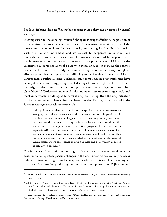For Iran, fighting drug trafficking has become state policy and an issue of national security.

In comparison to the ongoing Iranian fight against drug trafficking, the position of Turkmenistan seems a passive one at best. Turkmenistan is obviously one of the most comfortable corridors for drug transit, considering its friendly relationship with the Taliban movement and its refusal to cooperate in regional and international counter-narcotics efforts. Turkmenistan's refusal to cooperate with the international community on counter-narcotics projects was criticized by the International Narcotics Control Board with stern language in 2003. As the country has a 700 km border with Afghanistan, its cooperation is necessary for global efforts against drug and precursor trafficking to be effective.53 Several articles in various media outlets alleging Turkmenistan's complicity in drug trafficking have been published, some suggesting direct dealings between high level officials and the Afghan drug mafia. While not yet proven, these allegations are often plausible.54 If Turkmenistan would take an open, uncompromising stand, and most importantly would agree to combat drug trafficking, then the drug situation in the region would change for the better. Aidar Kurtov, an expert with the Russian strategic research institute said:

Taking into consideration the historic experience of counter-narcotics struggle, the Chinese experience of the nineteenth century in particular, if the best possible outcome happened in the coming 10-15 years, some decrease in the number of drug addicts is feasible as a result of the realization of a complex counter-narcotics program. If the program is rejected, CIS countries can witness the Colombian scenario, where drug barons have risen above the drug trade and become political figures. This scenario has already partially been started at the local level in the Central Asian states, where coalescence of drug business and government agencies is actually in progress.<sup>55</sup>

The influence of corruption upon drug trafficking was mentioned previously but deserves to be repeated: positive changes in the drug situation are unlikely to occur unless the issue of drug–related corruption is addressed. Researchers have argued that drug laboratories producing heroin have been present in Tajikistan and

<sup>53</sup> "International Drug Control Council Criticizes Turkmenistan", US State Department Report, 5 March, 2004.

<sup>54</sup> Abdi Kuliev, "About Drug Abuse and Drug Trade in Turkmenistan", *Erkin Turkmenistan*, 24 April 2002; Gennady Lebedev, "Turkmen Transit", *Novaya Gazeta*, 4 November 2002, no. 81; Rashid Nazarov, "Niyazov's Drug Syndicate", *Gundogar*, 1 March, 2004.

<sup>55</sup> Press release, International Conference "Drug trafficking in Central Asia: Problems and Prospects". Almaty, Kazakhstan, 19 December, 2003.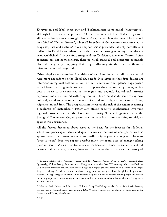Kyrgyzstan and label those two and Turkmenistan as potential "narco-states", although little evidence is provided.56 Other researchers believe that if drugs were allowed to freely spread through Central Asia, the whole region would be infected by a kind of "Dutch disease", when all branches of the economy unconnected to drugs stagnate and decline.57 Such a hypothesis is probable, but only partially and unlikely in Kazakhstan, where the basis of a rather strong economy have already been established. It is certainly imaginable in Tajikistan, however. Central Asian countries are not homogeneous, their political, cultural and economic potentials often differ greatly, implying that drug trafficking stands to affect them in different ways and magnitude.

Others depict even more horrible visions of a vicious circle that will make Central Asia more dependent on the illegal drug trade. It is apparent that drug dealers are interested in regional destabilization in order to carry out their plans. Huge profits gained from the drug trade are spent to support their paramilitary forces, which pose a threat to the countries in the region and beyond. Radical and terrorist organizations are often fed with drug money. However, it is difficult to say how political, social and economic changes in Central Asia might affect Russia, China, Afghanistan and Iran. The drug situation increases the risk of the region becoming a cauldron of instability.58 Potentially strong security mechanisms involving regional powers, such as the Collective Security Treaty Organization or the Shanghai Cooperation Organization, are the main institutions working to mitigate against this occurrence.

All the factors discussed above serve as the basis for the forecast that follows, which comprises qualitative and quantitative estimations of changes as well as approximate time frames. An accurate medium- (5-10 years) or long-term forecast (over 10 years) does not appear possible given the rapid pace of changes taking place in Central Asia's transitional societies. Because of this, the scenarios laid out below are short-term (1-5 years) forecasts. In making these forecasts, the history of

<sup>-</sup>

<sup>56</sup> Tamara Makarenko, "Crime, Terror and the Central Asian Drug Trade", Harvard Asia Quarterly, Vol. 6, No. 3, Summer 2002. Kyrgyzstan was the first CIS country which ratified the UN counter-narcotics conventions, created legal and organizational basis of counteraction to illegal drug trafficking. All these measures allow Kyrgyzstan to integrate into the global drug control system. In 1993 Kyrgyzstan officially confirmed its position not to restart opium poppy cultivation for legal purposes. These two arguments seem to be sufficient to refrain from labeling Kyrgyzstan as a narco-state.

<sup>57</sup> Martha Brill Olcott and Natalia Udalova, *Drug Trafficking on the Great Silk Road: Security Environment in Central Asia*. Washington DC: Working paper no. 11, Carnegie Endowment for International Peace, March 2000.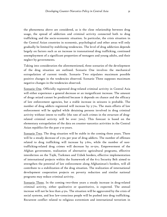the phenomena above are considered, as is the close relationship between drug usage, the spread of addiction and criminal activity connected both to drug trafficking and the socio-economic situation. In particular, the crisis situation in the Central Asian countries in economic, psychological and other areas will only gradually be limited by stabilizing tendencies. The level of drug addiction depends largely on factors such as an increase in transnational drug trafficking, continued unemployment of a significant proportion of teenagers and young adults, and their neglect by governments.

Taking into consideration the aforementioned, three scenarios of the development of the drug situation are outlined. Scenario One involves the mechanical extrapolation of current trends. Scenario Two stipulates maximum possible positive changes in the tendencies observed. Scenario Three supposes maximum negative changes in the tendencies observed.

Scenario One. Officially registered drug-related criminal activity in Central Asia will either experience a general decrease or an insignificant increase. The amount of drugs seized cannot be predicted because it depends on chance and the efficacy of law enforcement agencies, but a stable increase in seizures is probable. The number of drug addicts registered will increase by 5-7%. The main efforts of law enforcement will be applied while detaining persons involved in drug criminal activity without intent to traffic (the rate of such crimes in the structure of drugrelated criminal activity will be over 70%). This forecast is based on the elementary extrapolation of the data on counter-narcotics activities in the Central Asian republics for the past 5-10 years.

Scenario Two. The drug situation will be stable in the coming three years. There will be a steady decrease of 2-3% per year of drug addicts. The number of offenses related to drug trafficking will increase by 5-6%, while the number of nontrafficking-related drug crimes will decrease by 10-15%. Empowerment of the Afghan government, realization of alternative agricultural programs, effective interdiction on the Tajik, Turkmen and Uzbek borders, effective implementation of international projects within the framework of the 6+2 Security Belt aimed to strengthen the potential of law enforcement along Afghanistan's borders, will all contribute to a stabilization of the drug situation. The realization of international development cooperation projects on poverty reduction and similar national programs may reduce criminal activity.

Scenario Three. In the coming two-three years a steady increase in drug-related criminal activity, either qualitative or quantitative, is expected. The annual increase will not be less than 4-5%. The situation will be aggravated by the crisis of social systems, and less law-conscious people will be pushed into drug trafficking. Recurrent conflict related to religious extremism and international terrorism in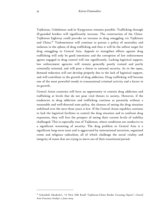Tajikistan, Uzbekistan and/or Kyrgyzstan remains possible. Trafficking through ill-guarded borders will significantly increase. The construction of the China-Tajikistan highway could provoke an increase in drug smuggling via Tajikistan and China.<sup>59</sup> Turkmenistan will continue to pursue a policy of neutrality and isolation in the sphere of drug trafficking and thus it will be the softest target for drug smuggling in Central Asia. Appeals to strengthen efforts against drug trafficking will only be good intentions and the corruption of law enforcement agents engaged in drug control will rise significantly. Lacking logistical support, law enforcement agencies will remain generally poorly trained and partly criminally oriented, and will pose a threat to national security. As in the 1990s, demand reduction will not develop properly due to the lack of logistical support, and will contribute to the growth of drug addiction. Drug trafficking will become one of the most powerful trends in transnational criminal activity and a factor in its growth.

Central Asian countries still have an opportunity to contain drug addiction and trafficking at levels that do not pose vital threats to society. However, if the tendencies in drug addiction and trafficking continue as presently without a reasonable and well-directed state policy, the chances of seeing the drug situation stabilized over the next three years is low. If the Central Asian republics continue to lack the logistical facilities to control the drug situation and to confront drug expansion, they will face the prospect of seeing their current levels of stability challenged. This is especially true of Tajikistan, where conditions are conducive to a significant worsening of security. The drug problem in Central Asia is a significant long-term issue and is aggravated by international terrorism, organized crime and religious radicalism, all of which challenge the social vitality and integrity of states that are trying to move out of their transitional period.

<sup>59</sup> Sultanbek Aksakolov, "A New Silk Road? Tajikistan-China Border Crossing Opens", *Central Asia-Caucasus Analyst*, 2 June 2004.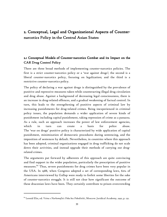# 2. Conceptual, Legal and Organizational Aspects of Counternarcotics Policy in the Central Asian States

## 2.1 Conceptual Models of Counter-narcotics Combat and its Impact on the CAR Drug Control Policy

There are three broad methods of implementing counter-narcotics policies. The first is a strict counter-narcotics policy or a 'war against drugs'; the second is a liberal counter-narcotics policy, focusing on legalization; and the third is a restrictive counter-narcotics policy.

The policy of declaring a war against drugs is distinguished by the prevalence of punitive and repressive measures taken while counteracting illegal drug circulation and drug abuse. Against a background of decreasing legal consciousness, there is an increase in drug-related offences, and a gradual weakening of factual control. In turn, this leads to the strengthening of punitive aspects of criminal law by increasing punishments for drug-related crimes. Being inexperienced in criminal policy issues, the population demands a wider application of severe kinds of punishment including capital punishment, taking repression of crime as a panacea. As a rule, such an approach increases the power of law enforcement agencies, which in turn can create a basis for police abuse. The 'war on drugs' punitive policy is characterized by wide application of capital punishment, minimization of democratic procedures during sentencing, and the imposition of sentences by default. Nevertheless, in countries where this approach has been adopted, criminal organizations engaged in drug trafficking do not scale down their activities, and instead upgrade their methods of carrying out drugrelated crimes.

The arguments put forward by adherents of this approach are quite convincing and find support in the wider population, particularly the prescription of punitive measures. 60 Thus, severe punishments for drug crimes have been very popular in the USA. In 1988, when Congress adopted a set of corresponding laws, 62% of Americans interviewed by Gallup were ready to forfeit some liberties for the sake of counter-narcotics struggle. It is still not clear how significant the outcome of these draconian laws have been. They certainly contribute to prison overcrowding

<sup>60</sup> Leonid Elin, ed*. Voina s Narkomafiei: Poka bez Pobeditelei*, Moscow: Juridical Academy, 1992, p. 132.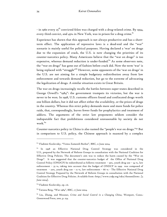- in 1960 every  $25^{\text{th}}$  convicted felon was charged with a drug-related crime. By 1994, every third convict, and 45% in New York, was in prison for a drug crime. $^{61}$ 

Experience has shown that this approach is not always productive and has a shortterm effect. The application of repressive laws is a dead-end and the "war" scenario is mainly useful for political purposes. Having declared a 'war' on drugs due to the expansion of crack, the U.S. is now changing the priorities of its counter-narcotics policy. Many Americans believe that the "war on drugs" is too expensive, whereas demand reduction is under-funded.<sup>62</sup> As some observers note, the "war on drugs" has gone out of fashion before crack did. Now the term 'war' is being replaced with "struggle"<sup>63</sup> However, some opponents of the 'war on drugs' in the U.S. are not aiming for a simple budgetary redistribution away from law enforcement and towards demand reduction, but go to the extreme of advocating the legalization of drugs. A similar situation exists in Great Britain.

The war on drugs increasingly recalls the battles between super-states described in George Orwell's "1984": the government trumpets its victories, but the war is never to be won. In 1998, U.S. customs officers found and confiscated drugs worth one billion dollars, but it did not affect either the availability, or the prices of drugs in the country. Whereas this strict policy demands more and more funds for police raids, that, correspondingly, leaves fewer funds for prophylactics and treatment of addicts. The arguments of the strict law proponents seldom consider the indisputable fact that prohibitions considered unreasonable by society do not work. $64$ 

Counter-narcotics policy in China is also named the "people's war on drugs."65 But in comparison to U.S. policy, the Chinese approach is nuanced by a complex

<sup>61</sup> Vladimir Kozlovsky, "Voinu Zamenili Borboi", BBC, 11 June 2004.

 $62$  In 1998 an Effective National Drug Control Strategy was considered in the U.S., prepared by the Network of Reform Groups in consultation with the National Coalition for Effective Drug Policies. The document's aim was to reduce the harm caused by the "War on Drugs". It was suggested that the counter-narcotics budget of the Office of National Drug Control Policy (ONDCP) be redistributed as follows: treatment - 33%, youth drug use - 34 %, law enforcement – 33 %, taking into account that the budget of ONDCP in 1999 was composed of treatment - 22%, youth drug use - 12 %, law enforcement - 66 % - The Effective National Drug Control Strategy Prepared by the Network of Reform Groups in consultation with the National Coalition for Effective Drug Policies. Available from <http://www.csdp.org/edcs/theneed.htm>. [5 June 2004].

<sup>63</sup> Vladimir Kozlovsky, op. cit.

<sup>64</sup> Tatiana Berg, "War 1984", BBC, 17 June 2004.

<sup>65</sup> Liu, Zhang, and Messner, *Crime and Social Control in a Changing China*, Westport, Conn.: Greenwood Press, 2001, p. 154.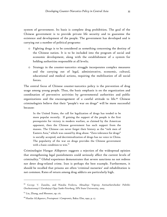system of government. Its basis is complete drug prohibition. The goal of the Chinese government is to provide private life security and to guarantee the existence and development of the people. The government has developed and is carrying out a number of political programs:

- o Fighting drugs is to be considered as something concerning the destiny of the Chinese nation. It is to be included into the program of social and economic development, along with the establishment of a system for holding authorities responsible at all levels;
- o Strategy in the counter-narcotics struggle incorporates complex measures and the carrying out of legal, administrative, economic, cultural, educational and medical actions, requiring the mobilization of all social forces.

The central focus of Chinese counter-narcotics policy is the prevention of drug usage among young people. Thus, the basic emphasis is on the organization and coordination of preventive activities by governmental authorities and public organizations and the encouragement of a careful attitude to life.66 Chinese criminologists believe that their "people's war on drugs" will be more successful because:

In the United States, the call for legalization of drugs has tended to be more popular recently. If gaining the support of the people is the first prerequisite for victory in modern warfare, as claimed by the American opponent, then the Chinese government has such support from the masses. The Chinese can never forget their history as the "sick men of Eastern Asia," which was caused by drug abuse. "Zero tolerance for drugs" is socially accepted, and decriminalization of drugs has no voice in China. The popularity of the war on drugs provides the Chinese government with a basic condition to win.<sup>67</sup>

Criminologist Hangar Alikperov suggests a rejection of the widespread opinion that strengthening legal punishments could seriously affect the current levels of criminality.<sup>68</sup> Global experience demonstrates that severe sanctions no not redress nor deter drug-related crime. Iran is perhaps the best example. Furthermore, it should be recalled that prisons are often 'criminal nurseries' and rehabilitation is not common. Rates of return among drug addicts are particularly high.

<sup>66</sup> George V. Zazulin, and Natalia Frolova, *Aktualnye Voprosy Antinarkoticheskoi Politiki: Otechestvennyi I Zarubejnyi Opyt Sankt-Peterburg*, SPb State University, 2003.

 $67$  Liu, Zhang, and Messner, op. cit.

<sup>68</sup> Hanlar ALikperov, *Prestupnost i Compromis*, Baku: Elm, 1992. p. 17.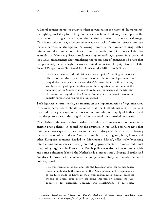A liberal counter-narcotics policy is often carried out in the name of "humanizing" the fight against drug trafficking and abuse. Such an effort may develop into the legalization of drug circulation, or the decriminalization of non-medical usage. This is not without negative consequences as a lack of criminal prosecution can foster a permissive atmosphere. Following from this, the number of drug-related crimes and the number of crimes committed under intoxication explode. For example, in May 2004 Russia took one step toward legalization in a series of legislative amendments decriminalizing the possession of quantities of drugs that had previously been enough to earn a criminal conviction. Deputy Director of the Federal Drug Control Service of Russia Alexander Mikhailov believes:

…the consequences of this decision are catastrophic. According to the rules offered by the Ministry of Justice, there will be tons of legal heroin in drug dealers' and addicts' pockets daily! Meanwhile, in 2008 our country will have to report upon the changes in the drug situation in Russia at the Assembly of the United Nations. If we follow the scheme of the Ministry of Justice, our report at the United Nations will be about increase of addicts' number and volume of drugs spread.<sup>69</sup>

Such legislative initiatives lay an imprint on the implementation of legal measures in counter-narcotics. It should be noted that the Netherlands and Switzerland legalized many years ago, and at present face an unlimited supply of both soft and hard drugs. As a result, the drug situation is beyond the control of authorities.

The Netherlands attracts drug dealers and addicts from various countries with stricter drug policies. In describing the situation in Holland, observers note that unintended consequences – such as an increase of drug addiction – arose following the legalization of 'soft' drugs. Youths from Germany, England, Italy, France and other European countries headed to 'Marijuana's Mecca', effectively bypassing interdictions and obstacles carefully erected by governments with more traditional drug policy regimes. In France, the Dutch policy was deemed incomprehensible and some politicians labeled the Netherlands a 'narco-state'. Georgiy Zazulin and Nataliya Frolova, who conducted a comparative study of counter-narcotics policies, noted:

The transformation of Holland into the European drug capital has taken place not only due to the decision of the Dutch government to legalize sale of products made of hemp in their well-known cafes. Similar practical models of liberal drug policy are being imposed on Russia, the CIS countries, for example, Ukraine, and Kazakhstan. In particular,

<sup>&</sup>lt;sup>69</sup> Tatiana Kosobokova, "Bitva za Dozu", Rosbalt, 25 May 2004. Available from <http://www.rosbalt.ru/2004/05/25/162787.html>. [2 June 2004].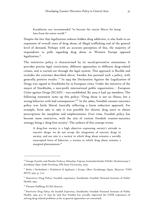Kazakhstan was recommended "to become the tourist Mecca for hemp fans from the entire world.<sup>70</sup>

Despite the fact that legalization reduces hidden drug addiction, it also leads to an expansion of overall rates of drug abuse, of illegal trafficking and of the general level of demand. Perhaps with an accurate perception of this, the majority of respondents to polls regarding drug abuse in Western Europe opposed legalization.<sup>71</sup>

The restrictive policy is characterized by its social-preventive orientation. It provides precise legal restrictions, different approaches to different drug-related crimes, and is carried out through the legal system. This approach is flexible and excludes the extremes described above. Sweden has pursued such a policy, with generally positive results.<sup>72</sup> In 1994 the Declaration Against the Legalization of Drugs was signed in Stockholm by 23 European cities. Under the initiative of the mayor of Stockholm, a non-profit international public organization – European Cities against Drugs (ECAD) – was established. By 2004 it had 245 members. The following statement sums up this policy: "Drug abuse is not an illness, but a wrong behavior with bad consequences."<sup>73</sup> In the 1960s, Swedish counter-narcotics policy was fairly liberal, basically reflecting a harm reduction approach. For example, from 1965 to 1967 it was possible for chronic drug users to obtain prescriptions for morphine and amphetamines. Over time, Swedish policy has become more restrictive, with the aim of current Swedish counter-narcotics strategy being a 'drug-free society'. The authors of this concept wrote:

A drug-free society is a high objective expressing society's attitude to narcotic drugs: we do not accept the integration of narcotic drugs in society, and our aim is a society in which drug abuse remains a socially unaccepted form of behavior, a society in which drug abuse remains a marginal phenomenon.<sup>74</sup>

<sup>70</sup> George Zazulin and Natalia Frolova, *Aktualnye Voprosy Antinarkoticheskoi Politiki: Otechestvennyi I Zarubejnyi Opyt. Sankt-Peterburg*, SPb State University, 2003.

<sup>71</sup> *Borba s Narkotikami i Posledstvia ih legalizasii v Evrope, Obzor Zarubejnogo Opyta*, Moscow: VNII MVD, 1997, p. 7-10.

<sup>72</sup> Restrictive Drug Policy: Swedish experience, Stockholm: Swedish National Institute of Public Health, 1993.

<sup>73</sup> Thomas Hallberg, ECAD director.

<sup>74</sup> *Restrictive Drug Policy: the Swedish Experience*, Stockholm: Swedish National Institute of Public Health, 1993, p.11. It may be said that Sweden has actually improved the USSR experience of solving drug-related problems as far as general approaches are concerned.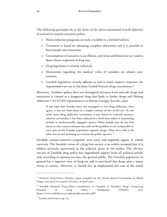The following principles lie at the heart of the above-mentioned overall objective of restrictive counter-narcotics policy:

- o Harm reduction programs are only available in a limited fashion;
- o Treatment is based on obtaining complete abstention and it is possible to force people into treatment;
- o Consumption of narcotics is an offense, and urine and blood test are used to detect those suspected of drug use;
- o Drug legislation is strictly enforced;
- o Discussions regarding the medical value of cannabis are almost nonexistent;
- o Swedish legislation strictly adheres to and in some respects surpasses the requirements set out in the three United Nations drug conventions.<sup>75</sup>

Moreover, Sweden's policy does not distinguish between hard and soft drugs and marijuana is viewed as a dangerous drug that leads to harder drugs and lifelong addiction.76 An ECAD representative in Russia, Georgiy Zazulin, says:

If one says that Swedes have not managed to win drug addiction, then again, it has not been done in a single country of the world yet. At the same time, drug addiction constitutes a real threat to national security, whereas in Sweden it has been reduced to a level that makes it interesting mainly to professionally engaged experts. Other people just do not feel alarm in this concern because the scale of the problem is not comparable to ours. 95% of the Sweden population opposes drugs. They were able to do what we are just planning to: to form the public opinion.<sup>77</sup>

Swedish counter-narcotics programs start early and regularly appear in school curricula. The Swedish vision of a drug-free society is so widely accepted that it is seldom seriously questioned in the political arena or the media. The obvious success of Swedish drug policy has engendered support from all political parties and, according to opinion surveys, the general public. The Swedish population in general has a negative view of drug use and is convinced that drugs pose a major threat to society. However, it should also be emphasized that one of the stated

<sup>-</sup>

 $75$  National Drug Policy: Sweden, report prepared for the Senate Special Committee on Illegal Drugs. Law and Government Division, 18 April 2002.

<sup>&</sup>lt;sup>76</sup> Swedish National Drug Policy Coordinator, Is Cannabis A Harmless Drug? Connecting Research to Drug Policy, Stockholm: ONDPC, 2003. (http://www.mobilisera.nu/upload/dok\_cannabis.pdf)

<sup>77</sup> Zazulin and Frolova, op. cit..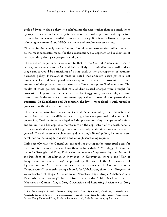goals of Swedish drug policy is to rehabilitate the users rather than to punish them by way of the criminal justice system. One of the most important enabling factors in the effectiveness of Swedish counter-narcotics policy is state financial support of most governmental and NGO treatment and prophylactic measures.

Thus, a simultaneously restrictive and flexible counter-narcotics policy seems to be the most successful model for the construction, development and realization of corresponding strategies, programs and plans.

The Swedish experience is relevant to that in the Central Asian countries. In reality, not a single state in Central Asia is likely to criminalize non-medical drug usage and it would be something of a step back in the development of counternarcotics policy. However, it must be noted that although usage *per se* is not punishable, Central Asian penal codes are quite strict, since the possession of small amounts of drugs constitutes a criminal offence, except in Turkmenistan. The results of these policies are that 70% of drug-related charges were brought for possession of quantities for personal use. In Kyrgyzstan, for example, criminal prosecution is the only legal instrument applicable to possession of personal use quantities. In Kazakhstan and Uzbekistan, the law is more flexible with regard to possession without intention to sell.

Thus, counter-narcotics policy in Central Asia, excluding Turkmenistan, is restrictive and does not differentiate strongly between personal and commercial possession. Turkmenistan has legalized the possession of up to 5 grams of opium and heroin<sup>78</sup> and has applied a moratorium on the application of the death penalty for large-scale drug trafficking, but simultaneously maintains harsh sentences in general. Overall, it may be characterized as a tough liberal policy, i.e. an extreme combination featuring legalization and a tough sentencing regime.

Only recently have the Central Asian republics developed the conceptual bases for their counter-narcotics policy. Thus there is Kazakhstan's "Strategy of Counternarcotics Struggle and Drug Trafficking in 2001-2005", approved by the Decree of the President of Kazakhstan in May 2000. in Kyrgyzstan, there is the "Plan of Drug Counteraction in 2004", approved by the Act of the Government of Kyrgyzstan in April 2004, as well as a "Concept of Counter-narcotics Counteraction", currently being adopted. In Uzbekistan, there is a "Program of Counteraction of Illegal Circulation of Narcotics, Psychotropic Substances and Drug Abuse in 2002-2005". In Tajikistan there is the "Third National Plan on Measures on Combat Illegal Drug Circulation and Rendering Assistance to Drug

<sup>78</sup> See for example Rashid Nazarov, "Niyazov's Drug Syndicate", *Gundogar*, 1 March, 2004. Available from <http://www.gundogar.org/?topic\_id=33&id=828>. [15 May 2004]; Abdi Kuliev, "About Drug Abuse and Drug Trade in Turkmenistan", *Erkin Turkmenistan*, 24 April 2002.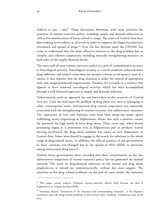Addicts in 2001 – 2005". These documents determine with some precision the priorities of counter-narcotics policy, including supply and demand reduction, as well as the minimization of harm related to usage. The states of Central Asia have been making active efforts at all levels in order to suppress the illegal manufacture, circulation and spread of drugs.79 Over the last thirteen years the UNODC has come to understand that the most effective solution to the drug problem lies in complex and coherent cooperation, including mutually strengthening measures on both sides of the supply/demand divide.

The main task of state counter-narcotics policy as a part of comprehensive security is Narcological security. Narcological security is a social condition achieved when drug addiction and related crime does not present a threat to the genetic pool of a nation. It also requires that the drug situation is under the control of appropriate state and nongovernmental organizations. Sweden, for example, is a country that appears to have achieved narcological security, which has been accomplished through a well-balanced approach to supply and demand reduction.

Unfortunately, such an approach has not been taken in the countries of Central Asia yet. Until the mid-1990s the problem of drug abuse was seen as belonging to other, consumption, states. International drug control cooperation was essentially concerned with the strengthening of counter-narcotics law enforcement measures. The experience of Iran and Pakistan, who have been along the major opiate trafficking routes originating in Afghanistan, shows that such a position creates the potential for high levels of local drug abuse. Thus, since 1995, when heroin processing began in a systematic way in Afghanistan and its products started moving northward, the drug abuse problem has taken on new dimensions in Central Asia. States were forced to engage in the search for solutions to the whole range of drug-related issues. In addition, the official position of the governments of these countries has changed due to the spread of HIV/AIDS, in particular among intravenous drug users.<sup>80</sup>

Central Asian governments have conceded that their concentration on the law enforcement component of counter-narcotics policy has not generated the desired outcome. The work on drug-demand reduction in the society and drug abuse prophylactics is carried out unsystematically, without due state support. The attention to the drug related problems on the part of mass media, the institutes

 $79$  This paper cannot analyze Turkmen counter-narcotics efforts fully because the data is fragmentary or completely unavailable.

<sup>&</sup>lt;sup>80</sup> Summary Report "Estimation of the situation and corresponding measures" at the Regional conference upon the drug-related problems in the Central Asia, Tashkent, Uzbekistan, June 26-28, 2002.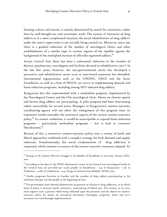forming culture and morals, is mainly determined by search for sensations, rather than by well-thought-out and systematic work. The system of treatment of drug addicts is in a most complicated situation; the social rehabilitation of drug addicts' under the state's supervision is not actually being carried out. Moreover, since 1991 there is a gradual reduction of the number of narcological clinics and other establishments of a similar type in various regions of the republic against the background of the multiplied increase of officially registered addicts.<sup>81</sup>

Across Central Asia there has been a substantial reduction in the number of doctors, psychiatrists, narcologists and facilities devoted to rehabilitative care.82 In the last few years, however, the non-governmental sector has developed a preventive and rehabilitative sector even as state-based assistance has dwindled. International organizations such as the UNODC, OSCE and the Soros Foundation, as well as a host of NGOS, are active in implementing demand and harm reduction programs, including among HIV-infected drug addicts.

Kyrgyzstan has also experimented with a methadone program, implemented by the Narcological Center and the Osh narcological clinic. About 100 chronic opium and heroin drug addicts are participating. A pilot program had been functioning rather successfully for several years. Managers in Kyrgyzstan's counter-narcotics coordinating agency will not allow the enlargement of this program since its expansion would contradict the restrictive aspects of the current counter-narcotics policy.<sup>83</sup> In current conditions, it would be unacceptable to expand harm reduction programs – particularly methadone programs – lest it lead to excessive liberalization.<sup>84</sup>

Because of this, a restrictive counter-narcotics policy uses a variety of harsh and liberal approaches combined with a complex strategy for both demand and supply reduction. Simultaneously, the social condemnation of drug addiction is expressed, which remains to essence of the counter-narcotics measures adopted. As

<sup>81</sup> *Strategy of the Counter-Narcotics Struggle in the Republic of Kazakhstan in 2001-2005,* Astana: DCC, 2001.

 $82$  According to the data of the WHO Information center in the Central Asia narcological berths in the Central Asia are provided per 10,000 people: in Kazakhstan – 2,9; in Kyrgyzstan – 0,6; in Tajikistan – 0,082; in Uzbekistan – 0,25. Drugs in Central Asia, Bishkek: WHO, 2003.

 $83$  Similar programs function in Sweden and the number of drug addicts participating in the substitute therapy was 600 people at the beginning of 2000.

 $84$  The government must directly demonstrate its position in relation to drug addiction, as in which kind of policy it chooses: harsh, restrictive, constraining of liberal one. The society, in its turn, must support such a position while being informed upon the priorities and the objectives counternarcotics policy by means of conceptual documents (strategies, programs, plans and etc.), normative acts and through implementation.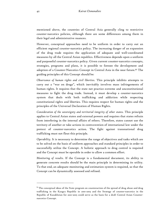mentioned above, the countries of Central Asia generally cling to restrictive counter-narcotics policies, although there are some differences among them in their legal and administrative nuances.

However, conceptual approaches need to be uniform in order to carry out an efficient regional counter-narcotics policy. The increasing danger of an expansion of the drug trade requires the application of adequate and well-coordinated measures by all the Central Asian republics. Effectiveness depends upon a uniform and purposeful counter-narcotics policy. Given current counter-narcotics concepts, strategies, programs and plans, it is possible to foresee the development and adoption of a Counter-Narcotics Concept in Central Asia in the near future.<sup>85</sup> The guiding principles of this Concept should be:

*Observance of human rights and civil liberties*. This principle inhibits attempts to carry out a "war on drugs", which inevitably involves mass infringements of human rights. It requires that the state not practice extreme and unconstitutional measures to fight the drug trade. Instead, it must develop a counter-narcotics system that deals with both trafficking and addiction while respecting constitutional rights and liberties. This requires respect for human rights and the principles of the Universal Declaration of Human Rights.

*Consideration of the sovereignty and territorial integrity of other states.* This principle applies to Central Asian states and external powers and requires that states refrain from interfering in the internal affairs of others. Therefore, states cannot use the territory of another or take actions in contravention of international law under the pretext of counter-narcotics action. The fight against transnational drug trafficking must not flout this principle.

*Operability.* It is necessary to determine the range of objectives and tasks which are to be solved on the basis of uniform approaches and standard principles in order to successfully utilize the Concept. A holistic approach to drug control is required and the Concept must be operable in order to allow a common effort.

*Monitoring of results.* If the Concept is a fundamental document, its ability to generate concrete results should be the main principle in determining its utility. To that end, an adequate monitoring and estimation system is required, so that the Concept can be dynamically assessed and refined.

 $85$  The conceptual ideas of the State program on counteraction of the spread of drug abuse and drug trafficking in the Kyrgyz Republic in 2001-2003 and the Strategy of counter-narcotics in the Republic of Kazakhstan for 2001-2005 could serve as the basis for a draft Central Asian Counternarcotics Concept.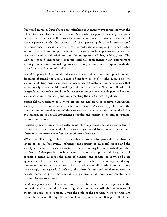*Integrated approach.* Drug abuse and trafficking is in many ways connected with the difficulties faced by states in transition. Successful usage of the Concept will only be realized through a well-balanced and well-coordinated approach on the part of state agencies, with the support of the general public and international organizations. This will take the form of a multilateral, complex program directed at both demand and supply reduction. It should include preventive programs, treatment and social rehabilitation, the integration of drug addicts, etc. The Concept should incorporate separate internal components (law enforcement activity, prevention, lawmaking, treatment etc.) as well as correspond with the states' social and economic policies.

*Scientific approach.* A rational and well-balanced policy must rest upon facts and forecasts obtained through a range of modern scientific techniques. The low visibility of drug crime can lead to inaccurate estimations and conclusions that subsequently affect decision-making and implementation. The consolidation of drug-related research carried out by scientists, physicians, sociologists and others would assist in formulating and implementing the most effective policies.

*Sustainability.* Constant preventive efforts are necessary to achieve narcological security. There is not short-term solution to Central Asia's drug problem and the presentation and explanation of the situation to a new generation is required. For this reason, states should implement a regular and consistent system of counternarcotics measures.

*Realistic approach.* Only realistically achievable objectives should be set within a counter-narcotics framework. Unrealistic objectives deform social practice and ultimately undermine belief in the possibility of success.

*Wide scope.* The drug problem is not solely a problem for particular members or layers of society, but evenly influences the security of all social groups and the society as a whole. It has a destructive influence on tangible and spiritual potential of Central Asian peoples. Societal criminalization, corruption and the growth of organized crime all erode the bases of national and societal security, and state agencies need to increase their efforts against such ills as money laundering, terrorism, human trafficking and religious radicalism, all of which are becoming increasingly widespread. Similarly, the formulation and implementation of counter-narcotics programs should use governmental, non-governmental and community organizations.

*Civil society component.* The major aim of a state counter-narcotics policy at the domestic level is the reduction of drug addiction and accordingly the decrease of threats to social development. Given the scale of the problem, however, this aim cannot be achieved through the action of state agencies alone. It requires the broad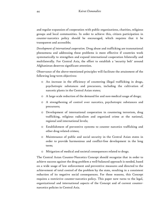and regular expansion of cooperation with public organizations, charities, religious groups and local communities. In order to achieve this, citizen participation in counter-narcotics policy should be encouraged, which requires that it be transparent and accessible;

*Development of international cooperation.* Drug abuse and trafficking are transnational phenomena and addressing these problems is more effective if countries work systematically to strengthen and expand international cooperation bilaterally and multilaterally. For Central Asia, the effort to establish a 'security belt' around Afghanistan deserves significant attention.

Observance of the above-mentioned principles will facilitate the attainment of the following long-term objectives:

- o An increase in the efficiency of countering illegal trafficking in drugs, psychotropic substances and precursors, including the cultivation of narcotic plants in the Central Asian states;
- o A large-scale reduction of the demand for and non-medical usage of drugs;
- o A strengthening of control over narcotics, psychotropic substances and precursors;
- o Development of international cooperation in countering terrorism, drug trafficking, religious radicalism and organized crime at the national, regional and international levels;
- o Establishment of preventive systems to counter narcotics trafficking and other drug-related crimes;
- o Maintenance of public and social security in the Central Asian states in order to provide harmonious and conflict-free development in the long term;
- o Mitigation of medical and societal consequences related to drugs.

The Central Asian Counter-Narcotics Concept should recognize that in order to achieve success against the drug problem a well-balanced approach is needed, based on a wide usage of law enforcement and preventive measures and directed to the achievement of total control of the problem by the state, resulting in a consistent reduction of its negative social consequences. For these reasons, this Concept requires a restrictive counter-narcotics policy. This paper now turns to the legal, organizational and international aspects of the Concept and of current counternarcotics policies in Central Asia.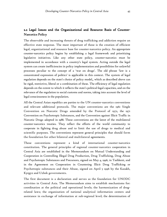## 2.2 Legal Issues and the Organizational and Resource Basis of Counter-Narcotics Policy

The observable and increasing threats of drug trafficking and addiction require an effective state response. The most important of these is the creation of efficient legal, organizational and resource base for counter-narcotics policy. An appropriate counter-narcotics policy begins by establishing a legal framework and prioritizing legislative initiatives. Like any other state policy, counter-narcotics must be implemented in accordance with a country's legal system. Acting outside the legal system can create inefficiencies in policy implementation and possibilities for unlawful processes peculiar to the concept of a 'war on drugs'. The old phrase 'law is a concentrated expression of politics' is applicable in this context. The system of legal regulation depends on the state's choice of policy model,, which as described above can be rigid, restrictive, liberal or a combination of these. The efficiency of legal regulation depends on the extent to which it reflects the state's political-legal capacities, and on the relevance of the regulation to social customs and norms, taking into account the level of legal consciousness in the population.

All the Central Asian republics are parties to the UN counter-narcotics conventions and relevant additional protocols. The major conventions are the 1961 Single Convention on Narcotic Drugs amended by the Protocol of 1972, the 1971 Convention on Psychotropic Substances, and the Convention against Illicit Traffic in Narcotic Drugs adopted in 1988. These conventions are the latest of the multilateral counter-narcotics treaties. They reflect the efforts of the world community to cooperate in fighting drug abuse and to limit the use of drugs to medical and scientific purposes. The conventions represent general principles that should form the foundation for other bilateral and multilateral agreements.

These conventions represent a kind of international counter-narcotics constitution. The general principles of regional counter-narcotics cooperation in Central Asia are established in the Memorandum on Mutual Understanding and Cooperation in Controlling Illegal Drug Production, Drug Trafficking, Drug Abuse and Psychotropic Substances and Precursors, signed on May 4, 1996, in Tashkent, and in the Agreement on Cooperation in Countering Illicit Drug Trafficking or Psychotropic substances and their Abuse, signed on April 5 1996 by the Kazakh, Kyrgyz and Uzbek governments.

The first document is a declaration and serves as the foundation for UNODC activities in Central Asia. The Memorandum aims to establish mechanisms for: coordination at the political and operational levels; the harmonization of drugrelated laws; the organization of national analytical information centers and assistance in exchange of information at sub-regional level; the determination of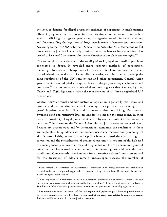the level of demand for illegal drugs; the exchange of experience in implementing efficient programs for the prevention and treatment of addiction; joint action against trafficking in drugs and precursors; the organization of joint expert training; and for controlling the legal use of drugs, psychotropic substances and precursors. According to the UNODC's former Director Pino Arlacchi, "this Memorandum [of Understanding], which I personally consider one of the best we have ever joined, has proved to be a useful instrument for the coordination of our plans and strategies."<sup>86</sup>

The second document dealt with the totality of social, legal and medical problems connected to drugs. It revealed more concrete methods of cooperation, including information exchange, has set up an institute of communication officers, has stipulated the conducting of controlled deliveries, etc. In order to develop the basic regulations of the UN conventions and other agreements, Central Asian governments have adopted a range of laws on drugs, psychotropic substances and precursors.<sup>87</sup> The preliminary analysis of these laws suggests that Kazakh, Kyrgyz, Uzbek and Tajik legislation meets the requirements of all three drug-related UN conventions.

Central Asia's criminal and administrative legislation is generally restrictive, and criminal codes are relatively severe. On average, they provide for an average of 20 years' imprisonment for illicit and commercial drug trafficking. By contrast, Sweden's rigid and restrictive laws provide for 10 years for the same crime. In most cases the possibility of rigid punishment is used by courts to collect bribes for softer penalties.<sup>88</sup> Furthermore, the Central Asian criminal justice systems are overloaded. Prisons are overcrowded and by international standards, the conditions in them are deplorable. Drug addicts do not receive necessary medical and psychological aid. Because of this, counter-narcotics policy is undermined since its main goal – correction and the rehabilitation of convicted persons – is not attainable. Released prisoners generally return to crime and drug addiction. From an economic point of ,view the state has wasted time and money in imprisoning drug addicts under such conditions. Concurrently, mechanisms for alternative criminal punishment and for the treatment of addicts remain undeveloped because the number of

<sup>86</sup> Pino Arlacchi, Presentation on International conference "Enhancing Security and Stability in Central Asia: An Integrated Approach to Counter Drugs, Organized Crime and Terrorism", Tashkent, 19-20 October 2000.

<sup>&</sup>lt;sup>87</sup> The Republic of Kazakhstan Law "On narcotics, psychotropic substances, precursors and measures of counteraction to their illicit trafficking and abuse" of 10 July 1998, no. 279. The Kyrgyz Republic law "On Narcotics, psychotropic substances and precursors" of 22 May 1998, no. 66.

<sup>88</sup> For example, in 2000 the courts of the Osh region of Kyrgyzstan gave fines as punishment in 30.7% of criminal cases related to drugs, when most of the cases were related to seizure of heroin. This is possible evidence of criminal justice corruption.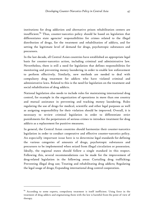institutions for drug addiction and alternative prison rehabilitation centers are insufficient.<sup>89</sup> Thus, counter-narcotics policy should be based on legislation that differentiates state agencies' responsibilities for crimes related to the illegal distribution of drugs, for the treatment and rehabilitation of addicts, and for setting the legitimate level of demand for drugs, psychotropic substances and precursors.

In the last decade, all Central Asian countries have established an appropriate legal basis for counter-narcotics action, including criminal and administrative law. Nevertheless, there is still a need for legislation that defines responsibilities for monitoring and preventing money laundering in order to enable law enforcement to perform effectively. Similarly, new methods are needed to deal with compulsory drug treatment for addicts who have violated criminal and administrative laws. Related to this is the need for legislation on the treatment and social rehabilitation of drug addicts.

National legislation also needs to include rules for maintaining international drug control, for example in the organization of operations in more than one country and mutual assistance in preventing and tracking money laundering. Rules regulating the use of drugs for medical, scientific and other legal purposes as well as assigning responsibility for their violation should be improved. Overall, it is necessary to review criminal legislation in order to differentiate strict punishments for the perpetrators of serious crimes to introduce treatment for drug addicts as a replacement for punitive measures.

In general, the Central Asian countries should harmonize their counter-narcotics legislation in order to conduct cooperative and effective counter-narcotics policy. An especially important issue here is to determine legal standards for defining the various categories of amounts of drugs, psychotropic substances and precursors to be implemented when seized from illegal circulation or possession. Ideally, the regional states should follow a single standard in this respect. Following this, several recommendations can be made for the improvement of drug-related legislation in the following areas: Curtailing drug trafficking; Preventing illegal drug use; Treating and rehabilitating drug addicts; Regulating the legal usage of drugs; Expanding international drug control cooperation.

 $\ddot{\phantom{a}}$ 

<sup>&</sup>lt;sup>89</sup> According to some experts, compulsory treatment is itself inefficient. Using force in the treatment of drug addicts and stigmatizing them with the law is harmful from the point of view of therapy.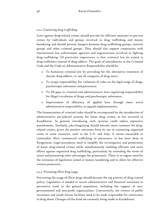### *2.2.1. Countering drug trafficking*

Laws against drug-related crimes should provide for efficient measures to prevent crimes by individuals and groups involved in drug trafficking and money laundering and should prevent mergers between drug trafficking groups, terrorist groups and other criminal groups. They should also support cooperation with international law enforcement agencies and organizations involved in fighting drug trafficking. Of particular importance is that criminal law be aimed at drug traffickers instead of drug addicts. The goals of amendments to the Criminal Code and the Code on Administrative Responsibility should be:

- o To humanize criminal law by providing for the alternative treatment of chronic drug addicts, i.e. not all categories of drug users;
- o To assign responsibility for violations of rules on the legal usage of drugs, psychotropic substances and precursors;
- o To fill gaps in criminal and administrative laws regulating responsibility for illegal circulation of drugs and psychotropic substances;
- o Improvement of efficiency of applied laws through more active administrative responsibility as regards implementation.

The humanization of criminal codes should be accompanied by the introduction of administrative pre-judicial systems for lesser drug crimes, as has occurred in Kazakhstan. In general, introducing such systems could reduce repressive punishments. Similarly, plea-bargaining should become more common for drugrelated crimes, given the positive outcomes from its use in countering organized crime in some countries, such as the U.S. and Italy. It seems reasonable to criminalize illicit commercial trafficking in precursors, as has been done in Kyrgyzstan. Legal procedures need to simplify the investigation and prosecution of lesser drug-related crimes while simultaneously enabling efficient and strict efforts against organized drug trafficking, particularly by extending the terms of arrest and presenting other advantages for prosecutors. There is an urgent need for the extension of legislation aimed at money laundering and to allow for effective witness protection.

#### *2.2.2. Preventing illicit drug usage*

Preventing the usage of illicit drugs should become the top priority of drug control policy. Legislation is needed to secure administrative and financial assistance to preventive work in the general population, including the support of nongovernmental and non-profit organizations. Concurrently, the owners of public recreation and youth leisure facilities need to be made responsible for connivance in drug abuse. Changes of this kind are currently being made in Kazakhstan.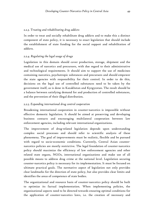#### *2.2.3. Treating and rehabilitating drug addicts*

In order to treat and socially rehabilitate drug addicts and to make this a distinct component of state policy, it is necessary to enact legislation that should include the establishment of state funding for the social support and rehabilitation of addicts.

## *2.2.4. Regulating the legal usage of drugs*

Legislation in this domain should cover production, storage, shipment and the medical use of narcotics and precursors, with due regard to their administrative and technological requirements. It should aim to support the use of medicines containing narcotics, psychotropic substances and precursors and should empower the state agencies with responsibility for their control. In order to do this, decisions on the legal use of controlled substances need to be taken by the government itself, as is done in Kazakhstan and Kyrgyzstan. The result should be a balance between satisfying demand for and production of controlled substances, and the prevention of their illegal distribution.

## *2.2.5. Expanding international drug control cooperation*

Broadening international cooperation in counter-narcotics is impossible without effective domestic legislation. It should be aimed at preserving and developing business contacts and encouraging multilateral cooperation between law enforcement agencies, including relevant international organizations.

The improvement of drug-related legislation depends upon understanding complex social processes and should refer to scientific analysis of these phenomena. The goal of improvements must be realistic, flexible and be pursued with regard to socio-economic conditions. Currently, Central Asian counternarcotics policies are mostly restrictive. The legal foundation of counter-narcotics policy should maximize the efficiency of law enforcement agencies and other related state organs, NGOs, international organizations and make use of all possible means to address drug crime at the national level. Legislation securing counter-narcotics policy is necessary for its implementation. It must be focused on ultimate practical goals. The normative aspect of legislation not only provides clear landmarks for the direction of state policy, but also provides clear limits and identifies the areas of competence of state bodies.

The organizational and resource basis of counter-narcotics policy should be built to optimize its factual implementation. When implementing policies, the organizational aspects need to be directed towards ensuring optimal conditions for the application of counter-narcotics laws, i.e. the creation of necessary and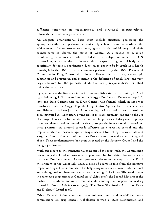sufficient conditions in organizational and structural, resource-related, informational, and managerial terms.

An adequate organizational basis must include structures possessing the appropriate authority to perform their tasks fully, coherently and so coordinate the achievement of counter-narcotics policy goals. In the initial stages of their counter-narcotics efforts, the states of Central Asia needed to establish coordinating structures in order to fulfill their obligations under the UN conventions, which require parties to establish a special drug control body or to specifically delegate a coordination function to another body (such as a health ministry). In the USSR, this function was performed by the USSR Permanent Committee for Drug Control which drew up lists of illicit narcotics, psychotropic substances and precursors, and determined the definition of small, large and very large amounts for the purposes of differentiating responsibilities for illicit trafficking or storage.

Kyrgyzstan was the first state in the CIS to establish a similar institution, in April 1993. Following UN conventions and a Kyrgyz Presidential Decree on April 8, 1993, the State Commission on Drug Control was formed, which in 2003 was transformed into the Kyrgyz Republic Drug Control Agency. In the time since its establishment has been justified. A body of legislation aimed at drug control has been instituted in Kyrgyzstan, giving rise to relevant organizations and to the use of a range of measures for counter-narcotics. The priorities of drug control policy have been determined and tested practically. As per the international conventions, these priorities are directed towards effective state narcotics control and the implementation of measures against drug abuse and trafficking. Between 1993 and 2003, the Commission realized four State Programs to counter drug trafficking and abuse. Their implementation has been inspected by the Security Council and the Kyrgyz government.

With due regard to the transnational character of the drug trade, the Commission has actively developed international cooperation. One foundation for cooperation has been President Askar Akaev's professed desire to develop, by the Third Millennium of the Great Silk Road, a zone of countries free from the negative impact of drugs. The Commission has helped organize several major international and sub-regional seminars on drug issues, including: "The Great Silk Road: issues in countering drug crimes in Central Asia" (May 1999); the Second Meeting of the Parties to the Memorandum on mutual understanding and cooperation in drug control in Central Asia (October 1999); "The Great Silk Road – A Road of Peace and Dialogue" (April 2003).

Other Central Asian countries have followed suit and established state commissions on drug control. Uzbekistan formed a State Commission and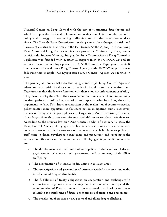National Center on Drug Control with the aim of eliminating drug threats and which is responsible for the development and realization of state counter-narcotics policy and strategy, for countering trafficking and for the prevention of drug abuse. The Kazakh State Commission on drug control has changed its title and bureaucratic status several times in the last decade. As the Agency for Countering Drug Abuse and Drug Trafficking, it was a part of the Ministry of Justice; now it is within the Interior Ministry. In 1999, the State Commission on Drug Control in Tajikistan was founded with substantial support from the UNODCCP and its activities have received high praise from UNODC and the Tajik government. It then was transformed into a Drug Control Agency, with UNODC support. It was following this example that Kyrgyzstan's Drug Control Agency was formed in 2004.

The primary difference between the Kyrgyz and Tajik Drug Control Agencies when compared with the drug control bodies in Kazakhstan, Turkmenistan and Uzbekistan is that the former function with their own law enforcement capability. They have investigative staff, their own detention rooms, etc. Therefore, not only do they perform coordination, analytical and representative functions, they also implement the law. This direct participation in the realization of counter-narcotics policy creates more opportunities for coordination in fighting crime. Moreover, the size of the agencies (240 employees in Kyrgyzstan, 360 in Tajikistan) is several times larger than the state commissions, and this increases their effectiveness. According to the Kyrgyz law on "Drug Control Body" of February 12, 2004, the Drug Control Agency of Kyrgyz Republic is a law enforcement and executive body and does not sit in the structure of the government. It implements policy on trafficking in drugs, psychotropic substances and precursors, and coordinates the activities of other relevant executive bodies in the Kyrgyz Republic. Its main tasks are:

- o The development and realization of state policy on the legal use of drugs, psychotropic substances and precursors, and countering their illicit trafficking;
- o The coordination of executive bodies active in relevant areas;
- o The investigation and prevention of crimes classified as crimes under the jurisdiction of drug control bodies;
- o The fulfillment of treaty obligations on cooperation and exchange with international organizations and competent bodies of other states, and the representation of Kyrgyz interests in international organizations on issues related to the trafficking of drugs, psychotropic substances and precursors;
- o The conclusion of treaties on drug control and illicit drug trafficking.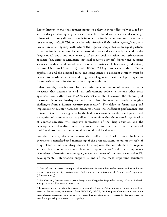Recent history shows that counter-narcotics policy is more effectively realized by such a drug control agency because it is able to build cooperation and exchange information among different levels involved in implementation, and focus them on achieving tasks.<sup>90</sup> This is particularly effective if the other agency/body is a law enforcement agency with whom the Agency cooperates as an equal partner. Effective implementation of counter-narcotics policy does not only depend on the drug control body but on a variety of actors, such as other law enforcement agencies (e.g. Interior Ministries, national security services), border and customs services, medical and social institutions (ministries of healthcare, education, culture, labor, social security) and NGOs. Taking into account the different capabilities and the assigned tasks and competences, a coherent strategy must be devised to coordinate actions and drug control agencies must develop the systems for multi-level coordination of truly complex activities.

Related to this, there is a need for the continuing coordination of counter-narcotics measures that extends beyond law enforcement bodies to include other state agencies, local authorities, NGOs, associations, etc. However, the planning of measures is often inadequate and inefficient in meeting newly emerging challenges from a human security perspective.<sup>91</sup> The delay in formulating and implementing counter-narcotics measures shows the inefficient performance due to insufficient forecasting tasks by the bodies responsible for the development and realization of counter-narcotics policy. It is obvious that the optimal organization of counter-narcotics will improve forecasting of the drug situation and the development and realization of programs, providing them with the coherence of multilevel programs at the regional, national, and local levels.

For that reason, the counter-narcotics policy organization must include a permanent scientific-based monitoring of the drug situation, including the scale of drug-related crime and drug abuse. This requires the introduction of regular surveys. It also requires a certain level of computerization<sup>92</sup> and other components of modern information technologies, as well as the use of the most recent scientific developments.Information support is one of the most important structural

<sup>90</sup> One of the successful examples of coordination between law enforcement bodies and drug control agencies of Kyrgyzstan and Tajikistan is the international "Canal 2003" operation (November 2003).

<sup>91</sup> Nur Omarov, *Gumanitarnye Aspekty Bezopasnosti Kyrgyzskoi Respubliki: Vyzovy i Otvety*, Bishkek: Kyrgyz Slavonic University, 2002, p. 27.

 $92$  In connection with this it is necessary to note that Central Asian law enforcement bodies have received the necessary equipment from UNODC, OSCE, the European Commission, and other international organizations over several years. The problem is how efficiently the equipment is used for supporting counter-narcotics policy.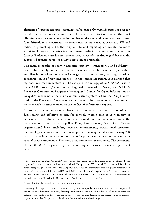elements of counter-narcotics organization because only with adequate support can counter-narcotics policy be informed of the current situation and of the most effective strategies and concepts for combating drug-related crime and drug abuse. It is difficult to overestimate the importance of mass media, especially TV and radio, in promoting a healthy way of life and reporting on counter-narcotics activities. However, the privatization of mass media in all Central Asian countries (except Turkmenistan) has not proved very successful in this regard because the support of counter-narcotics policy is not seen as profitable.

The main principles of counter-narcotics strategy – transparency and publicity – have unfortunately not become the norm everywhere. The systematic publication and distribution of counter-narcotics magazines, compilations, teaching materials, brochures etc, is of high importance.93 In the immediate future, it is planned that regional information centers will be set up with the support of UNODC within the CARIC project (Central Asian Regional Information Center) and NADIN European Commission Program (Interregional Center for Open Information on Drugs).94 Furthermore, there is a communication system within the Drug Control Unit of the Economic Cooperation Organization. The creation of such centers will make possible an improvement in the quality of information support.

Improving the organizational basis of counter-narcotics efforts requires a functioning and effective system for control. Within this, it is necessary to determine the optimal balance of institutional and public control over the realization of counter-narcotics policy. Thus, there are many facets of an effective organizational basis, including resource requirements, institutional structure, methodological choices, information support and managerial decision-making.95 It is difficult to imagine how counter-narcotics policy can work effectively without each of these components. The most basic component is resources. The comments of the UNDCP's Regional Representative, Bogdan Lisovich in 1999 are pertinent here:

**-**

<sup>93</sup> For example, the Drug Control Agency under the President of Tajikistan in 2002 published 3000 copies of a counter-narcotics brochure entitled "Drug abuse. What to do?"; it also published the methodological guide for school teaching "Compilation of informative various-genre materials on prevention of drug addiction, AIDS and STD's in children"; organized 748 counter-narcotics releases in mass media; issues a monthly bulletin "Novosti AKN" ("News of DCA - Information Bulletin on Drug Situation in Central Asia, Tashkent: NICCN. 2003. P. 32

<sup>&</sup>lt;sup>94</sup> See Chapter 3 for details on this international project.

<sup>&</sup>lt;sup>95</sup> Among the types of resource basis it is required to specify human resources, i.e. complex of measures on education, training, forming professional skills of the subjects of counter-narcotics policy. This work was the topic for many workshops and trainings organized by international organizations. See Chapter 3 for details on the workshops and trainings.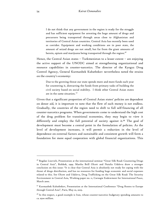I do not think that any government in the region is ready for the struggle and has sufficient equipment for arresting the huge amount of drugs and precursors being transported through areas close to Afghanistan and territories of Central Asian countries. Central Asia has recently been used as corridor. Equipment and working conditions are in poor state, the amount of seized drugs are not small, but far from the giant amounts of heroin, opium and marijuana being transported through the region. $96$ 

Hence, the Central Asian states – Turkmenistan to a lesser extent – are enjoying the active support of the UNODC aimed at strengthening organizational and resource capabilities in counter-narcotics. The director of the Kyrgyz Drug Control Agency, General Kurmanbek Kubatbekov nevertheless noted the strains on the country's economy:

Due to the growing threat our state spends more and more funds each year for countering it, distracting the funds from primary tasks of building the civil society based on social stability. I think other Central Asian states are in the same situation. 97

Given that a significant proportion of Central Asian states' policies are dependent on donor aid, it is important to note that the flow of such money is not endless. Gradually, the countries of the region need to shift to full self-financing of all counter-narcotics programs. When governments come to understand the high cost of the drug problem for transitional economies, they may begin to view it differently and employ the full potential of society against it.98 The goal of development must become a central point in the formulation of policies. As the level of development increases, it will permit a reduction in the level of dependence on external factors and sustainable and consistent growth will form a foundation for more equal cooperation with global financial organizations. This

**-**

<sup>96</sup> Bogdan Lisovich, Presentation at the international seminar "Great Silk Road: Countering Drugs in Central Asia", Bishkek, 1999. Martha Brill Olcott and Natalia Udalova draw a stronger conclusion on this issue: "It is clear that Central Asia is absolutely not ready for coping with the threat of drugs distribution, and has no resources for funding huge economic and social expenses related to this. See Olcott and Udalova, Drug Trafficking on the Great Silk Road: The Security Environment in Central Asia, Working paper no. 11, Carnegie Endowment for International Peace, March 2000.

<sup>97</sup> Kurmanbek Kubatbekov, Presentation at the International Conference "Drug Routes to Europe through Central Asia", Paris, May 22, 2003.

 $9^8$  In this respect, a good example is Iran, whose counter-narcotics budgetary spending amounts to ca. \$500 million.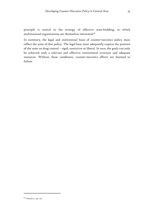principle is central in the strategy of effective state-building, in which multinational organizations are themselves interested.<sup>99</sup>

In summary, the legal and institutional basis of counter-narcotics policy must reflect the aims of that policy. The legal base must adequately express the position of the state on drug control – rigid, restrictive or liberal. In turn, the goals can only be achieved with a relevant and effective institutional structure and adequate resources. Without these conditions, counter-narcotics efforts are doomed to failure.

 $\ddot{\phantom{a}}$ 

<sup>99</sup> Omarov, op. cit.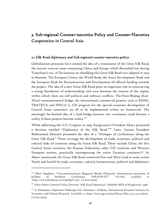# 3. Sub-regional Counter-narcotics Policy and Counter-Narcotics Cooperation in Central Asia

## 3.1 Silk Road diplomacy and Sub-regional counter-narcotics policy

Globalization processes have created the idea of a renaissance of the Great Silk Road, the ancient caravan route connecting China and Europe which flourished last during Tamerlane's era. A Declaration on rebuilding the Great Silk Road was adopted in 1992 in Brussels. The European Union, the World Bank, the Asian Development Bank and the European Bank for Reconstruction and Development all offered funding towards the project. The idea of a new Great Silk Road plays an important role in constructing a strong foundation of understanding and trust between the nations of the region, within which there are still political and military conflicts. The Paris-Beijing (East-West) transcontinental bridge, the international commercial projects such as BISEK, TRACECA and SPECA (a UN program for the special economic development of Central Asian countries) are all to be implemented within its framework. The seemingly far-fetched idea of a land bridge between two continents could become a reality if these projects become reality.<sup>100</sup>

While addressing the U.S. Congress in 1999, Kyrgyzstan's President Akaev presented a doctrine entitled "Diplomacy of the Silk Road."101 Later, Iranian President Mohammed Khatami presented the idea of a "Dialogue of civilizations along the Great Silk Road." These envisage the development of trade, economic, political and cultural links of countries along the Great Silk Road. These include China, the five Central Asian countries, the Russian Federation, other CIS countries and Western European nations, practically encompassing the entire Eurasian continent.102 As Akaev mentioned, the Great Silk Road connected East and West (and to some extent North and South) by trade, economic, cultural, humanitarian, political and diplomatic

<sup>100</sup> Аlbert Bogdanov, Trancontinentalnaya Magistral Mezdu Okeanami. International movement of builders of Northern Civilization "HEADWAY". On-line, available at <http://www.headway.us/read.php?i=526>. [13 June 2004].

<sup>101</sup> Askar Akaev, External Policy Doctrine "Silk Road Diplomacy", Bishkek: MFA of Kyrgyzstan, 1998.

<sup>102</sup> A. Kenenbaev, *Diplomatia Shelkovogo Puti: Aktualnost i Problemy*, International Eurasian Institute for Economic and Political Research. Available at <http://iicas.org/articles/library/libr\_rus\_9\_10\_00.htm>. [7 June 2004].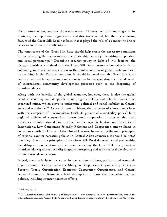ties to some extent, and has thousands years of history. At different stages of its existence, its importance, significance and directions varied, but the one enduring feature of the Great Silk Road has been that it played the role of a connecting bridge between countries and civilizations.

The renaissance of the Great Silk Road should help create the necessary conditions for transforming the region into a zone of stability, security, friendship, cooperation and equal partnership.<sup>103</sup> Describing security policy in light of this doctrine, the Kyrgyz President explained that the Great Silk Road creates a favorable basis for enhancing international cooperation in the joint resolution of global problems faced by mankind in the Third millennium. It should be noted that the Great Silk Road doctrine received broad international appreciation for encapsulating the related trends of international community development processes such as the deepening of interdependence.

Along with the benefits of the global economy, however, there is also the global 'shadow' economy and its problems of drug trafficking and related transnational organized crime, which serve to undermine political and social stability in Central Asia and worldwide.<sup>104</sup> Aware of these problems, the countries of Central Asia have with the exception of Turkmenistan (with its pursuit of a neutrality policy) built regional policies of cooperation. International cooperation is one of the main principles of international law, outlined in the 1970 Declaration on Principles of International Law Concerning Friendly Relations and Cooperation among States in Accordance with the Charter of the United Nations. In analyzing the main principles of regional counter-narcotics policies in Central Asian countries, it should be noted that they fit with the principles of the Great Silk Road doctrine: equal partnership, friendship and cooperation with all countries along the Great Silk Road; positive interdependence; mutual benefit; long-term prospects; and multisectoral development of international cooperation.

Indeed, these principles are active in the various military, political and economic organizations in Central Asia: the Shanghai Cooperation Organization, Collective Security Treaty Organization, Economic Cooperation Organization, and Central Asian Community. Below is a brief description of those that formulate regional policies, including counter-narcotics efforts.

-

 $103$  Akaev, op. cit.

<sup>104</sup> Z. Tohtokhodjaeva, *Diplomatia Shelkovogo Puti – Put Reshenia Problem Sovremennosti*, Paper for International Seminar "Great Silk Road: Combating Drugs in Central Asia". Bishkek, 19-20 May 1999.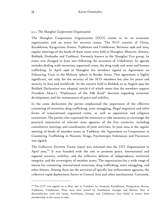## *3.1.1. The Shanghai Cooperation Organization*

The Shanghai Cooperation Organization (SCO) claims to be an economic organization and an arena for security issues. The SCO consists of China, Kazakhstan, Kyrgyzstan, Russia, Tajikistan and Uzbekistan. Between 1996 and 2004, regular meetings of the heads of these states were held in Shanghai, Moscow, Almaty, Bishkek, Dushanbe and Tashkent. Formerly known as the Shanghai Five group, its name was changed in June 2001 following the accession of Uzbekistan. Its agenda includes dealing with terrorism, organized crime, the drug trade and arms and human trafficking. In April 1996 in Shanghai the members signed an Agreement on Enhancing Trust in the Military sphere in Border Areas. This agreement is highly significant, not only for the security of the SCO members but also for peace and security in Asia and worldwide. At the summit held in Bishkek on 25 August 1999 the Bishkek Declaration was adopted, article 6 of which states that the members support President Akaev's "Diplomacy of the Silk Road" doctrine regarding economic development, and the maintenance of peace and stability.

In the same declaration the parties emphasized the importance of the effective countering of terrorism, drug trafficking, arms smuggling, illegal migration and other forms of transnational organized crime, as well as separatism and religious extremism. The parties also expressed the intention to take measures to encourage the practical interaction of relevant state agencies of the five countries, including consultative meetings and coordination of joint activities. In June 2004 at the regular meeting of heads of member states in Tashkent, the Agreement on Cooperation in Countering Trafficking in Narcotic Drugs, Psychotropic Substances and Precursors was signed.

The Collective Security Treaty (1992) was renamed into the CST Organization in April 2003.<sup>105</sup> It was founded with the aim to promote peace, international and regional security, stability, and the collective defense of independence, territorial integrity, and the sovereignty of member states. The organization has a wide range of means for countering international terrorism, drug trafficking, arms smuggling, and other threats. Among these are the activities of specific law enforcement agencies, the collective rapid deployment forces in Central Asia and other mechanisms. Currently,

<sup>&</sup>lt;sup>105</sup> The CST was signed on 15 May 1992 in Tashkent by Armenia, Kazakhstan, Kyrgyzstan, Russia, Tajikistan, Uzbekistan. They were later joined by Azerbaijan, Georgia and Belarus. Due to dissatisfaction with the treaty, Azerbaijan, Georgia and Uzbekistan later failed to renew their membership in the treaty in 1999.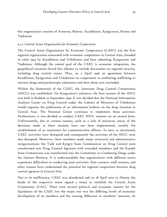this organization consists of Armenia, Belarus, Kazakhstan, Kyrgyzstan, Russia and Tajikistan.

## *3.1.2. Central Asian Organization for Economic Cooperation*

The Central Asian Organization for Economic Cooperation (CAEC) was the first regional organization concerned with economic cooperation in Central Asia, founded in early 1994 by Kazakhstan and Uzbekistan and later admitting Kyrgyzstan and Tajikistan. Although the central goal of the CAEC is economic integration, the geopolitical situation forced this alliance to include discussions on regional security, including drug control issues. Thus, on 5 April 1996 an agreement between Kazakhstan, Kyrgyzstan and Uzbekistan on cooperation in combating trafficking in narcotic drugs and psychotropic substances and their abuse was concluded.

Within the framework of the CAEC, the Interstate Drug Control Commission (IDCC) was established. On Kyrgyzstan's initiative, the first session of the IDCC was held in Bishkek in September 1999. It was decided that the National Information Analysis Center on Drug Control under the Cabinet of Ministers of Uzbekistan would organize the publication of an information bulletin on the drug situation in Central Asia. The National Center continues to implement these activities. Furthermore, it was decided to conduct CAEC IDCC sessions on an annual basis. Unfortunately, due to various reasons, such as a lack of resources, many of the decisions made at these sessions have not been implemented, notably the establishment of an institution for communication officers. In 2002, as mentioned, CAEC activities were disrupted and consequently the activities of the IDCC were also disrupted. Moreover, three members made major structural and administrative reorganizations: the Tajik and Kyrgyz State Commissions on Drug Control were transformed into Drug Control Agencies with extended mandates and the Kazakh State Commission was transformed into the Committee on Combating Drugs under the Interior Ministry. It is understandable that organizations with different status experience difficulties in conducting joint activities. Rare contacts, staff rotation, and other reasons have undermined the potential for regional cooperation between drug control agencies in Central Asia.

Due to its inefficiency, CAEC was abandoned and on 28 April 2002 in Almaty the heads of the respective states signed a treaty to establish the Central Asian Community (CAC). There were several political and economic reasons for the liquidation of the CAEC but the major one was the differing levels of economic development of its members and the ensuing difference in members' interests. At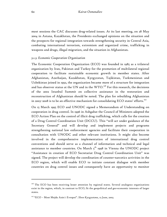most sessions the CAC discusses drug-related issues. At its last meeting, on 28 May 2004 in Astana, Kazakhstan, the Presidents exchanged opinions on the situation and the prospects for regional integration towards strengthening security in Central Asia, combating international terrorism, extremism and organized crime, trafficking in weapons and drugs, illegal migration, and the situation in Afghanistan.

### *3.1.3. Economic Cooperation Organization*

The Economic Cooperation Organization (ECO) was founded in 1985 as a trilateral organization by Iran, Pakistan and Turkey for the promotion of multilateral regional cooperation to facilitate sustainable economic growth in member states. After Afghanistan, Azerbaijan, Kazakhstan, Kyrgyzstan, Tajikistan, Turkmenistan and Uzbekistan joined in 1992, the organization became more of a structure for integration and has observer status at the UN and in the WTO.<sup>106</sup> For this research, the decisions of the 2002 Istanbul Summit on collective assistance in the restoration and reconstruction of Afghanistan should be noted. The plan for rebuilding Afghanistan in 2003-2008 is to be an effective mechanism for consolidating ECO states' efforts. $107$ 

On 15 March 1995 ECO and UNODC signed a Memorandum of Understanding on cooperation in drug control. In 1996 in Ashgabat the Council of Ministers adopted the ECO Action Plan on the control of illicit drug trafficking, which calls for the creation of a Drug Control Coordination Unit (DCCU). This "will act under guidance of the Secretary General" and will develop and implement projects and programs strengthening national law enforcement agencies and facilitate their cooperation in consultation with UNODC and other relevant institutions. It might also become involved in the comprehensive implementation of international drug control conventions and should serve as a channel of information and technical and legal assistance to member countries. On March  $5<sup>th</sup>$  1998 in Vienna the UNODC project "Assistance in creation of ECO Secretariat Drug Control Coordination Unit" was signed. The project will develop the coordination of counter-narcotics activities in the ECO region, which will enable ECO to initiate constant dialogue with member countries on drug control issues and consequently have an opportunity to monitor

<sup>&</sup>lt;sup>106</sup> The ECO has been receiving lesser attention by regional states. Several analogous organizations exist in the region, which, in contrast to ECO, fit the geopolitical and geo-economic interests of larger states.

<sup>107</sup> "ECO – Most Mejdu Asiei i Evropoi". *Slovo Kyrgyzstana*, 12 June, 2003.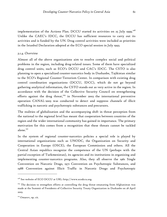implementation of the Actions Plan. DCCU started its activities on 25 July 1999. $^{108}$ Unlike the CAEC's IDCC, the DCCU has sufficient resources to carry out its activities and is funded by the UN. Drug control activities were included as priorities

in the Istanbul Declaration adopted at the ECO special session in July 1993.

## *3.1.4. Overview*

Almost all of the above organizations aim to resolve complex social and political problems in the region, including drug-related issues. Some of them have specialized drug control units, such as ECO's DCCU and CAC's IDCC. The CSTO is also planning to open a specialized counter-narcotics body in Dushanbe, Tajikistan similar to the SCO's Regional Counter-Terrorism Center. In comparison with existing drug control coordination organizations (DCCU, IDCC), which do not go beyond gathering analytical information, the CSTO stands out as very active in the region. In accordance with the decision of the Collective Security Council on strengthening efforts against the drug threat,<sup>109</sup> in November 2003 the international preventive operation CANAL-2003 was conducted to detect and suppress channels of illicit trafficking in narcotic and psychotropic substances and precursors.

The realities of globalization and the accompanying shift in threat perception from the national to the regional level has meant that cooperation between countries of the region and the wider international community has gained in importance. The primary motivation for this comes from a recognition that these threats cannot be tackled alone.<sup>110</sup>

In the system of regional counter-narcotics policies a special role is played by international organizations such as UNODC, the Organization on Security and Cooperation in Europe (OSCE), the European Commission and others. All the Central Asian republics recognize the competence of the UN (perhaps with the partial exception of Turkmenistan), its agencies and its institutions in organizing and implementing counter-narcotics programs. Also, they all observe the 1961 Single Convention on Narcotic Drugs, 1971 Convention on Psychotropic Substances, and 1988 Convention against Illicit Traffic in Narcotic Drugs and Psychotropic

-

<sup>&</sup>lt;sup>108</sup> See website of ECO DCCU at URL: http://www.ecodccu.org.

<sup>&</sup>lt;sup>109</sup> The decision to strengthen efforts at controlling the drug threat emanating from Afghanistan was made at the Summit of Presidents of Collective Security Treaty Organization in Dushanbe on 28 April 2003.

<sup>&</sup>lt;sup>110</sup> Omarov, op. cit.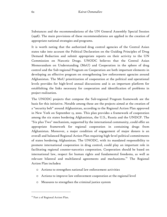Substances and the recommendations of the UN General Assembly Special Session (1998). The main provisions of these recommendations are applied in the creation of appropriate national strategies and programs.

It is worth noting that the authorized drug control agencies of the Central Asian states take into account the Political Declaration on the Guiding Principles of Drug Demand Reduction and submit appropriate reports on their activity to the UN Commission on Narcotic Drugs. UNODC believes that the Central Asian Memorandum on Understanding (MoU) and Cooperation in the sphere of drug control and the Sub-regional Program on Cooperation are both important elements in developing an effective program on strengthening law enforcement agencies around Afghanistan. The MoU prioritization of cooperation at the political and operational levels provides for high-level annual discussions and is an important platform for establishing the links necessary for cooperation and identification of problems in project realization.

The UNODC projects that compose the Sub-regional Program framework are the basis for this initiative. Notable among these are the projects aimed at the creation of a "security belt" around Afghanistan, according to the Regional Action Plan approved in New York on September 13, 2000. This plan provides a framework of cooperation among the six states bordering Afghanistan, the U.S., Russia and the UNDCP. The "Six plus Two" mechanism, supported by the international community, could offer an appropriate framework for regional cooperation in containing drugs from Afghanistan. Moreover, a major condition of engagement of major donors is an overall and balanced Regional Action Plan requiring high-level political commitments of states bordering Afghanistan. The UNODC, with its mandated responsibility to promote international cooperation in drug control, could play an important role in facilitating regional counter-narcotics cooperation. Cooperation should be based on international law, respect for human rights and fundamental freedoms, as well as relevant bilateral and multilateral agreements and mechanisms.<sup>111</sup> The Regional Action Plan includes:

- o Actions to strengthen national law enforcement activities
- o Actions to improve law enforcement cooperation at the regional level
- o Measures to strengthen the criminal justice system

<sup>&</sup>lt;sup>111</sup> Part 2 of Regional Action Plan.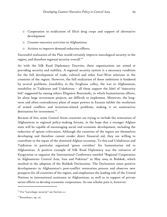- o Cooperation in eradication of illicit drug crops and support of alternative development
- o Counter-narcotics activities in Afghanistan
- o Actions to improve demand reduction efforts.

Successful realization of the Plan would certainly improve narcological security in the region, and therefore regional security overall. $^{112}$ 

As with the Silk Road Diplomacy Doctrine, these organizations are aimed at providing security and stability. A regional security system is a necessary condition for the full development of trade, cultural and other East-West relations in the countries of the region. However, the full realization of these ambitions is hindered by several problems. Instability in the Ferghana valley, the war in Afghanistan, instability in Tajikistan and Uzbekistan – all these support the label of 'insecurity belt' suggested by among others Zbigniew Brzezinski, in which humanitarian efforts, let alone large investment projects, are difficult to implement. Moreover, the longterm and often contradictory plans of major powers in Eurasia inhibit the resolution of armed conflicts and terrorism-related problems, making it an unattractive destination for investment.<sup>113</sup>

Because of this, some Central Asian countries are trying to include the restoration of Afghanistan in regional policy-making forums, in the hope that a stronger Afghan state will be capable of encouraging social and economic development, including the reduction of opium cultivation. Although the countries of the region are themselves developing and therefore cannot render direct financial aid, they are willing to contribute to the repair of the shattered Afghan economy. To this end Uzbekistan and Tajikistan in particular organized 'green corridors' for humanitarian aid to Afghanistan. A positive example of Silk Road Diplomacy was the initiative of Kyrgyzstan to organize the International Conference entitled "Regional Cooperation in Afghanistan: Central Asia, Iran and Pakistan" in May 2004 in Bishkek, which resulted in the adoption of the Bishkek Declaration. The Declaration notes positive developments in Afghanistan's post-conflict restoration process and observes new prospects for all countries of the region, and emphasizes the leading role of the United Nations in international assistance to Afghanistan, as well as in support of private sector efforts to develop economic cooperation. As one scholar puts it, however:

-

<sup>&</sup>lt;sup>112</sup> For "narcologic security" see Section 2.1.

<sup>&</sup>lt;sup>113</sup> Kenenbaev, op. cit.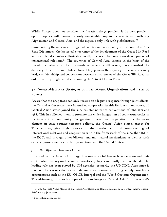While Europe does not consider the Eurasian drugs problem is its own problem, opium poppies will remain the only sustainable crop in the remote and suffering Afghanistan and Central Asia, and the region's only link with globalization.<sup>114</sup>

Summarizing the overview of regional counter-narcotics policy in the context of Silk Road Diplomacy, the historical experience of the development of the Great Silk Road and its related countries illustrates vividly the need for long-term development of international relations.115 The countries of Central Asia, located in the heart of the Eurasian continent at the crossroads of several civilizations, have absorbed the diversity of cultures and philosophies. They possess the capacity to become a strong bridge of friendship and cooperation between all countries of the Great Silk Road, in order that they might avoid it becoming the "Great Heroin Route".

# 3.2 Counter-Narcotics Strategies of International Organizations and External Powers

Aware that the drug trade can only receive an adequate response through joint efforts, the Central Asian states have intensified cooperation in this field. As noted above, all Central Asian states joined the UN counter-narcotics conventions of 1961, 1971 and 1988. This has allowed them to promote the wider integration of counter-narcotics in the international community. Recognizing international cooperation to be the major element in state counter-narcotics policies, the Central Asian states, except for Turkmenistan, give high priority to the development and strengthening of international relations and cooperation within the framework of the UN, the OSCE, the ECO, and through other bilateral and multilateral mechanisms as well as with external powers such as the European Union and the United States.

## *3.2.1. UN Office on Drugs and Crime*

It is obvious that international organizations often initiate such cooperation and their contribution to regional counter-narcotics policy can hardly be overstated. The leading role has been played by UN agencies, primarily the UNODC. Assistance is rendered by various donors in reducing drug demand and drug supply, involving organizations such as the EU, OSCE, Interpol and the World Customs Organization. The ultimate goal of such cooperation is to integrate Central Asia into the world's

<sup>114</sup> Svante Cornell, "The Nexus of Narcotics, Conflicts, and Radical Islamism in Central Asia", *Caspian Brief*, no. 24, June 2002.

<sup>&</sup>lt;sup>115</sup> Tohtokhodjaeva, op. cit.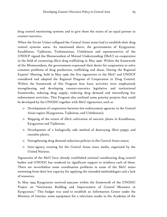drug control monitoring systems and to give them the status of an equal partner in counter-narcotics.

When the Soviet Union collapsed the Central Asian states had to establish their drug control systems anew. As mentioned above, the governments of Kyrgyzstan, Kazakhstan, Tajikistan, Turkmenistan, Uzbekistan and representatives of the UNDCP signed the Memorandum of Mutual Understanding (MoU) on cooperation in the field of countering illicit drug trafficking in May 1996. Within the framework of the Memorandum, the governments expressed their desire for cooperation to solve common problems of drug production, trafficking and abuse. During the Regional Experts' Meeting, held in May 1996, the five signatories to the MoU and UNDCP considered and adopted the Regional Program of Cooperation in Drug Control. Within the framework of this Program four basic activities were emphasized: strengthening and developing counter-narcotics legislative and institutional frameworks, reducing drug supply, reducing drug demand and intensifying law enforcement activities. This Program also outlined some priority projects that could be developed by the UNODC together with MoU signatories, such as

- o Development of cooperation between law-enforcement agencies in the Central Asian region (Kyrgyzstan, Tajikistan, and Uzbekistan);
- o Mapping of the extent of illicit cultivation of narcotic plants in Kazakhstan, Kyrgyzstan and Tajikistan;
- o Development of a biologically safe method of destroying illicit poppy and cannabis plants;
- o Strengthening drug demand reduction policies in the Central Asian states;
- o Inter-agency training for the Central Asian mass media, organized by the United Nations.

Signatories of the MoU have already established national coordinating drug control bodies and UNODC has rendered its significant support to reinforce each of these. There are nevertheless some coordination problems in some of the MoU states stemming from their low capacity for applying the intended methodologies and a lack of resources.

In May 1994 Kyrgyzstan received \$550,000 within the framework of the UNODC Project on "Institution Building and Improvement of Control Measures in Kyrgyzstan." This budget was used to establish an Information Center under the Ministry of Interior, some equipment for a television studio in the Academy of the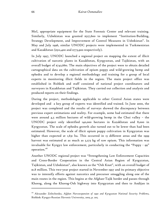MoI, appropriate equipment for the State Forensic Center and relevant training. Similarly, Uzbekistan was granted \$527,600 to implement "Institution-Building, Strategy Development, and Improvement of Control Measures in Uzbekistan". In May and July 1996, similar UNODC projects were implemented in Turkmenistan and Kazakhstan (\$512,400 and \$773,900 respectively).

In July 1997, UNODC launched a regional project on mapping the extent of illicit cultivation of narcotic plants in Kazakhstan, Kyrgyzstan, and Tajikistan, with an overall budget of \$742,660. The main objectives of the project were to obtain detailed cartographical data on the cultivation of opium poppy and wild-growing hemp and ephedra and to develop a regional methodology and training for a group of local experts in monitoring illicit fields in the region. The main project office was established in Bishkek and staff consisted of national project coordinators and surveyors in Kazakhstan and Tajikistan. They carried out collection and analysis and produced reports on their findings.

During the project, methodologies applicable to other Central Asian states were developed and a key group of experts was identified and trained. In June 2000, the project was completed and the results of surveys showed the discrepancy between previous expert estimations and reality. For example, some had estimated that there were around 4,5 million hectares of wild-growing hemp in the Chui valley – the UNODC project only identified 140,000 hectares in Kazakhstan and 8,000 in Kyrgyzstan. The scale of ephedra growth also turned out to be lower than had been estimated. However, the scale of illicit opium poppy cultivation in Kyrgyzstan was higher than expected at 1,631 ha. This occurred in 13 different areas and the 1999 harvest was estimated at as much as 3,273 kg of raw opium. This information was invaluable for Kyrgyz law enforcement, particularly in conducting the "Poppy - 99" operation.<sup>116</sup>

Another UNODC regional project was "Strengthening Law Enforcement Capacities and Cross-Border Cooperation in the Central Asian Region of Kyrgyzstan, Tajikistan, and Uzbekistan", also known as the "Osh Knot", with an overall budget of \$1.8 million. This two-year project started in November 1997 and its primary objective was to intensify efforts against narcotics and precursor smuggling along one of the main routes in the region. This begins at the Afghan-Tajik border and passes through Khorog, along the Khorog-Osh highway into Kyrgyzstan and then to Andijan in

<sup>116</sup> Alexander Zelitchenko, *Afghan Narcoexpansion of 1990 and Kyrgyzstan National Security Problem*s, Bishkek: Kyrgyz-Russian Slavonic University, 2003, p. 205.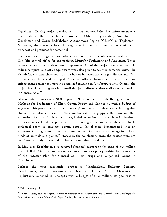Uzbekistan. During project development, it was observed that law enforcement was inadequate in the three border provinces (Osh in Kyrgyzstan, Andizhan in Uzbekistan and Gorno-Badakhshan Autonomous Region (GBAO) in Tajikistan). Moreover, there was a lack of drug detection and communication equipment, transport and premises for personnel.

For these reasons, regional law enforcement coordination centers were established in Osh (the central office for the project), Murgab (Tajikistan) and Andizhan. These centers were charged with national implementation of the project. Vehicles, portable radios, computer and office equipment were also given to counter-narcotics units. The Kyzyl-Art customs checkpoint on the border between the Murgab district and Osh province was built and equipped. About 60 officers from customs and other law enforcement bodies took part in specialized training in July/August 1999. Overall, the project has played a big role in intensifying joint efforts against trafficking expansion in Central Asia.<sup>117</sup>

Also of interest was the UNODC project "Development of Safe Biological Control Methods for Eradication of Illicit Opium Poppy and Cannabis", with a budget of \$495,000. This project began in February 1998 and lasted for three years. Noting that climactic conditions in Central Asia are favorable for poppy cultivation and that expansion of cultivation is a possibility, Uzbek scientists from the Genetics Institute of Tashkent explored the potential for developing an ecologically safe and reliable biological agent to eradicate opium poppy. Initial tests demonstrated that an experimental fungus would destroy opium poppy but did not cause damage to 130 local kinds of animals and plants.<sup>118</sup> However, the conclusions from the project were not considered entirely robust and further work remains to be done.

In May 1999 Kazakhstan also received financial support to the tune of \$5.5 million from UNODC in order to develop a counter-narcotics policy within the framework of the "Master Plan for Control of Illicit Drugs and Organized Crime in Kazakhstan".

Perhaps the most substantial project is "Institutional Building, Strategy Development, and Improvement of Drug and Crime Control Measures in Tajikistan", launched in June 1999 with a budget of \$11.4 million. Its goal was to

<sup>&</sup>lt;sup>117</sup> Zelitchenko, p. 181.

<sup>118</sup> Lubin, Klaits, and Barsegian, *Narcotics Interdiction in Afghanistan and Central Asia: Challenges for International Assistance*, New York: Open Society Institute, 2002. Appendix 1.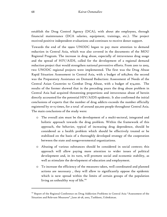establish the Drug Control Agency (DCA), with about 360 employees, through financial maintenance (DCA salaries, equipment, trainings, etc.). The project received positive independent evaluations and continues to receive donor support.

Towards the end of the 1990s UNODC began to pay more attention to demand reduction in Central Asia, which was also covered in the documents of the MOU Regional Program. The increase in drug abuse, especially of intravenous drug usage and the spread of HIV/AIDS, called for the development of a regional demand reduction project that would strengthen national preventive efforts. From 2001 to 2003, two UNODC regional projects were implemented. The first was the Drug Abuse Rapid Situation Assessment in Central Asia, with a budget of \$182,800; the second was the Preparatory Assistance on Demand Reduction: Assessment of Needs of the Central Asian Countries to Combat Drug Abuse, with a budget of \$74,000. The results of the former showed that in the preceding years the drug abuse problem in Central Asia had acquired threatening proportions and intravenous abuse of heroin directly accounted for the potential HIV/AIDS epidemic. It also confirmed the initial conclusions of experts that the number of drug addicts exceeds the number officially registered by 10-15 times, for a total of around 350,000 people throughout Central Asia. The main conclusions of the study were:

- o The overall aim must be the development of a multi-sectoral, integrated and holistic approach towards the drug problem. Within the framework of this approach, the behavior, typical of increasing drug dependence, should be considered as a health problem which should be effectively treated or be stabilized on the basis of a thoroughly developed strategy of the cooperation between the state and nongovernmental organizations.
- o Abusing of various substances should be considered in social context; this approach will allow paying more attention to wider issues of political development and, in its turn, will promote social and economic stability, as well as stimulate the development of education and employment.
- o To increase the efficiency of the measures taken, well coordinated and planned actions are necessary , they will allow to significantly oppose the epidemic which is now spread within the limits of certain groups of the population living an unhealthy way of life.<sup>119</sup>

 $119$  Report of the Regional Conference on Drug Addiction Problems in Central Asia "Assessment of the Situation and Relevant Measures", June 26-28, 2002, Tashkent, Uzbekistan.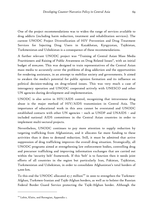One of the project recommendations was to widen the range of services available to drug addicts (including harm reduction, treatment and rehabilitation services). The current UNODC Project Diversification of HIV Prevention and Drug Treatment Services for Injecting Drug Users in Kazakhstan, Kyrgyzstan, Tajikistan, Turkmenistan and Uzbekistan is a consequence of these recommendations.

A further relevant UNODC project was "Training of Central Asian Mass Media Practitioners and Raising of Public Awareness on Drug Related Issues", with an initial budget of \$100,000. This was designed to train representatives of the Central Asian mass media to accurately cover the problems of drug addiction and the opportunities for rendering assistance, in an attempt to mobilize society and governments. It aimed to awaken the media's potential for public opinion formation and its influence on political decision-making on drug-related issues. This was very much a case of interagency operation and UNODC cooperated actively with UNESCO and other UN agencies during development and implementation.

UNODC is also active in HIV/AIDS control, recognizing that intravenous drug abuse is the major method of HIV/AIDS transmission in Central Asia. The importance of educational work in this area cannot be overstated and UNODC established contacts with other UN agencies – such as UNDP and UNAIDS – and included national AIDS committees in the Central Asian countries in order to implement multi-sectoral projects.

Nevertheless, UNODC continues to pay more attention to supply reduction by targeting trafficking from Afghanistan, and it allocates far more funding to these activities than it does to demand reduction. Still, it must be admitted that active suppression of drug trafficking improves the overall drug situation. Strategically, all UNODC programs aimed at strengthening law enforcement bodies, controlling drug and precursor trafficking and improving information exchanges that are carried out within the 'security belt' framework. If this 'belt' is to function then it needs joint efforts of all countries in the region but particularly Iran, Pakistan, Tajikistan, Turkmenistan and Uzbekistan, in order to consolidate Afghanistan's total borders of 5,000 km.

To this end the UNODC allocated  $\frac{27}{7}$  million<sup>120</sup> in 2000 to strengthen the Turkmen-Afghan, Turkmen-Iranian and Tajik-Afghan borders, as well as to bolster the Russian Federal Border Guard Service protecting the Tajik-Afghan border. Although the

<sup>&</sup>lt;sup>120</sup> Lubin, Klaits, and Barsegian, Appendix 1.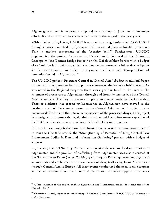Afghan government is eventually supposed to contribute to joint law enforcement efforts, Kabul government has been rather feeble in this regard in the past years.

With a budget of \$780,600, UNODC is engaged in strengthening the ECO's DCCU through a project launched in July 1999 and with a second phase to finish in June 2004. This is another component of the 'security belt'.121 Furthermore, UNODC implemented the project Assistance to Uzbekistan in Renewal of the Khairaton Checkpoint (the Termez Bridge Project) on the Uzbek-Afghan border with a budget of \$2.6 million in Uzbekistan, which was intended to construct a full-scale checkpoint at Termez-Khairaton in order to organize road and rail transportation of humanitarian aid to Afghanistan.<sup>122</sup>

The UNODC project "Precursor Control in Central Asia" (budget \$5 million) began in 2000 and is supposed to be an important element of the 'security belt' concept. As was noted in the Regional Program, there was a positive trend in the 1990s in the shipment of precursors to Afghanistan through and from the territories of the Central Asian countries. The largest seizures of precursors were made in Turkmenistan. There is evidence that processing laboratories in Afghanistan have moved to the northern areas of the country, closer to the Central Asian states, in order to ease precursor deliveries and the return transportation of the processed drugs. This project was designed to improve the legal, administrative and law enforcement capacities of the ECO member states so as to reduce illicit trafficking in precursors.

Information exchange is the most basic form of cooperation in counter-narcotics and in 2001 the UNODC started the "Strengthening of Potential of Drug Control Law Enforcement Bodies in Data and Information Gathering" project, with a budget of \$811,000.

In June 2003 the UN Security Council held a session devoted to the drug situation in Afghanistan and the problem of trafficking from Afghanistan was also discussed at the G8 summit in Evian (2003). On May 21-22, 2003 the French government organized an international conference to discuss issues of drug trafficking from Afghanistan through Central Asia to Europe. All these events emphasized the need to take tougher and better-coordinated actions to assist Afghanistan and render support to countries

<sup>&</sup>lt;sup>121</sup> Other countries of the region, such as Kyrgyzstan and Kazakhstan, are in the second tier of the "Security Belt".

<sup>&</sup>lt;sup>122</sup> Dusmetov, Kamol, Paper to the 1st Meeting of National Coordinators of ECO DCCU, Teheran, 21-22 October, 2003.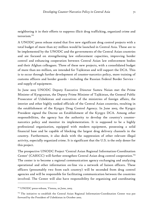neighboring it in their efforts to suppress illicit drug trafficking, organized crime and terrorism.<sup>123</sup>

A UNODC press release stated that five new significant drug control projects with a total budget of more than \$17 million would be launched in Central Asia. These are to be implemented by the UNODC and the governments of the Central Asian countries and are focused on strengthening law enforcement capacities, improving border control and enhancing cooperation between Central Asian law enforcement bodies and their Afghan colleagues. Three of these new projects, with a consolidated budget of more than \$10 million, are intended for Tajikistan and will support the DCA. This is to occur through further development of counter-narcotics policy, more training of customs officers and border guards - including the Russian Federal Border Service and supply of equipment.

In June 2003 UNODC Deputy Executive Director Sumru Noian met the Prime Minister of Kyrgyzstan, the Deputy Prime Minister of Tajikistan, the General Public Prosecutor of Uzbekistan and executives of the ministries of foreign affairs, the interior and other highly ranked officials of the Central Asian countries, resulting in the establishment of the Kyrgyz Drug Control Agency. In June 2003, the Kyrgyz President signed the Decree on Establishment of the Kyrgyz DCA. Among other responsibilities, the agency has the authority to develop the country's counternarcotics policy and monitor its implementation. It is supposed to be a highly professional organization, equipped with modern equipment, possessing a solid financial base and be capable of blocking the largest drug delivery channels in the country. Furthermore, it also deals with the suppression of other relevant illegal activity, especially organized crime. It is significant that the U.S. is the only donor for this project.

The prospective UNODC Project 'Central Asian Regional Information-Coordination Center' (CARICC) will further strengthen Central Asian drug control cooperation.<sup>124</sup> The center is to become a regional communication agency exchanging and analyzing operational and other information on-line via a network of liaison officers. These officers (presumably two from each country) will be seconded from drug control agencies and will be responsible for facilitating communication between the countries involved. The Center will also have responsibility for organizing and coordinating

<sup>&</sup>lt;sup>123</sup> UNODC press-release, Vienna, 20 June, 2003.

<sup>&</sup>lt;sup>124</sup> The initiative to establish the Central Asian Regional Information-Coordination Center was put forward by the President of Uzbekistan in October 2002.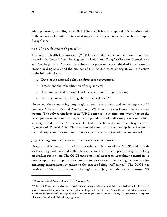joint operations, including controlled deliveries. It is also supposed to be another node in the network of similar centers working against drug-related crime, such as Interpol, Europol etc.

## *3.2.2. The World Health Organization*

The World Health Organization (WHO) also makes some contribution to counternarcotics in Central Asia. Its Regional 'Alcohol and Drugs' Office for Central Asia and Azerbaijan is in Almaty, Kazakhstan. Its program was established in response to growth in drug abuse and the number of HIV/AIDS cases among IDUs. It is active in the following fields:

- o Developing national policy on drug abuse prevention;
- o Treatment and rehabilitation of drug addicts;
- o Training medical personnel and leaders of public organizations;
- o Primary prevention of drug abuse at a local level.<sup>125</sup>

However, after conducting large regional seminars in 2002 and publishing a useful brochure "Drugs in Central Asia" in 2003, WHO activities in Central Asia are now waning. The only recent large-scale WHO action is its international workshop on the development of national strategies for drug and alcohol addiction prevention, which was organized for the Ministries of Health, Parliaments and the Drug Control Agencies of Central Asia. The recommendations of this workshop have become a methodological tool for national strategies (with the exception of Turkmenistan).

# *3.2.3. The Organization for Security and Cooperation in Europe*

Drug-related issues also fall within the sphere of interest of the OSCE, which deals with security problems and is therefore concerned with the impact of drug trafficking on conflict prevention. The OSCE uses a political approach, appealing to members to provide appropriate support for counter-narcotics measures and using its own fora for attracting international attention to the threat of drug trafficking.<sup>126</sup> The OSCE has received criticism from states of the region – in July 2004 the heads of some CIS

<sup>&</sup>lt;sup>125</sup> Drugs in Central Asia, Bishkek: WHO, 2003, p. 67.

 $126$  The OSCE has been active in Central Asia since 1994, when it established a mission in Tajikistan. In 1995 it extended its presence in the region and opened the Central Asian Communication Bureau in Tashkent (Uzbekistan). In 1999 OSCE Centers began operations in Almaty (Kazakhstan), Ashgabat (Turkmenistan) and Bishkek (Kyrgyzstan).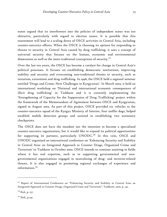states argued that its interference into the policies of independent states was too obtrusive, particularly with regard to election issues. It is possible that this resentment will lead to a scaling down of OSCE activities in Central Asia, including counter-narcotics efforts. When the OSCE is choosing its options for responding to threats to security in Central Asia caused by drug trafficking, it uses a concept of universal security that focuses on the human, economic and environmental dimensions as well as the more traditional conceptions of security. $^{127}$ 

Over the last ten years, the OSCE has become a catalyst for change in Central Asia's political processes. It focuses on establishing democratic institutions, improving stability and security and overcoming non-traditional threats to security, such as terrorism, extremism and drug trafficking. In 1996, the OSCE held a regional seminar entitled 'Drugs and Crime: New Challenges in Kyrgyzstan'. In March 2003, it held an international workshop on 'National and international economic consequences of illicit drug trafficking' in Tashkent and it is currently implementing the 'Strengthening of Capacity for the Suppression of Drug Trafficking' project within the framework of the Memorandum of Agreement between OSCE and Kyrgyzstan, signed in August 2003. As part of this project, OSCE provided six vehicles to the counter-narcotics squad of the Kyrgyz Ministry of Interior, four sniffer dogs, helped establish mobile detection groups and assisted in establishing two stationary checkpoints.

The OSCE does not have the mandate nor the intention to become a specialized counter-narcotics organization, but it would like to expand its political opportunities for supporting its partners, particularly UNODC.<sup>128</sup> In this vein, OSCE and UNODC organized an international conference on 'Enhancing Security and Stability in Central Asia: an Integrated Approach to Counter Drugs, Organized Crime and Terrorism' in Tashkent in October 2000. OSCE intends to continue assisting in fields where it has real expertise, such as in supporting governmental and nongovernmental organizations engaged in neutralizing of drug- and terrorist-related threats. It is also engaged in promoting regional exchanges of experience and information. $129$ 

<sup>&</sup>lt;sup>127</sup> Report of International Conference on "Enhancing Security and Stability in Central Asia: an Integrated Approach to Counter Drugs, Organized Crime and Terrorism", Tashkent, 2000, p. 142.

<sup>&</sup>lt;sup>128</sup> Ibid., p. 157.

<sup>&</sup>lt;sup>129</sup> Ibid., p.159.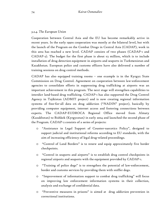# *3.2.4. The European Union*

Cooperation between Central Asia and the EU has become remarkably active in recent years. In the early 1990s cooperation was mostly at the bilateral level, but with the launch of the Program on the Combat Drugs in Central Asia (CADAP), work in this area has reached a new level. CADAP consists of two phases (CADAP-1 and CADAP-2). The budget for the first phase is about  $\epsilon_3$  million, which is to include installation of drug detection equipment in airports and seaports in Turkmenistan and Kazakhstan. European police and customs officers have also delivered a number of training sessions on drug control methods.

CADAP has also equipped training rooms – one example is in the Kyrgyz State Commission on Drug Control. Agreement on cooperation between law-enforcement agencies to consolidate efforts in suppressing drug trafficking at airports was an important achievement in this program. The next stage will strengthen capabilities to interdict land-based drug trafficking. CADAP-1 has also supported the Drug Control Agency in Tajikistan (ADMIT project) and is now creating regional information systems of free-for-all data on drug addiction ("NADIN" project), basically by providing computer equipment, internet access and fostering connections between experts. The CADAP-EUDROCA Regional Office moved from Almaty (Kazakhstan) to Bishkek (Kyrgyzstan) in early 2004 and launched the second phase of the Program. CADAP-2 consists of a series of projects:

- o "Assistance in Legal Support of Counter-narcotics Policy", designed to support judicial and institutional reforms according to EU standards, with the aim of increasing efficiency of legal drug-related proceedings.
- o "Control of Land Borders" is to renew and equip approximately five border checkpoints.
- o "Control in seaports and airports" is to establish drug control checkpoints in regional airports and seaports with the equipment provided by CADAP-1.
- o "Training of police dogs" is to strengthen the potential of law-enforcement, border and customs services by providing them with sniffer dogs.
- o "Improvement of information support to combat drug trafficking" will focus on improving law enforcement information systems in their collection, analysis and exchange of confidential data.
- o "Preventive measures in prisons" is aimed at drug addiction prevention in correctional institutions.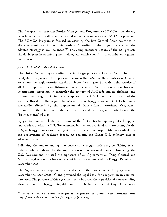The European commission Border Management Programme (BOMCA) has already been launched and will be implemented in cooperation with the CADAP-2 program. The BOMCA Program is focused on assisting the five Central Asian countries in effective administration at their borders. According to the program executive, the adopted strategy is well-balanced.<sup>130</sup> The complementary nature of the EU projects should help in harmonizing methodologies, which should in turn enhance regional cooperation.

### *3.2.5. The United States of America*

-

The United States plays a leading role in the geopolitics of Central Asia. The main catalysts of expansion of cooperation between the U.S. and the countries of Central Asia were the tragic terrorist attacks on September 11, 2001. Since then, the activity of all U.S. diplomatic establishments were activated. As the connection between international terrorism, in particular the activity of Al-Qaeda and its affiliates, and international drug trafficking became apparent, the U.S. Government prioritized the security threats in the region. In 1999 and 2000, Kyrgyzstan and Uzbekistan were repeatedly affected by the expansion of international terrorism. Kyrgyzstan responded to the intrusion of Islamic extremists and terrorists, most notably with the "Batken events" of 1999.

Kyrgyzstan and Uzbekistan were some of the first states to express political support and solidarity with the U.S. Government. Both states provided military basing for the U.S; in Kyrgyzstan's case making its main international airport Manas available for the deployment of coalition forces. At present, the Ganci U.S. military base is adjacent to this airport.

Following the understanding that successful struggle with drug trafficking is an indispensable condition for the suppression of international terrorist financing, the U.S. Government initiated the signature of an Agreement on Drug Control and Mutual Legal Assistance between the with the Government of the Kyrgyz Republic in December 2001.

The Agreement was approved by the decree of the Government of Kyrgyzstan on December 14, 2001 (№481-0) and provided the legal basis for cooperation in counternarcotics. The purpose of this agreement is to improve the capacities of corresponding structures of the Kyrgyz Republic in the detection and combating of narcotics

<sup>130</sup> European Union's Border Management Programme in Central Asia. Available from <http://www.eu-bomca.org/ru/about/strategy>. [21 June 2004].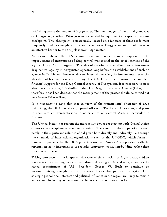trafficking across the borders of Kyrgyzstan. The total budget of the initial grant was ca. US\$350,000; another US\$100,000 were allocated for equipment at a specific customs checkpoint. This checkpoint is strategically located on a juncture of three roads most frequently used by smugglers in the southern part of Kyrgyzstan, and should serve as an effective barrier to the drug flow from Afghanistan.

As viewed above, the U.S. commitment to render financial support to the improvement of institutions of drug control was crucial in the establishment of the Kyrgyz Drug Control Agency. The idea of creating a specialized law enforcement drug control agency in Kyrgyzstan appeared long before the establishment of such an agency in Tajikistan. However, due to financial obstacles, the implementation of the idea did not become feasible until 2003. The U.S. Government ensured the complete financial support for the Drug Control Agency of Kyrgyzstan. It is necessary to note also that structurally, it is similar to the U.S. Drug Enforcement Agency (DEA), and therefore it has been decided that the management of the project should be carried out by a former DEA officer.

It is necessary to note also that in view of the transnational character of drug trafficking, the DEA has already opened offices in Tashkent, Uzbekistan, and plans to open similar representations in other cities of Central Asia, in particular in Bishkek.

The United States is at present the most active power cooperating with Central Asian countries in the sphere of counter-narcotics . The extent of the cooperation is seen partly in the significant volumes of aid given both directly and indirectly, i.e. through the channels of international organizations such as the UNODC, which formally remains responsible for the DCA project. Moreover, America's cooperation with the regional states is important as it provides long-term institution-building rather than short-term projects.

Taking into account the long-term character of the situation in Afghanistan, evident tendencies of expanding terrorism and drug trafficking in Central Asia, as well as the stated commitment of U.S. President George W. Bush to continue an uncompromising struggle against the very threats that pervade the region, U.S. strategic geopolitical interests and political influence in the region are likely to remain and extend, including cooperation in spheres such as counter-narcotics.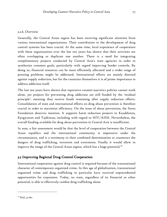## *3.2.6. Overview*

Generally, the Central Asian region has been receiving significant attention from various international organizations. Their contribution to the development of drug control systems has been crucial. At the same time, local experience of cooperation with these organizations over the last ten years has shown that their activities are often overlapping or duplicate one another. There is a need for integrating complimentary projects conducted by Central Asia's state agencies in order to synthesize common goals, particularly with regard improving border controls. By doing so, financial resources can be more efficiently allocated and a wider range of pressing problems might be addressed. International efforts are mainly directed against supply reduction, but for the countries themselves it is of prime importance to address addiction itself.

The last ten years have shown that repressive counter-narcotics policies cannot work alone, yet projects for preventing drug addiction are still funded by the 'residual principle', meaning they receive funds remaining after supply reduction efforts. Consolidation of state and international efforts on drug abuse prevention is therefore crucial in order to maximize efficiency. On the issue of abuse prevention, the Soros Foundation deserves mention. It supports harm reduction projects in Kazakhstan, Kyrgyzstan and Tajikistan, including with regard to HIV/AIDS. Nevertheless, the overall funding available for drug abuse prevention in Central Asia is insufficient.

In sum, a fair assessment would be that the level of cooperation between the Central Asian republics and the international community is impressive under the circumstances, and is a testimony to their combined determination to counteract the dangers of drug trafficking, terrorism and extremism. Finally it would allow to improve the image of the Central Asian region, which has a huge potential. $^{\text{131}}$ 

# 3.3 Improving Regional Drug Control Cooperation

International cooperation against drug control is required because of the transnational character of contemporary organized crime. In this age of globalization, transnational organized crime and drug trafficking in particular have received unprecedented opportunities for expansion. Today, no state, regardless of its financial or other potential, is able to effectively combat drug trafficking alone:

<sup>&</sup>lt;sup>131</sup> Ibid., p.160.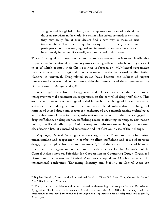Drug control is a global problem, and the approach to its solution should be the same anywhere in the world. No matter what efforts are made in one state they may easily fail, if drug dealers find a new way or mean of drug transportation. The illicit drug trafficking involves many states and participants. For this reason, regional and international cooperation appears to be extremely important, if we really want to succeed in this matter... $132$ 

The ultimate goal of international counter-narcotics cooperation is to enable effective responses to transnational criminal organizations regardless of which country they act in or of which country their illicit business is focused on. Multilateral cooperation may be international or regional – cooperation within the framework of the United Nations is universal. Drug-related issues have become the subject of urgent international concern and cooperation within the framework of the counter-narcotics Conventions of 1961, 1971 and 1988.

In April 1996 Kazakhstan, Kyrgyzstan and Uzbekistan concluded a trilateral intergovernmental agreement on cooperation on the control of drug trafficking. This established rules on a wide range of activities such as: exchange of law enforcement, statistical, methodological and other narcotics-related information; exchange of samples of seized drugs and precursors; exchange of drug manufacturing technologies and herbariums of narcotic plants; information exchange on individuals engaged in drug trafficking, on drug caches, trafficking routes, trafficking techniques, destination points, specific details of particular cases; and information exchange on national classification lists of controlled substances and notification in case of their change.

In May 1996, Central Asian governments signed the Memorandum "On mutual understanding and cooperation in combating illicit trafficking and abuse of narcotic drugs, psychotropic substances and precursors",<sup>133</sup> and there are also a host of bilateral treaties at the intergovernmental and inter-institutional levels. The Declaration of the Central Asian states on Priorities for Cooperation in Countering Drugs, Organized Crime and Terrorism in Central Asia was adopted in October 2000 at the international conference "Enhancing Security and Stability in Central Asia: An

<sup>&</sup>lt;sup>132</sup> Bogdan Lisovich, Speech at the International Seminar "Great Silk Road: Drug Control in Central Asia", Bishkek, 19-20 May 1999.

<sup>&</sup>lt;sup>133</sup> The parties to the Memorandum on mutual understanding and cooperation are Kazakhstan, Kyrgyzstan, Tajikistan, Turkmenistan, Uzbekistan, and the UNODC. In January 1998 the Memorandum was joined by Russia and the Aga-Khan Organization for Development and in 2002 by Azerbaijan.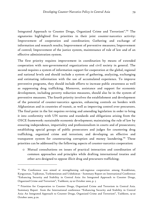Integrated Approach to Counter Drugs, Organized Crime and Terrorism".<sup>134</sup> The signatories highlighted five priorities in their joint counter-narcotics activity: Improvement of cooperation and coordination; Gathering and exchange of information and research results; Improvement of preventive measures; Improvement of control; Improvement of the justice system, maintenance of rule of law and of an effective administration system.

The first priority requires improvement in coordination by means of extended cooperation with non-governmental organizations and civil society in general. The second requires a system of information support for cooperation at the global, regional and national levels and should include a system of gathering, analyzing, exchanging and estimating information with the use of accumulated experience. To improve preventive programs, they should include efforts to increase public awareness as well as suppressing drug trafficking. Moreover, assistance and support for economic development, including poverty reduction measures, should also be in the system of preventive measures. The fourth priority involves the establishment and development of the potential of counter-narcotics agencies, enhancing controls on borders with Afghanistan and in countries of transit, as well as improving control over precursors. The final point in the list requires revising and amending legislation in order to bring it into conformity with UN norms and standards and obligations arising from the OSCE framework: sustainable economic development; maintaining the rule of law by ensuring independence, impartiality and professionalism in courts and of prosecutors; establishing special groups of public prosecutors and judges for countering drug trafficking, organized crime and terrorism; and developing an effective and transparent system for counteracting corruption and money laundering.<sup>135</sup> These priorities can be addressed by the following aspects of counter-narcotics cooperation:

o Mutual consultations on issues of practical interaction and coordination of common approaches and principles while drafting international treaties and other acts designed to oppose illicit drug and precursors trafficking;

<sup>&</sup>lt;sup>134</sup> The Conference was aimed at strengthening sub-regiona1 cooperation among Kazakhstan, Kyrgyzstan, Tajikistan, Turkmenistan and Uzbekistan - Summary Report on International Conference "Enhancing Security and Stability in Central Asia: An Integrated Approach to Counter Drugs, Organized Crime and Terrorism", Tashkent, 19-20 October 2000, p. 5

<sup>&</sup>lt;sup>135</sup> Priorities for Cooperation to Counter Drugs, Organized Crime and Terrorism in Central Asia. Summary Report from the International conference "Enhancing Security and Stability in Central Asia: An Integrated Approach to Counter Drugs, Organized Crime and Terrorism", Tashkent, 19-20 October 2000, p.20.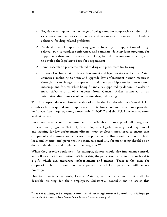- o Regular meetings or the exchange of delegations for cooperative study of the experience and activities of bodies and organizations engaged in finding solutions for drug-related problems;
- o Establishment of expert working groups to study the application of drugrelated laws, to conduct conferences and seminars, develop joint programs for suppressing drug and precursor trafficking, to draft international treaties, and to develop the legislative basis for cooperation;
- o Joint research on problems related to drug and precursors trafficking;
- o Inflow of technical aid to law enforcement and legal services of Central Asian countries, including to train and upgrade law enforcement human resources through the exchange of experience and their participation in international meetings and forums while being financially supported by donors, in order to more effectively involve experts from Central Asian countries in an internationalized process of countering drug trafficking.

This last aspect deserves further elaboration. In the last decade the Central Asian countries have acquired some experience from technical aid and consultants provided by international organizations, particularly UNODC and the EU. However, as some analysts advise:

more resources should be provided for effective follow-up of all programs. International programs, that help to develop new legislation, ... provide equipment and training for law enforcement officers, must be closely monitored to ensure that equipment and training are being used properly. While this should be done by both local and international personnel the main responsibility for monitoring should be on donors who design and implement the programs.<sup>136</sup>

When they provide equipment, for example, donors should also implement controls and follow up with accounting. Without this, the perception can arise that such aid is a gift, which can encourage embezzlement and misuse. Trust is the basis for cooperation, but it should not be expected that all local personnel will behave honestly.

Due to financial constraints, Central Asian governments cannot provide all the desirable training for their employees. Substantial contributions to assist this

<sup>136</sup> See Lubin, Klaits, and Barsegian, *Narcotics Interdiction in Afghanistan and Central Asia: Challenges for International Assistance*, New York: Open Society Institute, 2002, p. 28.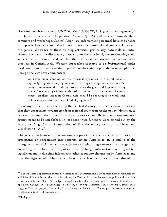situation have been made by UNODC, the EU, OSCE, U.S. government agencies,<sup>137</sup> the Japan International Cooperation Agency (JICA) and others. Through their seminars and workshops, Central Asian law enforcement personnel have the chance to improve their skills and, also important, establish professional contacts. However, the general drawback to these training activities, particularly noticeable in initial efforts, has been the discrepancy between, on the one hand, the methodology and subject matter discussed and, on the other, the legal systems and counter-narcotics practices in Central Asia. Western approaches appeared to be dysfunctional under local conditions and so a certain proportion of the training provided was inapplicable. Foreign analysts have commented:

…a better understanding of the informal dynamics in Central Asia is especially important in programs aimed at drugs, corruption, and crime. Yet many counter-narcotics training programs are designed and implemented by law enforcement specialists with little experience in the region. Regional experts on these issues in Central Asia should be encouraged to work with technical experts to create such kind of programs. $138$ 

Returning to the priorities listed by the Central Asian governments above, it is clear that they encapsulate modern trends in regional counter-narcotics policy. However, to achieve the goals that flow from these priorities, an effective intergovernmental agency needs to be established. In 1999-2000 these functions were carried out by the Interstate Drug Control Commission of Kazakhstan, Kyrgyzstan, Tajikistan and Uzbekistan (IDCC).

The general problem with international cooperation occurs in the transformation of agreements on cooperation into concrete action. Articles 10, 11, 12 and 13 of the intergovernmental Agreements of 1996 are examples of agreements that are ignored. According to Article 12, the parties must exchange information on drug-related legislation and in due time inform each other about any changes made. Articles 10 and 11 of the Agreements oblige Parties to notify each other in case of amendments to

<sup>&</sup>lt;sup>137</sup> The US State Department Bureau for International Narcotics and Law Enforcement coordinates the activities of federal bodies that provide training for Central Asian border services, police and other law enforcement bodies. The INL budget in 1998-2000 for Central Asia was as follows: Kazakhstan - \$3,919,170; Kyrgyzstan - \$ 1,687,459; Tajikistan, \$ 1,27,673; Turkmenistan, \$ 1,571,19; Uzbekistan, \$ 3,153,926. Tota1: \$ 11,359,247. See Lubin, Klaits, Barsegian, Appendix 2. The support is certainly huge but its efficiency is difficult to evaluate.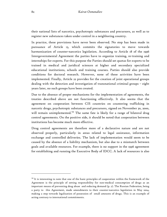their national lists of narcotics, psychotropic substances and precursors, as well as to register new substances taken under control in a neighboring country.

In practice, these provisions have never been observed. No step has been made in pursuance of Article 13, which commits the signatories to move towards harmonization of counter-narcotics legislation. According to Article 18 of the 1996 Intergovernmental Agreement the parties have to organize training, re-training and internships for experts. For this purpose the Parties should set quotas for experts to be trained in medical and juridical sciences at higher and secondary specialized educational institutions, schools and training courses. Parties should also provide conditions for doctoral research. However, none of these activities have been implemented. Finally, Article 22 provides for the creation of joint operational groups dealing with the detection and investigation of transnational criminal groups – eight years later, no such groups have been created.

Due to the absence of proper mechanisms for the implementation of agreements, the treaties described above are not functioning effectively. It also seems that the agreement on cooperation between CIS countries on countering trafficking in narcotic drugs, psychotropic substances and precursors, signed on November 30, 2000, will remain unimplemented.<sup>139</sup> The same fate is likely for a range of bilateral drug control agreements. On the positive side, it should be noted that cooperation between institutions has become much more effective.

Drug control agreements are therefore more of a declarative nature and are not observed properly, particularly in areas related to legal assistance, information exchange and controlled deliveries. The lack of implementation would seem to be caused by the absence of a liability mechanism, but also due to a mismatch between goals and available resources. For example, there is no support in the 1996 agreement for establishing and running the Executive Body of IDCC. A lack of resources is also

<sup>&</sup>lt;sup>139</sup> It is interesting to note that one of the basic principles of cooperation within the framework of the Agreement is the principle of setting responsibility for non-medical consumption of drugs as an important means of preventing drug abuse and reducing demand (p. 2). The Russian Federation, being a party to this Agreement, made amendments to their counter-narcotics legislation in May 2004, making a step towards legalization of possession of small amounts of drugs. This is an example of acting contrary to international commitments.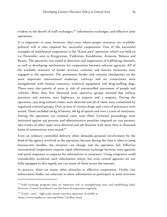evident in the dearth of staff exchanges,<sup>140</sup> information exchanges, and effective joint operations.

It is important to note, however, that even where proper resources are available, political will is also required for successful cooperation. One of the successful examples of multilateral cooperation is the "Kanal 2003" operation, which was held on 3-9 November 2003 in Kyrgyzstan, Tajikistan, Kazakhstan, Armenia, Belarus and Russia. The operation was aimed at detection and suppression of trafficking channels, as well as developing mechanisms for cooperation between relevant agencies. All of the available resources of border services, customs, and interior ministries were engaged in the operation. The permanent border and customs checkpoints on the most important international roadways, railways and air connections were strengthened with human resources, technical equipment and drug-sniffing dogs. There were also patrols of areas at risk of uncontrolled movement of people and vehicles. More than five thousand joint operative groups manned 899 railway junctions and stations, 2057 highways, 92 airports and 2 seaports. During the operation, 1403 drug-related crimes were detected and 98 of them were committed by organized criminal groups. Over 19 tons of various drugs and 2 tons of precursors were seized. These included 116 kg of heroin, 168 kg of opium and over 1.5 tons of marijuana. During the operation 1113 criminal cases were filed. Criminal proceedings were instituted against 955 persons and administrative penalties imposed on 7232 persons. 2302 crimes of other types were detected and 236 firearms with more than 10 thousand items of ammunition were seized.<sup>141</sup>

Even an ordinary controlled delivery often demands personal involvement by the head of the agency involved in the operation, because during the time it takes to jump bureaucratic hurdles, the situation can change and the operation fail. Effective international cooperation requires rapid information exchange between state agencies and quick responses to requests for information or assistance. Using computers could considerably accelerate such information relays, but even central agencies are not fully equipped in this regard, nor can many of them access the internet.

In practice, there are many other obstacles to effective cooperation. Firstly, law enforcement bodies are reluctant to share information or participate in joint activities

<sup>&</sup>lt;sup>140</sup> Staff exchange programs play an important role in strengthening trust and establishing links. However, Central Asia doesn't use this form of cooperation regularly.

 $141$  "Canal - 2003" - high scale counter-narcotics operation. Available at <http://www.oxpaha.ru/view.asp?10605>. [19 May 2004].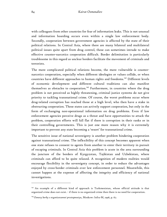with colleagues from other countries for fear of information leaks. This is not unusual and information hoarding occurs even within a single law enforcement body. Secondly, cooperation between government agencies is affected by the state of their political relations. In Central Asia, where there are many bilateral and multilateral political issues quite apart from drug control, these can sometimes intrude to make effective counter-narcotics cooperation difficult. Border delimitation is particularly troublesome in this regard as unclear borders facilitate the movement of criminals and terrorists.

The more complicated political relations become, the more vulnerable is counternarcotics cooperation, especially when different ideologies or values collide, or when countries have different approaches to human rights and freedoms.<sup>142</sup> Different levels of economic development and different cultural traditions can also manifest themselves as obstacles to cooperation.<sup>143</sup> Furthermore, in countries where the drug problem is not perceived as highly threatening, criminal justice systems do not give priority to tackling transnational crime. Of course, the worst problems occur where drug-related corruption has reached those at a high level, who then have a stake in obstructing cooperation. These states can actively support cooperation, but only in the form of exchanging non-operational information on drug problems. Even if law enforcement agencies perceive drugs as a threat and have opportunities to attack the problem, cooperation efforts will fall flat if there is corruption in their ranks or in their controlling governments. This is just one more reason why it is extremely important to prevent any state becoming a 'resort' for transnational crime.

The sensitive issue of national sovereignty is another problem hindering cooperation against transnational crime. The inflexibility of this concept becomes apparent when one state refuses to consent to agents from another to enter their territory in pursuit of escaping criminals. In Central Asia this problem is acute in the area surrounding the juncture of the borders of Kyrgyzstan, Tajikistan and Uzbekistan, where criminals can afford to be quite relaxed. A recognition of modern realities would encourage flexibility in the sovereignty concept, in order to reduce the advantages enjoyed by cross-border criminals over law enforcement personnel. Meanwhile, this cannot happen at the expense of affecting the integrity and efficiency of national investigations.

<sup>&</sup>lt;sup>142</sup> An example of a different kind of approach is Turkmenistan, whose official attitude is that organized crime does not exist. - if there is no organized crime then there is no need for cooperation.

<sup>143</sup>*Osnovy borby s organizovannoi prestupnostyu*, Moskow: Infra-M, 1996, p. 67.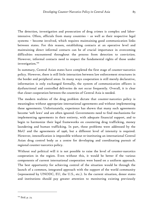The detection, investigation and prosecution of drug crimes is complex and laborintensive. Often, officials from many countries – as well as their respective legal systems – become involved, which requires maintaining good communication links between states. For this reason, establishing contacts at an operative level and maintaining direct informal contacts can be of crucial importance in overcoming difficulties encountered throughout the process from detection to conviction. However, informal contacts need to respect the fundamental rights of those under investigation.<sup>144</sup>

In summary, Central Asian states have completed the first stage of counter-narcotics policy. However, there is still little interaction between law enforcement structures in the border and peripheral areas. In many ways cooperation is still merely declarative, information is only exchanged formally, the system of communication officers is dysfunctional and controlled deliveries do not occur frequently. Overall, it is clear that closer cooperation between the countries of Central Asia is needed.

The modern realities of the drug problem dictate that counter-narcotics policy is meaningless without appropriate international agreements and without implementing these agreements. Unfortunately, experience has shown that many such agreements become 'soft laws' and are often ignored. Governments need to find mechanisms for implementing agreements in their entirety, with adequate financial support, and to begin to harmonize their legal frameworks on countering drug trafficking, money laundering and human trafficking. In part, these problems were addressed by the MoU and the agreements of 1996, but a different level of intensity is required. However, intensification is impossible without re-instituting an international Central Asian drug control body as a centre for developing and coordinating pursuit of regional counter-narcotics policy.

Without real political will it is not possible to raise the level of counter-narcotics cooperation in the region. Even without this, it would be better if the various components of current international cooperation were based on a uniform approach. The best opportunity for achieving control of the situation would be through the launch of a common, integrated approach with the support of the world community (represented by UNODC, EU, the U.S., etc.). In the current situation, donor states and institutions should pay greater attention to monitoring existing previously

<sup>&</sup>lt;sup>144</sup> Ibid. p. 73.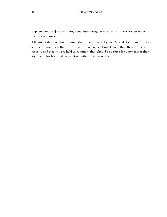implemented projects and programs, instituting stricter control measures in order to realize their aims.

All proposals that aim to strengthen overall security in Central Asia rest on the ability of countries there to deepen their cooperation. Given that these threats to security and stability are held in common, they should be a force for unity rather than argument; for fraternal cooperation rather than bickering.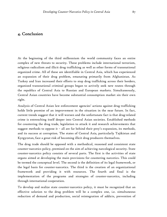# 4. Conclusion 4. Conclusion

At the beginning of the third millennium the world community faces an entire complex of new threats to security. These problems include international terrorism, religious radicalism and illicit drug trafficking as well as other forms of transnational organized crime. All of these are identifiable in Central Asia, which has experienced an expansion of their drug problem, emanating primarily from Afghanistan. As Turkey and Iran increased their efforts to stop drug trafficking across their borders, organized transnational criminal groups began to actively seek new routes through the republics of Central Asia to Russian and European markets. Simultaneously, Central Asian countries have become substantial consumption market sin their own right.

Analysis of Central Asian law enforcement agencies' actions against drug trafficking holds little promise of an improvement in the situation in the near future. In fact, current trends suggest that it will worsen and the unfortunate fact is that drug-related crime is entrenching itself deeper into Central Asian societies. Established methods for countering the drug trade, legislation to attack it and research achievements that suggest methods to oppose it – all are far behind their prey's expansion, its methods, and its success at corruption. The states of Central Asia, particularly Tajikistan and Kyrgyzstan, face a great risk of becoming illicit drug producers themselves.

The drug trade should be opposed with a methodical, reasoned and consistent state counter-narcotics policy, premised on the aim of achieving narcological security. State counter-narcotics policy consists of several parts. The first is the activities of state organs aimed at developing the main provisions for countering narcotics. This could be termed the conceptual level. The second is the definition of its legal framework, or the legal basis for counter-narcotics. The third is the creation of an organizational framework and providing it with resources. The fourth and final is the implementation of the programs and strategies of counter-narcotics, including through international cooperation.

To develop and realize state counter-narcotics policy, it must be recognized that an effective solution to the drug problem will be a complex one, i.e. simultaneous reduction of demand and production, social reintegration of addicts, prevention of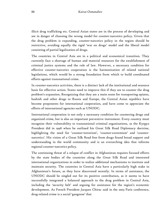illicit drug trafficking etc. Central Asian states are in the process of developing and are in danger of choosing the wrong model for counter-narcotics policy. Given that the drug problem is expanding, counter-narcotics policy in the region should be restrictive, avoiding equally the rigid 'war on drugs' model and the liberal model consisting of partial legalization of drugs.

The countries in Central Asia are in a political and economical transition. They currently face a shortage of human and material resources for the establishment of criminal justice systems and the rule of law. However, a necessary condition for effective counter-narcotics cooperation is the harmonization of related national legislations, which would be a strong foundation from which to build coordinated efforts against transnational crime.

In counter-narcotics activities, there is a distinct lack of the institutional and resource basis for effective action. States need to improve this if they are to counter the drug problem's expansion. Recognizing that they are a main route for transporting opiates, hashish and other drugs to Russia and Europe, the Central Asian republics have become proponents for international cooperation, and have come to appreciate the efforts of international agencies such as UNODC.

International cooperation is not only a necessary condition for countering drugs and organized crime, but is also an important preventive instrument. Every country must recognize their vulnerability to transnational criminal organizations, as the Kyrgyz President did in 1998 when he outlined his Great Silk Road Diplomacy doctrine, highlighting the need for 'counter-terrorism', 'counter-extremism' and 'counternarcotics'. His vision of a Great Silk Road free from drugs found broad support and understanding in the world community and is an overarching idea that informs regional counter-narcotics policy.

The continuing threat of a relapse of conflict in Afghanistan requires focused efforts by the state bodies of the countries along the Great Silk Road and interested international organizations in order to realize additional mechanisms to institute and maintain security. The countries in Central Asia have a particularly high stake in Afghanistan's future, as they have discovered recently. In terms of assistance, the UNODC should be singled out for its positive contribution, as it seems to have successfully integrated a balanced approach to the drug problem in Central Asia, including the 'security belt' and arguing for assistance for the region's economic development. As French President Jacques Chirac said in the 2003 Paris conference, drug-related crime is a social 'gangrene' that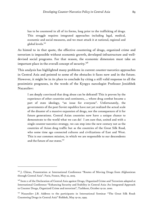has to be countered in all of its forms, long prior to the trafficking of drugs. This struggle requires integrated approaches including legal, medical, economic and social measures, and we must attack it at national, regional and global levels.<sup>145</sup>

As hinted to in that quote, the effective countering of drugs, organized crime and terrorism is impossible without economic growth, developed infrastructure and welldevised social programs. For that reason, the economic dimension must take an important place in the overall concept of security. $^{146}$ 

This analysis has highlighted many problems in current counter-narcotics approaches in Central Asia and pointed to some of the obstacles it faces now and in the future. However, it might be in its place to conclude by citing a still valid response to all the pessimistic prognoses, in the words of the Kyrgyz narcologist Professor Jenishbek Nazaraliev:

I am deeply convinced that drug abuse can be defeated! This is proven by the experience of other countries and continents, … where drug combat became a part of state ideology, "an issue for everyone". Unfortunately, the governments of the post-Soviet republics have not yet realized the actual scale of the disaster of a massive expansion of drugs, nor the consequences of it for future generations. Central Asian countries now have a unique chance to demonstrate to the world what we can do! I am sure that, united and with a single counter-narcotics strategy, we can step into the new century not as the countries of Asian drug traffic but as the countries of the Great Silk Road, who some time ago connected cultures and civilizations of East and West. This is our common mission, in which we are responsible to our descendents and the future of our states.<sup>147</sup>

<sup>&</sup>lt;sup>145</sup> J. Chirac, Presentation at International Conference "Routes of Moving Drugs from Afghanistan through Central Asia". Paris, France, May 22, 2003.

<sup>&</sup>lt;sup>146</sup> Item 11 of the Declaration of Central Asia against Drugs, Organized Crime and Terrorism adopted at International Conference "Enhancing Security and Stability in Central Asia: An Integrated Approach to Counter Drugs, Organized Crime and terrorism", Tashkent, October 19-20. 2000.

<sup>&</sup>lt;sup>147</sup> Nazaraliev J.B. Address to the participants in International Seminar "The Great Silk Road: Countering Drugs in Central Asia" Bishkek, May 19-20, 1999.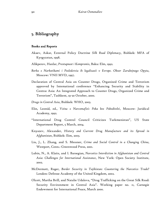# 5. Bibliography

#### **Books and Reports**

- Akaev, Askar, External Policy Doctrine *Silk Road Diplomacy*, Bishkek: MFA of Kyrgyzstan, 1998.
- Alikperov, Hanlar, *Prestupnost i Kompromis*, Baku: Elm, 1992.
- *Borba s Narkotikami i Posledctvia ih legalizasii v Evrope. Obzor Zarubejnogo Opyta*, Moscow: VNII MVD, 1997.
- Declaration of Central Asia on Counter Drugs, Organized Crime and Terrorism approved by Intemational conference "Enhancing Security and Stability in Centra1 Asia: An Integrated Approach to Counter Drugs, Organized Crime and Terrorism", Tashkent, 19-20 October, 2000.
- *Drugs in Central Asia*, Bishkek: WHO, 2003.
- Elin, Leonid, ed., *Voina s Narcomafiei: Poka bez Pobeditelei*, Moscow: Juridical Academy, 1992.
- "International Drug Control Council Criticizes Turkmenistan", US State Department Report, 5 March, 2004.
- Knyazev, Alexander, *History and Current Drug Manufacture and its Spread in Afghanistan*, Bishkek: Ilim, 2003.
- Liu, J., L. Zhang, and S. Messner, *Crime and Social Control in a Changing China*, Westport, Conn.: Greenwood Press, 2001.
- Lubin, N., A. Klaits, and I. Barsegian, *Narcotics Interdiction in Afghanistan and Central Asia: Challenges for International Assistance*, New York: Open Society Institute, 2002.
- McDermott, Roger, *Border Security in Tajikistan: Countering the Narcotics Trade?*  London: Defense Academy of the United Kingdom, 2002.
- Olcott, Martha Brill, and Natalie Udalova, "Drug Trafficking on the Great Silk Road: Security Environment in Central Asia". Working paper no. 11, Carnegie Endowment for International Peace, March 2000.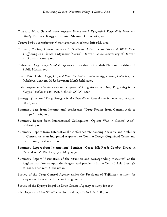- Omarov, Nur, *Gumanitarnye Aspecty Bezopasnosti Kyrgyzskoi Respubliki: Vyzovy i Otvety*, Bishkek: Kyrgyz – Russian Slavonic University, 2002.
- *Osnovy borby s organizovannoi prestupnostyu*, Moskow: Infra-M, 1996.
- Othman, Zarina, *Human Security in Southeast Asia: a Case Study of Illicit Drug Trafficking as a Threat in Myanmar (Burma)*, Denver, Colo.: University of Denver. PhD dissertation, 2002.
- *Restrictive Drug Policy: Swedish experience*, Stockholm: Swedish National Institute of Public Health, 1993.
- Scott, Peter Dale, *Drugs, Oil, and War: the United States in Afghanistan, Colombia, and Indochina*, Lanham, Md.: Rowman &Litlefield, 2003.
- *State Program on Counteraction to the Spread of Drug Abuse and Drug Trafficking in the Kyrgyz Republic in 2001-2003,* Bishkek: SCDC, 2001.
- *Strategy of the Anti Drug Struggle in the Republic of Kazakhstan in 2001-2005*, Astana: DCC, 2001.
- Summary data from International conference "Drug Routes from Central Asia to Europe", Paris, 2003.
- Summary Report from International Colloquium "Opium War in Central Asia", Bishkek 2000.
- Summary Report from International Conference "Enhancing Security and Stability in Central Asia: an Integrated Approach to Counter Drugs, Organized Crime and Terrorism", Tashkent, 2000.
- Summary Report from International Seminar "Great Silk Road: Combat Drugs in Central Asia", Bishkek, 19-20 May, 1999.
- Summary Report "Estimation of the situation and corresponding measures" at the Regional conference upon the drug-related problems in the Central Asia, June 26- 28, 2002. Tashkent, Uzbekistan.
- Survey of the Drug Control Agency under the President of Tajikistan activity for 2003 upon the results of the anti drug combat.

Survey of the Kyrgyz Republic Drug Control Agency activity for 2003.

*The Drugs and Crime Situation in Central Asia*, ROCA UNODC, 2003.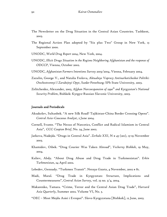- The Newsletter on the Drug Situation in the Central Asian Countries. Tashkent, 2003.
- The Regional Action Plan adopted by "Six plus Two" Group in New York, 13 September 2000.
- UNODC, *World Drug Report 2004*, New York, 2004.
- UNODC, *Illicit Drugs Situation in the Regions Neighboring Afghanistan and the response of ODCCP*, Vienna, October 2002.
- UNODC, *Afghanistan Farmers Intentions Survey 2003/2004*, Vienna, February 2004.
- Zazulin, George V., and Natalia Frolova, *Aktualnye Voprocy Antinarkoticheskoi Politiki: Otechestvennyi I Zarubejnyi Opyt*, Sankt-Peterburg: SPb State University, 2003.
- Zelitchenko, Alexander, 2003, *Afghan Narcoexpansion of 1990th and Kyrgyzstan's National Security Problem*, Bishkek: Kyrgyz-Russian Slavonic University, 2003.

#### Journals and Periodicals

- Aksakolov, Sultanbek. "A new Silk Road? Tajikistan-China Border Crossing Opens". *Central Asia–Caucasus Analyst*, 2 June 2004.
- Cornell, Svante. "The Nexus of Narcotics, Conflict and Radical Islamism in Central Asia", *CCC Caspian Brief*, No. 24, June 2002.
- Jarkova, Nadejda. "Drugs in Central Asia". *Zerkalo XXI*, N # 45 (201), 13-19 November 2003.
- Khamidov, Oibek. "Drug Courier Was Taken Abroad", *Vecherny Bishkek*, 19 May, 2004.
- Kuliev, Abdy. "About Drug Abuse and Drug Trade in Turkmenistan". *Erkin Turkmenistan*, 24 April 2002.
- Lebedev, Gennady. "Turkmen Transit". *Novaya Gazeta*, 4 November, 2002 # 81.
- Madi, Maral. "Drug Trade in Kyrgyzstan: Structure, Implications and Countermeasures", *Central Asian Survey*, vol. 23 no. 3/4, 2004.
- Makarenko, Tamara. "Crime, Terror and the Central Asian Drug Trade", *Harvard Asia Quarterly*, Summer 2002. Volume VI, No. 3.
- "OEC Most Mejdu Asiei i Evropoi". Slovo Kyrgyzstana [Bishkek], 12 June, 2003.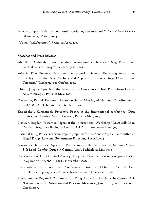- Vitebsky, Igor. "Kriminalnaya armia spesialnogo naznachenia". *Nezavisimoe Voennoe Obozrenie*, 19 March, 2004.
- "Voina Narkobaronov". *Rossia*, 12 April 2004.

### Speeches and Press Releases

- Abdullah, Abdullah. Speech at the international conference "Drug Routs from Central Asia to Europe". Paris, May 22, 2003.
- Arlacchi, Pino. Presented Papers on International conference "Enhancing Security and Stability in Central Asia: An Integrated Approach to Counter Drags, Organized and Terrorism", Tashkent, 19-20 October, 2000.
- Chirac, Jacques. Speech at the International Conference "Drug Routs from Central Asia to Europe", Paris, 22 May, 2003.
- Dusmetov, Kamol. Presented Papers on the 1st Meeting of National Coordinators of ECO DCCU, Teheran, 21-22 October, 2003.
- Kubatbekov, Kurmanbek. Presented Papers at the International conference "Drug Routes from Central Asia to Europe", Paris, 22 May, 2003.
- Lisovich, Bogdan. Presented Papers at the International Workshop "Great Silk Road: Combat Drugs Trafficking in Central Asia". Bishkek, 19-20 May 1999.
- National Drug Policy: Sweden. Report prepared for the Senate Special Committee on Illegal Drugs. Law and Government Division, 18 April 2002
- Nazaraliev, Jenishbek. Appeal to Participants of the International Seminar "Great Silk Road: Combat Drugs in Central Asia", Bishkek, 20 May 1999.
- Press release of Drug Control Agency of Kyrgyz Republic on results of participation in operation "KANAL - 2003", November 2003.
- Press release on International Conference "Drug trafficking in Central Asia: Problems and prospects". Almaty, Kazakhstan. 19 December, 2003.
- Report on the Regional Conference on Drug Addiction Problems in Central Asia "Estimation of the Situation and Relevant Measures", June 26-28, 2002, Tashkent, Uzbekistan.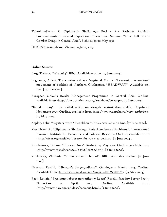Tohtokhodjaeva, Z. Diplomatia Shelkovogo Puti – Put Reshenia Problem Sovremennosti. Presented Papers on International Seminar "Great Silk Road: Combat Drugs in Central Asia". Bishkek, 19-20 May 1999.

UNODC press-release, Vienna, 20 June, 2003.

### Online Sources

Berg, Tatiana. "War 1984". BBC. Available on-line. [17 June 2004].

- Bogdanov, Аlbert. Trancontinentalnaya Magistral Mezdu Okeanami. International movement of builders of Northern Civilization "HEADWAY". Available online. [13 June 2004].
- European Union's Border Management Programme in Central Asia. On-line, available from <http://www.eu-bomca.org/ru/about/strategy>. [21 June 2004].
- "Kanal 2003" the global action on struggle against drug traffic. Oxpaha.ru November 2003. On-line, available from <http://www.oxpaha.ru/view.asp?10605>. [19 May 2004].
- Kaplan, Felix. "Mystery word "Hedokhen"". BBC. Available on-line. [17 June 2004].
- Kenenbaev, A. "Diplomatia Shelkovogo Puti: Actualnost i Problemy", International Eurasian Institute for Economic and Political Research. On-line, available from <http://iicas.org/articles/library/libr\_rus\_9\_10\_00.htm>. [7 June 2004].
- Kosobokova, Tatiana. "Bitva za Dozu". Rosbalt. 25 May 2004. On-line, available from <http://www.rosbalt.ru/2004/05/25/162787.html>. [2 June 2004].
- Kozlovsky, Vladimir. "Voinu zamenili borboi". BBC. Available on-line. [11 June 2004].
- Nazarov, Rashid. "Niyazov's drug-syndicate". Gundogar 1 March, 2004. On-line. Available from  $\frac{\text{http://www.gundogar.org/?topic id=33&id=828}_{1}$ . [15 May 2004].
- Paoli, Letizia. "Prestupnyi oborot narkotikov v Roccii".Russki Narodny Server Protiv Narcoticov 14 April, 2003. On-line. Available from <http://www.narcom.ru/ideas/socio/87.html>. [1 June 2004].